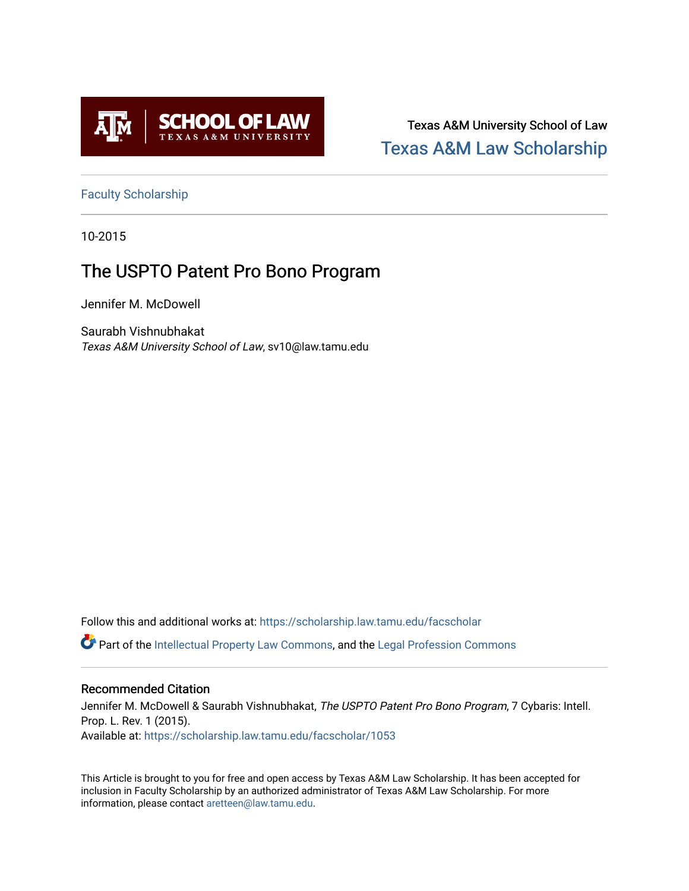

Texas A&M University School of Law [Texas A&M Law Scholarship](https://scholarship.law.tamu.edu/) 

[Faculty Scholarship](https://scholarship.law.tamu.edu/facscholar)

10-2015

# The USPTO Patent Pro Bono Program

Jennifer M. McDowell

Saurabh Vishnubhakat Texas A&M University School of Law, sv10@law.tamu.edu

Follow this and additional works at: [https://scholarship.law.tamu.edu/facscholar](https://scholarship.law.tamu.edu/facscholar?utm_source=scholarship.law.tamu.edu%2Ffacscholar%2F1053&utm_medium=PDF&utm_campaign=PDFCoverPages) 

Part of the [Intellectual Property Law Commons,](http://network.bepress.com/hgg/discipline/896?utm_source=scholarship.law.tamu.edu%2Ffacscholar%2F1053&utm_medium=PDF&utm_campaign=PDFCoverPages) and the [Legal Profession Commons](http://network.bepress.com/hgg/discipline/1075?utm_source=scholarship.law.tamu.edu%2Ffacscholar%2F1053&utm_medium=PDF&utm_campaign=PDFCoverPages) 

# Recommended Citation

Jennifer M. McDowell & Saurabh Vishnubhakat, The USPTO Patent Pro Bono Program, 7 Cybaris: Intell. Prop. L. Rev. 1 (2015). Available at: [https://scholarship.law.tamu.edu/facscholar/1053](https://scholarship.law.tamu.edu/facscholar/1053?utm_source=scholarship.law.tamu.edu%2Ffacscholar%2F1053&utm_medium=PDF&utm_campaign=PDFCoverPages) 

This Article is brought to you for free and open access by Texas A&M Law Scholarship. It has been accepted for inclusion in Faculty Scholarship by an authorized administrator of Texas A&M Law Scholarship. For more information, please contact [aretteen@law.tamu.edu](mailto:aretteen@law.tamu.edu).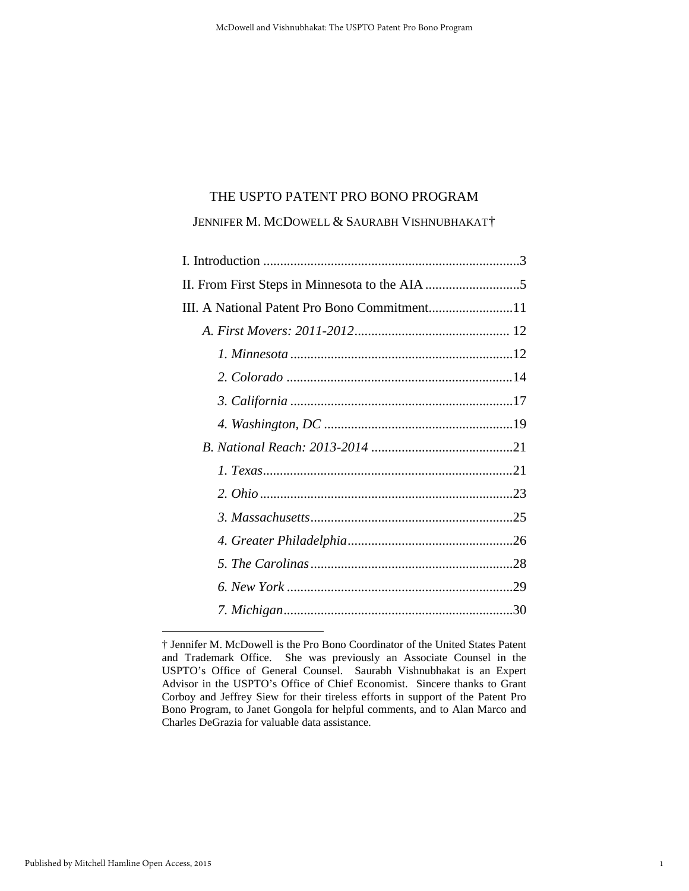#### THE USPTO PATENT PRO BONO PROGRAM

JENNIFER M. MCDOWELL & SAURABH VISHNUBHAKAT[†](#page-1-0)

1

<span id="page-1-0"></span><sup>†</sup> Jennifer M. McDowell is the Pro Bono Coordinator of the United States Patent and Trademark Office. She was previously an Associate Counsel in the USPTO's Office of General Counsel. Saurabh Vishnubhakat is an Expert Advisor in the USPTO's Office of Chief Economist. Sincere thanks to Grant Corboy and Jeffrey Siew for their tireless efforts in support of the Patent Pro Bono Program, to Janet Gongola for helpful comments, and to Alan Marco and Charles DeGrazia for valuable data assistance.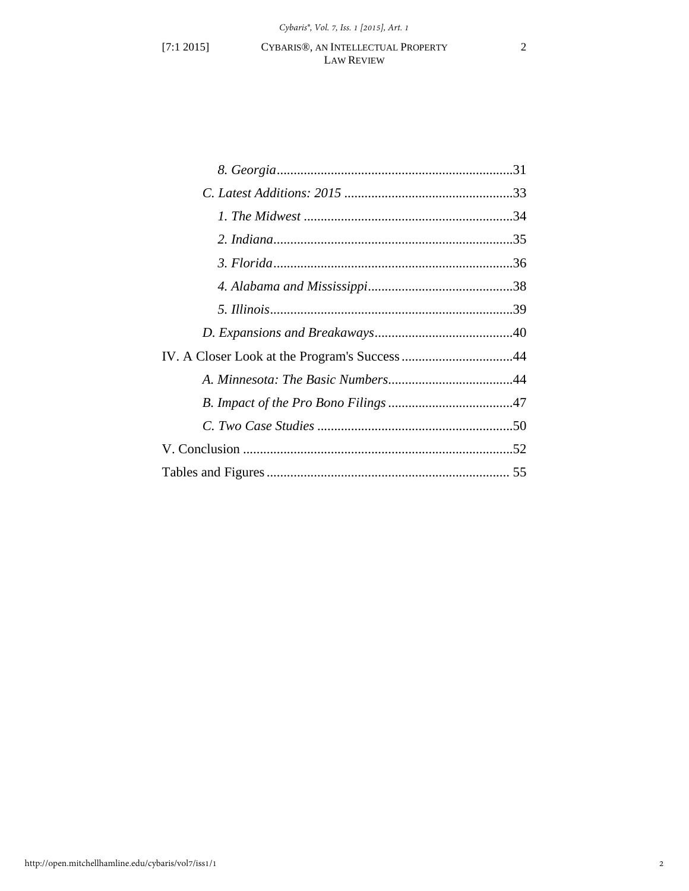# [7:1 2015] CYBARIS®, AN INTELLECTUAL PROPERTY 2 LAW REVIEW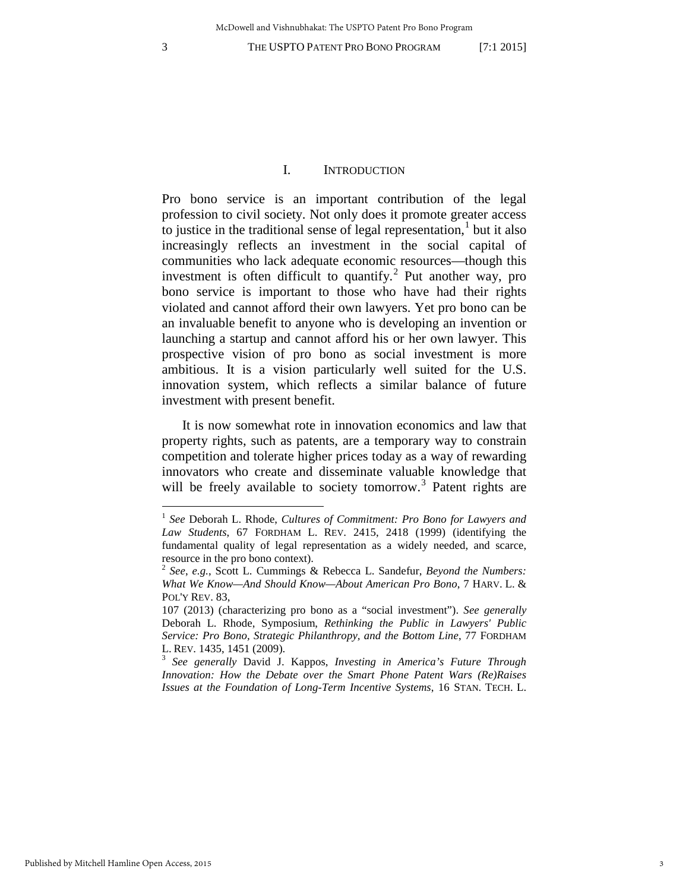$\overline{a}$ 

#### 3 THE USPTO PATENT PRO BONO PROGRAM [7:1 2015]

#### I. INTRODUCTION

Pro bono service is an important contribution of the legal profession to civil society. Not only does it promote greater access to justice in the traditional sense of legal representation, $<sup>1</sup>$  $<sup>1</sup>$  $<sup>1</sup>$  but it also</sup> increasingly reflects an investment in the social capital of communities who lack adequate economic resources—though this investment is often difficult to quantify.<sup>[2](#page-3-1)</sup> Put another way, pro bono service is important to those who have had their rights violated and cannot afford their own lawyers. Yet pro bono can be an invaluable benefit to anyone who is developing an invention or launching a startup and cannot afford his or her own lawyer. This prospective vision of pro bono as social investment is more ambitious. It is a vision particularly well suited for the U.S. innovation system, which reflects a similar balance of future investment with present benefit.

It is now somewhat rote in innovation economics and law that property rights, such as patents, are a temporary way to constrain competition and tolerate higher prices today as a way of rewarding innovators who create and disseminate valuable knowledge that will be freely available to society tomorrow.<sup>[3](#page-3-2)</sup> Patent rights are

<span id="page-3-0"></span><sup>1</sup> *See* Deborah L. Rhode, *Cultures of Commitment: Pro Bono for Lawyers and Law Students*, 67 FORDHAM L. REV. 2415, 2418 (1999) (identifying the fundamental quality of legal representation as a widely needed, and scarce, resource in the pro bono context).

<span id="page-3-1"></span><sup>2</sup> *See*, *e.g.*, Scott L. Cummings & Rebecca L. Sandefur, *Beyond the Numbers: What We Know—And Should Know—About American Pro Bono*, 7 HARV. L. & POL'Y REV. 83,

<sup>107 (2013) (</sup>characterizing pro bono as a "social investment"). *See generally* Deborah L. Rhode, Symposium, *Rethinking the Public in Lawyers' Public Service: Pro Bono, Strategic Philanthropy, and the Bottom Line*, 77 FORDHAM

<span id="page-3-2"></span><sup>&</sup>lt;sup>3</sup> See generally David J. Kappos, *Investing in America's Future Through Innovation: How the Debate over the Smart Phone Patent Wars (Re)Raises Issues at the Foundation of Long-Term Incentive Systems*, 16 STAN. TECH. L.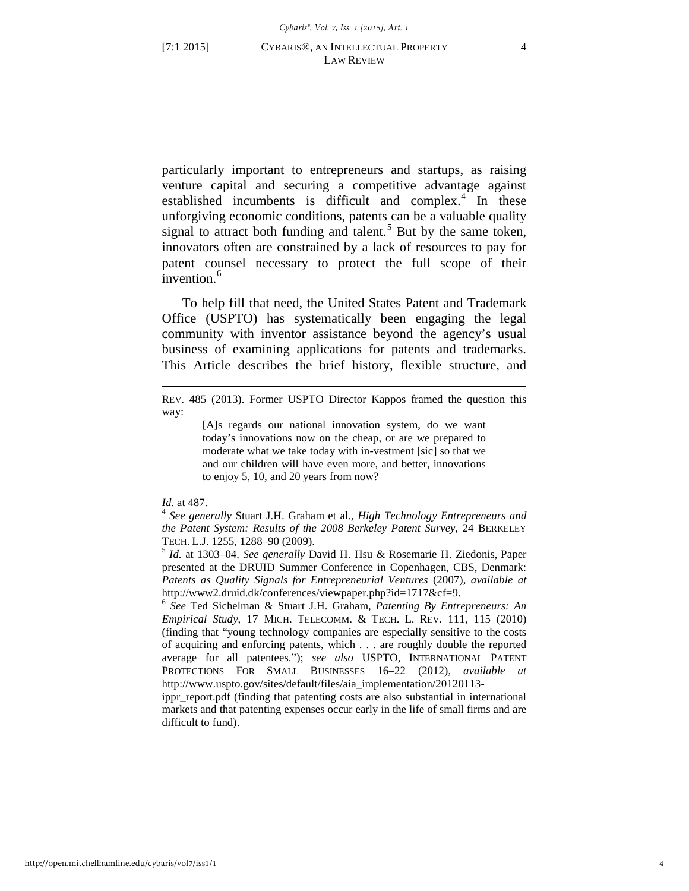particularly important to entrepreneurs and startups, as raising venture capital and securing a competitive advantage against established incumbents is difficult and complex. $4$  In these unforgiving economic conditions, patents can be a valuable quality signal to attract both funding and talent.<sup>[5](#page-4-1)</sup> But by the same token, innovators often are constrained by a lack of resources to pay for patent counsel necessary to protect the full scope of their invention.<sup>[6](#page-4-2)</sup>

To help fill that need, the United States Patent and Trademark Office (USPTO) has systematically been engaging the legal community with inventor assistance beyond the agency's usual business of examining applications for patents and trademarks. This Article describes the brief history, flexible structure, and

#### REV. 485 (2013). Former USPTO Director Kappos framed the question this way:

[A]s regards our national innovation system, do we want today's innovations now on the cheap, or are we prepared to moderate what we take today with in-vestment [sic] so that we and our children will have even more, and better, innovations to enjoy 5, 10, and 20 years from now?

 $\overline{a}$ 

<span id="page-4-0"></span>*Id.* at 487.<br><sup>4</sup> *See generally Stuart J.H. Graham et al., <i>High Technology Entrepreneurs and the Patent System: Results of the 2008 Berkeley Patent Survey*, 24 BERKELEY TECH. L.J. 1255, 1288–90 (2009). <sup>5</sup> *Id.* at 1303–04. *See generally* David H. Hsu & Rosemarie H. Ziedonis, Paper

<span id="page-4-1"></span>presented at the DRUID Summer Conference in Copenhagen, CBS, Denmark: *Patents as Quality Signals for Entrepreneurial Ventures* (2007), *available at*  http://www2.druid.dk/conferences/viewpaper.php?id=1717&cf=9.

<span id="page-4-2"></span><sup>6</sup> *See* Ted Sichelman & Stuart J.H. Graham, *Patenting By Entrepreneurs: An Empirical Study*, 17 MICH. TELECOMM. & TECH. L. REV. 111, 115 (2010) (finding that "young technology companies are especially sensitive to the costs of acquiring and enforcing patents, which . . . are roughly double the reported average for all patentees."); *see also* USPTO, INTERNATIONAL PATENT PROTECTIONS FOR SMALL BUSINESSES 16–22 (2012), *available at* http://www.uspto.gov/sites/default/files/aia\_implementation/20120113-

ippr\_report.pdf (finding that patenting costs are also substantial in international markets and that patenting expenses occur early in the life of small firms and are difficult to fund).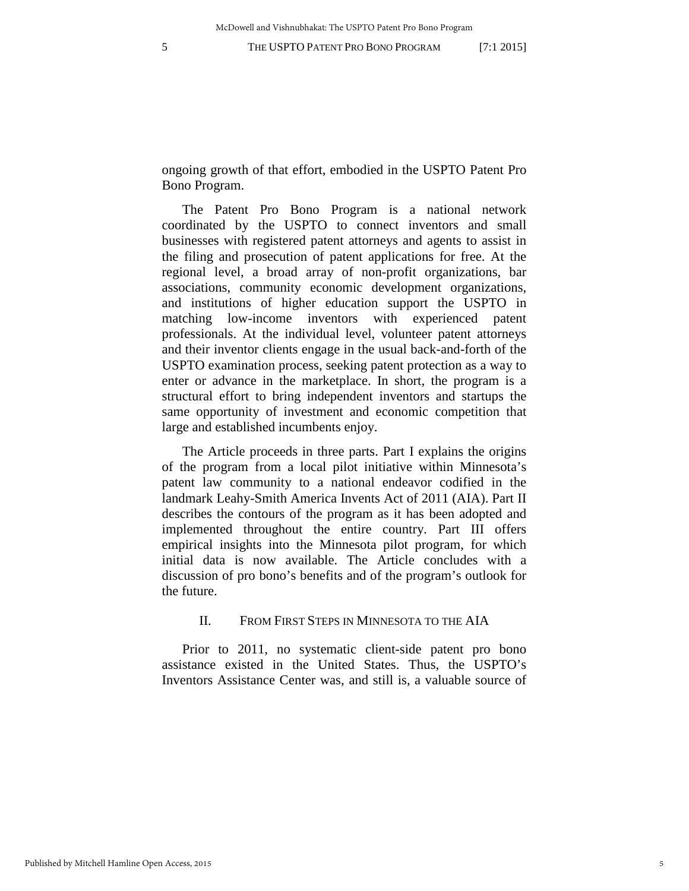ongoing growth of that effort, embodied in the USPTO Patent Pro Bono Program.

The Patent Pro Bono Program is a national network coordinated by the USPTO to connect inventors and small businesses with registered patent attorneys and agents to assist in the filing and prosecution of patent applications for free. At the regional level, a broad array of non-profit organizations, bar associations, community economic development organizations, and institutions of higher education support the USPTO in matching low-income inventors with experienced patent professionals. At the individual level, volunteer patent attorneys and their inventor clients engage in the usual back-and-forth of the USPTO examination process, seeking patent protection as a way to enter or advance in the marketplace. In short, the program is a structural effort to bring independent inventors and startups the same opportunity of investment and economic competition that large and established incumbents enjoy.

The Article proceeds in three parts. Part I explains the origins of the program from a local pilot initiative within Minnesota's patent law community to a national endeavor codified in the landmark Leahy-Smith America Invents Act of 2011 (AIA). Part II describes the contours of the program as it has been adopted and implemented throughout the entire country. Part III offers empirical insights into the Minnesota pilot program, for which initial data is now available. The Article concludes with a discussion of pro bono's benefits and of the program's outlook for the future.

# II. FROM FIRST STEPS IN MINNESOTA TO THE AIA

Prior to 2011, no systematic client-side patent pro bono assistance existed in the United States. Thus, the USPTO's Inventors Assistance Center was, and still is, a valuable source of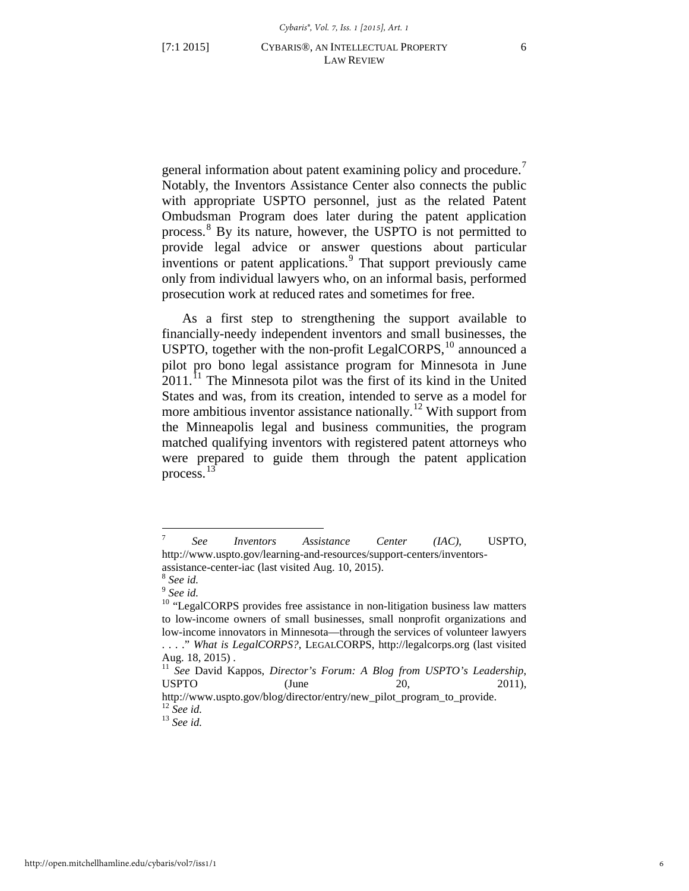general information about patent examining policy and procedure.<sup>[7](#page-6-0)</sup> Notably, the Inventors Assistance Center also connects the public with appropriate USPTO personnel, just as the related Patent Ombudsman Program does later during the patent application process.[8](#page-6-1) By its nature, however, the USPTO is not permitted to provide legal advice or answer questions about particular inventions or patent applications.[9](#page-6-2) That support previously came only from individual lawyers who, on an informal basis, performed prosecution work at reduced rates and sometimes for free.

<span id="page-6-7"></span>As a first step to strengthening the support available to financially-needy independent inventors and small businesses, the USPTO, together with the non-profit LegalCORPS, $^{10}$  $^{10}$  $^{10}$  announced a pilot pro bono legal assistance program for Minnesota in June  $2011$  $2011$ .<sup>11</sup> The Minnesota pilot was the first of its kind in the United States and was, from its creation, intended to serve as a model for more ambitious inventor assistance nationally.<sup>12</sup> With support from the Minneapolis legal and business communities, the program matched qualifying inventors with registered patent attorneys who were prepared to guide them through the patent application process.<sup>[13](#page-6-6)</sup>

<span id="page-6-0"></span> $\overline{7}$ <sup>7</sup> *See Inventors Assistance Center (IAC)*, USPTO, http://www.uspto.gov/learning-and-resources/support-centers/inventorsassistance-center-iac (last visited Aug. 10, 2015). <sup>8</sup> *See id.* <sup>9</sup> *See id.*

<span id="page-6-1"></span>

<span id="page-6-3"></span><span id="page-6-2"></span><sup>&</sup>lt;sup>10</sup> "LegalCORPS provides free assistance in non-litigation business law matters to low-income owners of small businesses, small nonprofit organizations and low-income innovators in Minnesota—through the services of volunteer lawyers . . . ." *What is LegalCORPS?*, LEGALCORPS, http://legalcorps.org (last visited Aug. 18, 2015) .

<span id="page-6-4"></span><sup>11</sup> *See* David Kappos, *Director's Forum: A Blog from USPTO's Leadership*, USPTO  $\qquad \qquad$  (June  $20,$  2011),

<span id="page-6-5"></span>http://www.uspto.gov/blog/director/entry/new\_pilot\_program\_to\_provide.<br><sup>12</sup> See id.

<span id="page-6-6"></span><sup>12</sup> *See id.* <sup>13</sup> *See id.*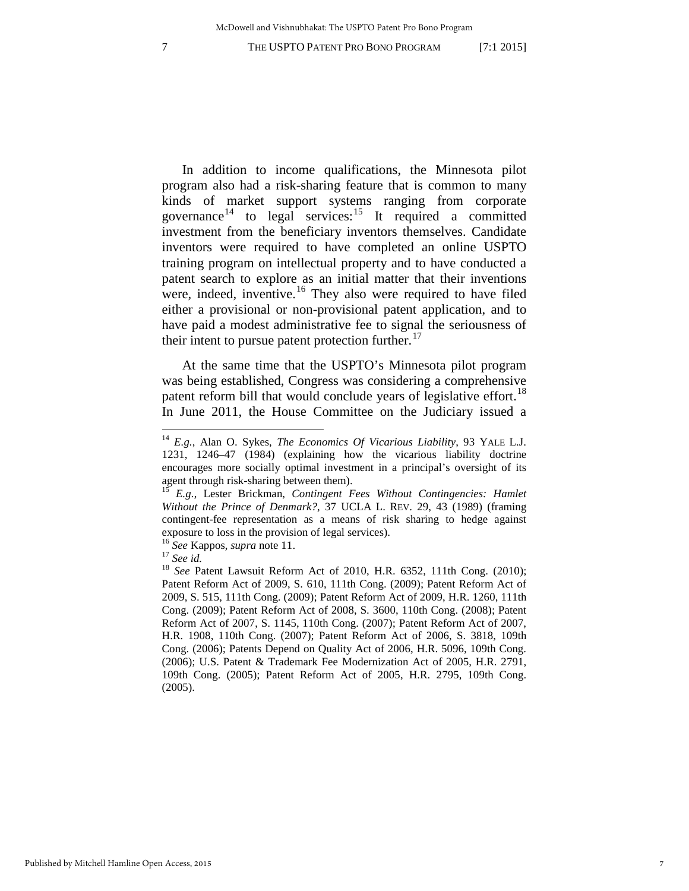In addition to income qualifications, the Minnesota pilot program also had a risk-sharing feature that is common to many kinds of market support systems ranging from corporate governance<sup>[14](#page-7-0)</sup> to legal services:<sup>15</sup> It required a committed investment from the beneficiary inventors themselves. Candidate inventors were required to have completed an online USPTO training program on intellectual property and to have conducted a patent search to explore as an initial matter that their inventions were, indeed, inventive.<sup>[16](#page-7-2)</sup> They also were required to have filed either a provisional or non-provisional patent application, and to have paid a modest administrative fee to signal the seriousness of their intent to pursue patent protection further. $^{17}$  $^{17}$  $^{17}$ 

At the same time that the USPTO's Minnesota pilot program was being established, Congress was considering a comprehensive patent reform bill that would conclude years of legislative effort.<sup>[18](#page-7-4)</sup> In June 2011, the House Committee on the Judiciary issued a

<span id="page-7-0"></span><sup>14</sup> *E.g.*, Alan O. Sykes, *The Economics Of Vicarious Liability*, 93 YALE L.J. 1231, 1246–47 (1984) (explaining how the vicarious liability doctrine encourages more socially optimal investment in a principal's oversight of its agent through risk-sharing between them). <sup>15</sup> *E.g.*, Lester Brickman, *Contingent Fees Without Contingencies: Hamlet* 

<span id="page-7-1"></span>*Without the Prince of Denmark?*, 37 UCLA L. REV. 29, 43 (1989) (framing contingent-fee representation as a means of risk sharing to hedge against exposure to loss in the provision of legal services).<br><sup>16</sup> See Kappos, *supra* note 11.

<span id="page-7-4"></span><span id="page-7-3"></span><span id="page-7-2"></span><sup>17</sup> *See Exappos, supra* note [11.](#page-6-7)<br><sup>17</sup> *See id.* <sup>18</sup> *See Patent Lawsuit Reform Act of 2010, H.R. 6352, 111th Cong. (2010);* Patent Reform Act of 2009, S. 610, 111th Cong. (2009); Patent Reform Act of 2009, S. 515, 111th Cong. (2009); Patent Reform Act of 2009, H.R. 1260, 111th Cong. (2009); Patent Reform Act of 2008, S. 3600, 110th Cong. (2008); Patent Reform Act of 2007, S. 1145, 110th Cong. (2007); Patent Reform Act of 2007, H.R. 1908, 110th Cong. (2007); Patent Reform Act of 2006, S. 3818, 109th Cong. (2006); Patents Depend on Quality Act of 2006, H.R. 5096, 109th Cong. (2006); U.S. Patent & Trademark Fee Modernization Act of 2005, H.R. 2791, 109th Cong. (2005); Patent Reform Act of 2005, H.R. 2795, 109th Cong. (2005).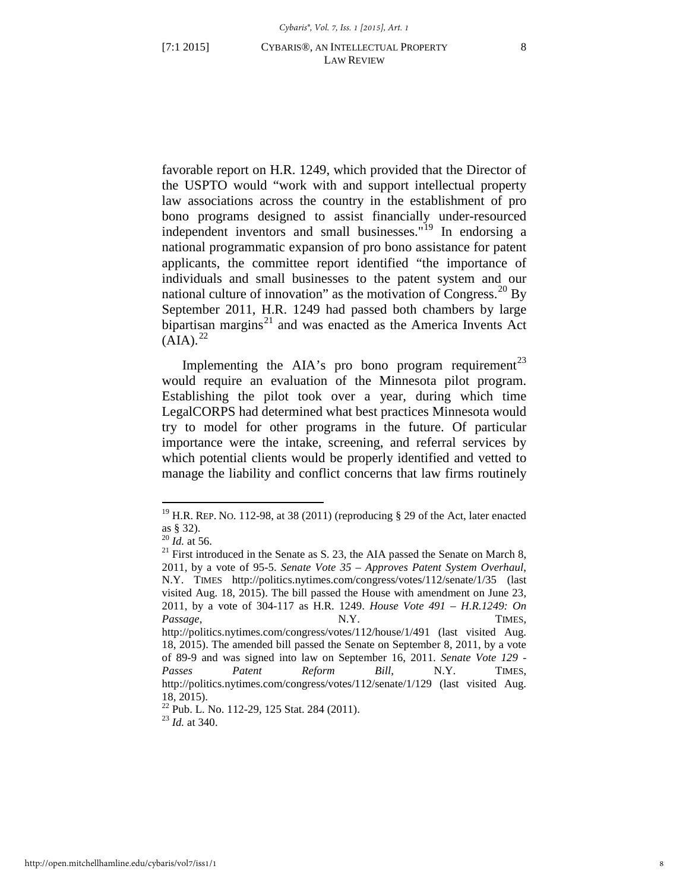favorable report on H.R. 1249, which provided that the Director of the USPTO would "work with and support intellectual property law associations across the country in the establishment of pro bono programs designed to assist financially under-resourced independent inventors and small businesses."[19](#page-8-0) In endorsing a national programmatic expansion of pro bono assistance for patent applicants, the committee report identified "the importance of individuals and small businesses to the patent system and our national culture of innovation" as the motivation of Congress.<sup>[20](#page-8-1)</sup> By September 2011, H.R. 1249 had passed both chambers by large bipartisan margins<sup>[21](#page-8-2)</sup> and was enacted as the America Invents Act  $(AIA).^{22}$  $(AIA).^{22}$  $(AIA).^{22}$ 

Implementing the AIA's pro bono program requirement<sup>[23](#page-8-4)</sup> would require an evaluation of the Minnesota pilot program. Establishing the pilot took over a year, during which time LegalCORPS had determined what best practices Minnesota would try to model for other programs in the future. Of particular importance were the intake, screening, and referral services by which potential clients would be properly identified and vetted to manage the liability and conflict concerns that law firms routinely

<sup>&</sup>lt;sup>19</sup> H.R. REP. No. 112-98, at 38 (2011) (reproducing  $\S$  29 of the Act, later enacted

<span id="page-8-1"></span><span id="page-8-0"></span>as § 32).<br> $^{20}$  *Id.* at 56.

<span id="page-8-2"></span> $21$  First introduced in the Senate as S. 23, the AIA passed the Senate on March 8, 2011, by a vote of 95-5. *Senate Vote 35 – Approves Patent System Overhaul*, N.Y. TIMES http://politics.nytimes.com/congress/votes/112/senate/1/35 (last visited Aug. 18, 2015). The bill passed the House with amendment on June 23, 2011, by a vote of 304-117 as H.R. 1249. *House Vote 491 – H.R.1249: On*  Passage, N.Y. TIMES, http://politics.nytimes.com/congress/votes/112/house/1/491 (last visited Aug. 18, 2015). The amended bill passed the Senate on September 8, 2011, by a vote of 89-9 and was signed into law on September 16, 2011. *Senate Vote 129 - Passes Patent Reform Bill*, N.Y. TIMES, http://politics.nytimes.com/congress/votes/112/senate/1/129 (last visited Aug. 18, 2015).

<span id="page-8-4"></span><span id="page-8-3"></span><sup>22</sup> Pub. L. No. 112-29, 125 Stat. 284 (2011). <sup>23</sup> *Id.* at 340.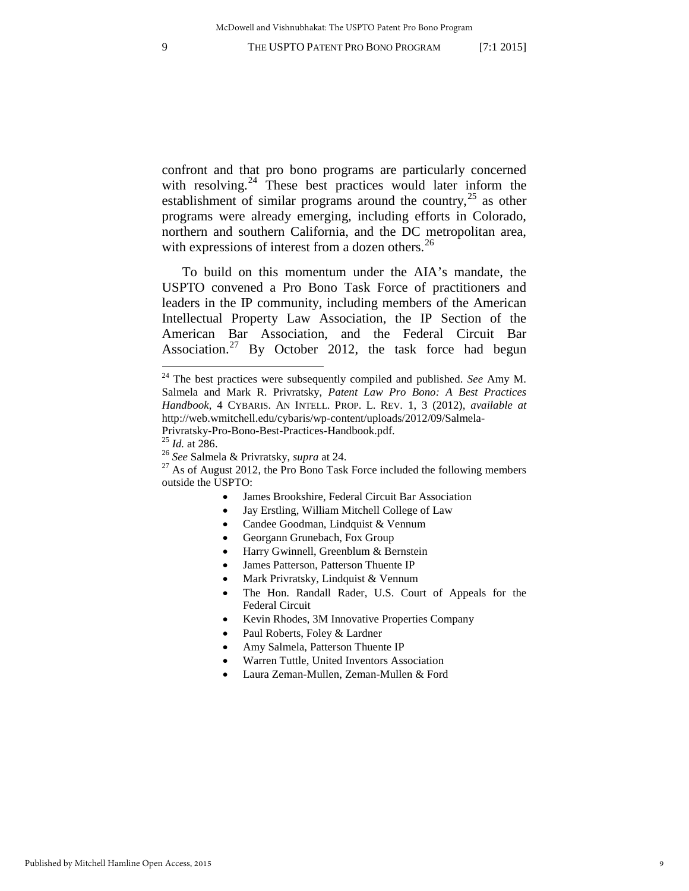<span id="page-9-0"></span>confront and that pro bono programs are particularly concerned with resolving. $^{24}$  $^{24}$  $^{24}$  These best practices would later inform the establishment of similar programs around the country,  $25$  as other programs were already emerging, including efforts in Colorado, northern and southern California, and the DC metropolitan area, with expressions of interest from a dozen others.<sup>[26](#page-9-3)</sup>

To build on this momentum under the AIA's mandate, the USPTO convened a Pro Bono Task Force of practitioners and leaders in the IP community, including members of the American Intellectual Property Law Association, the IP Section of the American Bar Association, and the Federal Circuit Bar Association.[27](#page-9-4) By October 2012, the task force had begun

- James Brookshire, Federal Circuit Bar Association
- Jay Erstling, William Mitchell College of Law
- Candee Goodman, Lindquist & Vennum
- Georgann Grunebach, Fox Group
- Harry Gwinnell, Greenblum & Bernstein
- James Patterson, Patterson Thuente IP
- Mark Privratsky, Lindquist & Vennum
- The Hon. Randall Rader, U.S. Court of Appeals for the Federal Circuit
- Kevin Rhodes, 3M Innovative Properties Company
- Paul Roberts, Foley & Lardner
- Amy Salmela, Patterson Thuente IP
- Warren Tuttle, United Inventors Association
- Laura Zeman-Mullen, Zeman-Mullen & Ford

<span id="page-9-1"></span><sup>&</sup>lt;sup>24</sup> The best practices were subsequently compiled and published. *See* Amy M. Salmela and Mark R. Privratsky, *Patent Law Pro Bono: A Best Practices Handbook*, 4 CYBARIS. AN INTELL. PROP. L. REV. 1, 3 (2012), *available at*  http://web.wmitchell.edu/cybaris/wp-content/uploads/2012/09/Salmela-

<span id="page-9-4"></span>

<span id="page-9-3"></span><span id="page-9-2"></span>Privratsky-Pro-Bono-Best-Practices-Handbook.pdf.<br><sup>25</sup> *Id.* at 286.<br><sup>26</sup> *See* Salmela & Privratsky, *supra* a[t 24.](#page-9-0)<br><sup>27</sup> As of August 2012, the Pro Bono Task Force included the following members outside the USPTO: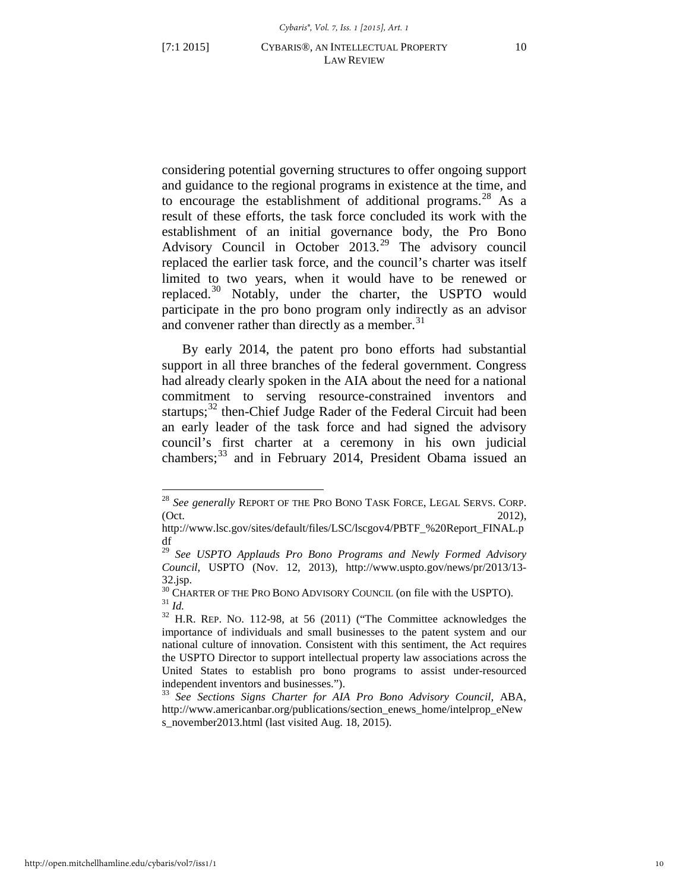$\overline{a}$ 

considering potential governing structures to offer ongoing support and guidance to the regional programs in existence at the time, and to encourage the establishment of additional programs.<sup>[28](#page-10-0)</sup> As a result of these efforts, the task force concluded its work with the establishment of an initial governance body, the Pro Bono Advisory Council in October 2013.<sup>[29](#page-10-1)</sup> The advisory council replaced the earlier task force, and the council's charter was itself limited to two years, when it would have to be renewed or replaced.[30](#page-10-2) Notably, under the charter, the USPTO would participate in the pro bono program only indirectly as an advisor and convener rather than directly as a member. $31$ 

By early 2014, the patent pro bono efforts had substantial support in all three branches of the federal government. Congress had already clearly spoken in the AIA about the need for a national commitment to serving resource-constrained inventors and startups;<sup>[32](#page-10-4)</sup> then-Chief Judge Rader of the Federal Circuit had been an early leader of the task force and had signed the advisory council's first charter at a ceremony in his own judicial chambers;<sup>[33](#page-10-5)</sup> and in February 2014, President Obama issued an

<span id="page-10-0"></span><sup>28</sup> *See generally* REPORT OF THE PRO BONO TASK FORCE, LEGAL SERVS. CORP. (Oct. 2012),

http://www.lsc.gov/sites/default/files/LSC/lscgov4/PBTF\_%20Report\_FINAL.p df

<span id="page-10-1"></span><sup>29</sup> *See USPTO Applauds Pro Bono Programs and Newly Formed Advisory Council*, USPTO (Nov. 12, 2013), http://www.uspto.gov/news/pr/2013/13- 32.jsp.<br><sup>30</sup> Charter of the Pro Bono Advisory Council (on file with the USPTO).

<span id="page-10-3"></span><span id="page-10-2"></span> $\frac{31}{10}$  *Id.*  $\frac{32}{10}$  H.R. REP. No. 112-98, at 56 (2011) ("The Committee acknowledges the

<span id="page-10-4"></span>importance of individuals and small businesses to the patent system and our national culture of innovation. Consistent with this sentiment, the Act requires the USPTO Director to support intellectual property law associations across the United States to establish pro bono programs to assist under-resourced independent inventors and businesses.").

<span id="page-10-5"></span><sup>33</sup> *See Sections Signs Charter for AIA Pro Bono Advisory Council*, ABA, http://www.americanbar.org/publications/section\_enews\_home/intelprop\_eNew s\_november2013.html (last visited Aug. 18, 2015).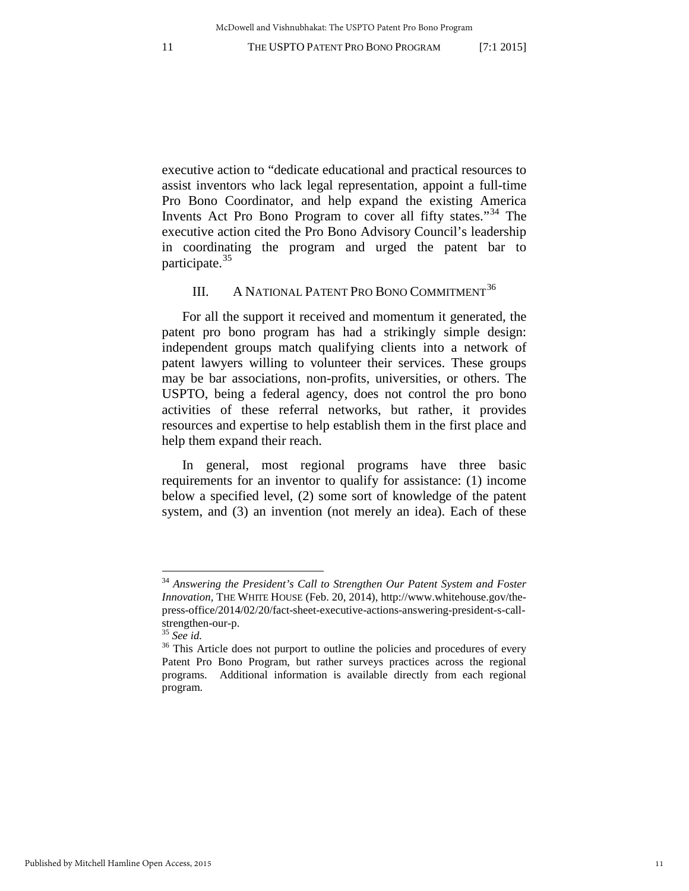executive action to "dedicate educational and practical resources to assist inventors who lack legal representation, appoint a full-time Pro Bono Coordinator, and help expand the existing America Invents Act Pro Bono Program to cover all fifty states."<sup>[34](#page-11-0)</sup> The executive action cited the Pro Bono Advisory Council's leadership in coordinating the program and urged the patent bar to participate.<sup>[35](#page-11-1)</sup>

# III. A NATIONAL PATENT PRO BONO COMMITMENT<sup>[36](#page-11-2)</sup>

For all the support it received and momentum it generated, the patent pro bono program has had a strikingly simple design: independent groups match qualifying clients into a network of patent lawyers willing to volunteer their services. These groups may be bar associations, non-profits, universities, or others. The USPTO, being a federal agency, does not control the pro bono activities of these referral networks, but rather, it provides resources and expertise to help establish them in the first place and help them expand their reach.

In general, most regional programs have three basic requirements for an inventor to qualify for assistance: (1) income below a specified level, (2) some sort of knowledge of the patent system, and (3) an invention (not merely an idea). Each of these

<span id="page-11-0"></span><sup>34</sup> *Answering the President's Call to Strengthen Our Patent System and Foster Innovation,* THE WHITE HOUSE (Feb. 20, 2014), http://www.whitehouse.gov/thepress-office/2014/02/20/fact-sheet-executive-actions-answering-president-s-callstrengthen-our-p.<br><sup>35</sup> *See id.* <sup>36</sup> This Article does not purport to outline the policies and procedures of every

<span id="page-11-1"></span>

<span id="page-11-2"></span>Patent Pro Bono Program, but rather surveys practices across the regional programs. Additional information is available directly from each regional program.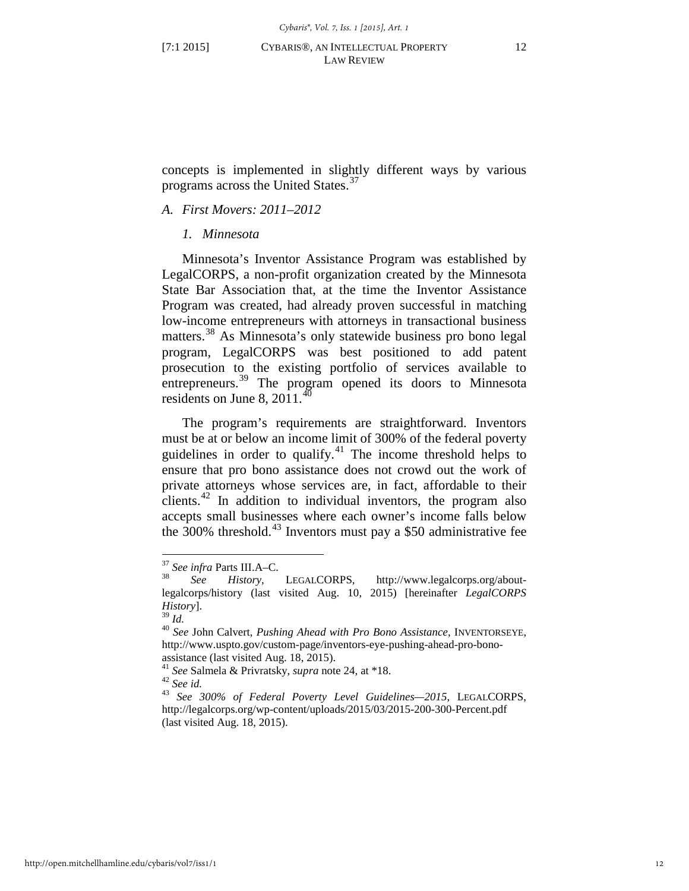concepts is implemented in slightly different ways by various programs across the United States.<sup>[37](#page-12-0)</sup>

# *A. First Movers: 2011–2012*

# *1. Minnesota*

<span id="page-12-7"></span>Minnesota's Inventor Assistance Program was established by LegalCORPS, a non-profit organization created by the Minnesota State Bar Association that, at the time the Inventor Assistance Program was created, had already proven successful in matching low-income entrepreneurs with attorneys in transactional business matters.<sup>[38](#page-12-1)</sup> As Minnesota's only statewide business pro bono legal program, LegalCORPS was best positioned to add patent prosecution to the existing portfolio of services available to entrepreneurs.<sup>[39](#page-12-2)</sup> The program opened its doors to Minnesota residents on June 8,  $2011.<sup>40</sup>$  $2011.<sup>40</sup>$  $2011.<sup>40</sup>$ 

The program's requirements are straightforward. Inventors must be at or below an income limit of 300% of the federal poverty guidelines in order to qualify. $41$  The income threshold helps to ensure that pro bono assistance does not crowd out the work of private attorneys whose services are, in fact, affordable to their clients. $42$  In addition to individual inventors, the program also accepts small businesses where each owner's income falls below the 300% threshold.<sup>[43](#page-12-6)</sup> Inventors must pay a \$50 administrative fee

<span id="page-12-6"></span><span id="page-12-5"></span>

<span id="page-12-1"></span><span id="page-12-0"></span><sup>37</sup> *See infra* Parts III.A–C. 38 *See History*, LEGALCORPS, http://www.legalcorps.org/aboutlegalcorps/history (last visited Aug. 10, 2015) [hereinafter *LegalCORPS History*].<br><sup>39</sup> *Id*.

<span id="page-12-3"></span><span id="page-12-2"></span><sup>39</sup> *Id.* <sup>40</sup> *See* John Calvert, *Pushing Ahead with Pro Bono Assistance*, INVENTORSEYE, http://www.uspto.gov/custom-page/inventors-eye-pushing-ahead-pro-bono-

<span id="page-12-4"></span>assistance (last visited Aug. 18, 2015).<br><sup>41</sup> *See* Salmela & Privratsky, *supra* note [24,](#page-9-0) at \*18.<br><sup>42</sup> *See id.* 43 *See 300% of Federal Poverty Level Guidelines—2015*, LEGALCORPS, http://legalcorps.org/wp-content/uploads/2015/03/2015-200-300-Percent.pdf (last visited Aug. 18, 2015).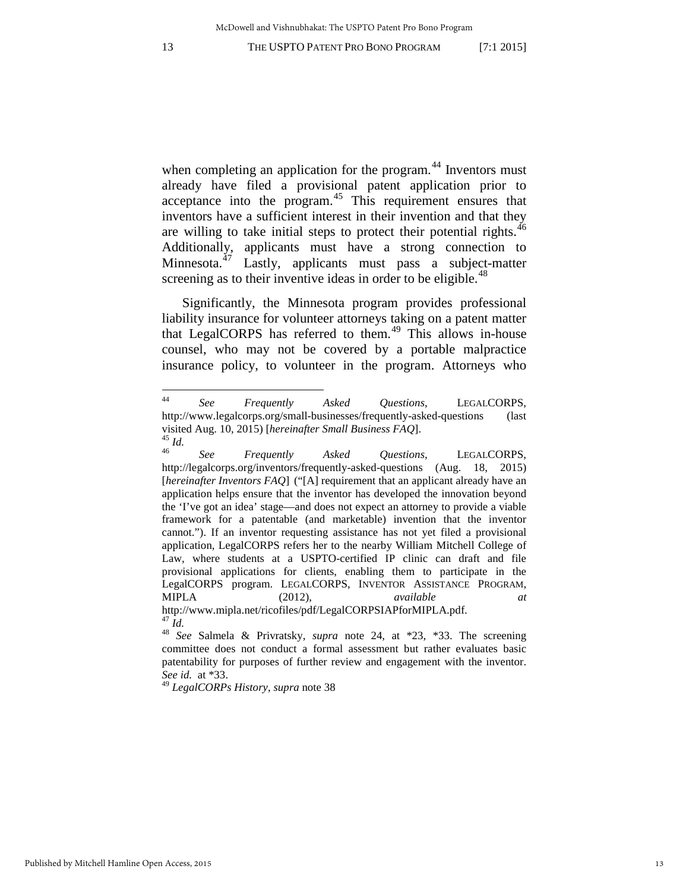when completing an application for the program.<sup>[44](#page-13-0)</sup> Inventors must already have filed a provisional patent application prior to acceptance into the program.<sup>[45](#page-13-1)</sup> This requirement ensures that inventors have a sufficient interest in their invention and that they are willing to take initial steps to protect their potential rights.<sup>[46](#page-13-2)</sup> Additionally, applicants must have a strong connection to Minnesota. $^{47}$  $^{47}$  $^{47}$  Lastly, applicants must pass a subject-matter screening as to their inventive ideas in order to be eligible. $48$ 

Significantly, the Minnesota program provides professional liability insurance for volunteer attorneys taking on a patent matter that LegalCORPS has referred to them.<sup>[49](#page-13-5)</sup> This allows in-house counsel, who may not be covered by a portable malpractice insurance policy, to volunteer in the program. Attorneys who

<span id="page-13-5"></span><sup>49</sup> *LegalCORPs History*, *supra* note [38](#page-12-7)

<span id="page-13-0"></span> $44$ <sup>44</sup> *See Frequently Asked Questions*, LEGALCORPS, http://www.legalcorps.org/small-businesses/frequently-asked-questions (last visited Aug. 10, 2015) [*hereinafter Small Business FAQ*].<br><sup>45</sup> *Id. See Frequently Asked Ouestions*, LEGALCORPS,

<span id="page-13-2"></span><span id="page-13-1"></span>http://legalcorps.org/inventors/frequently-asked-questions (Aug. 18, 2015) [*hereinafter Inventors FAQ*] ("[A] requirement that an applicant already have an application helps ensure that the inventor has developed the innovation beyond the 'I've got an idea' stage—and does not expect an attorney to provide a viable framework for a patentable (and marketable) invention that the inventor cannot."). If an inventor requesting assistance has not yet filed a provisional application, LegalCORPS refers her to the nearby William Mitchell College of Law, where students at a USPTO-certified IP clinic can draft and file provisional applications for clients, enabling them to participate in the LegalCORPS program. LEGALCORPS, INVENTOR ASSISTANCE PROGRAM, MIPLA (2012), *available at* http://www.mipla.net/ricofiles/pdf/LegalCORPSIAPforMIPLA.pdf.

<span id="page-13-4"></span><span id="page-13-3"></span><sup>&</sup>lt;sup>48</sup> *See* Salmela & Privratsky, *supra* note [24,](#page-9-0) at \*23, \*33. The screening committee does not conduct a formal assessment but rather evaluates basic patentability for purposes of further review and engagement with the inventor. *See id.* at \*33.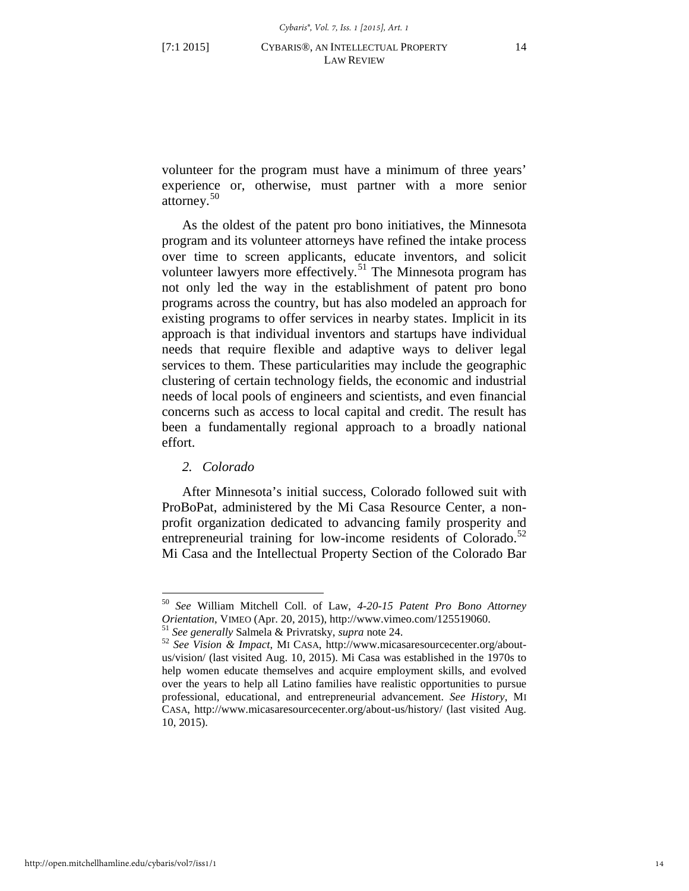volunteer for the program must have a minimum of three years' experience or, otherwise, must partner with a more senior attorney.<sup>[50](#page-14-0)</sup>

As the oldest of the patent pro bono initiatives, the Minnesota program and its volunteer attorneys have refined the intake process over time to screen applicants, educate inventors, and solicit volunteer lawyers more effectively.<sup>[51](#page-14-1)</sup> The Minnesota program has not only led the way in the establishment of patent pro bono programs across the country, but has also modeled an approach for existing programs to offer services in nearby states. Implicit in its approach is that individual inventors and startups have individual needs that require flexible and adaptive ways to deliver legal services to them. These particularities may include the geographic clustering of certain technology fields, the economic and industrial needs of local pools of engineers and scientists, and even financial concerns such as access to local capital and credit. The result has been a fundamentally regional approach to a broadly national effort.

# *2. Colorado*

 $\overline{a}$ 

After Minnesota's initial success, Colorado followed suit with ProBoPat, administered by the Mi Casa Resource Center, a nonprofit organization dedicated to advancing family prosperity and entrepreneurial training for low-income residents of Colorado. $52$ Mi Casa and the Intellectual Property Section of the Colorado Bar

<span id="page-14-0"></span><sup>50</sup> *See* William Mitchell Coll. of Law, *4-20-15 Patent Pro Bono Attorney* Orientation, VIMEO (Apr. 20, 2015), http://www.vimeo.com/125519060.<br><sup>51</sup> See generally Salmela & Privratsky, *supra* not[e 24.](#page-9-0)<br><sup>52</sup> See Vision & Impact, MI CASA, http://www.micasaresourcecenter.org/about-

<span id="page-14-2"></span><span id="page-14-1"></span>us/vision/ (last visited Aug. 10, 2015). Mi Casa was established in the 1970s to help women educate themselves and acquire employment skills, and evolved over the years to help all Latino families have realistic opportunities to pursue professional, educational, and entrepreneurial advancement. *See History*, MI CASA, http://www.micasaresourcecenter.org/about-us/history/ (last visited Aug. 10, 2015).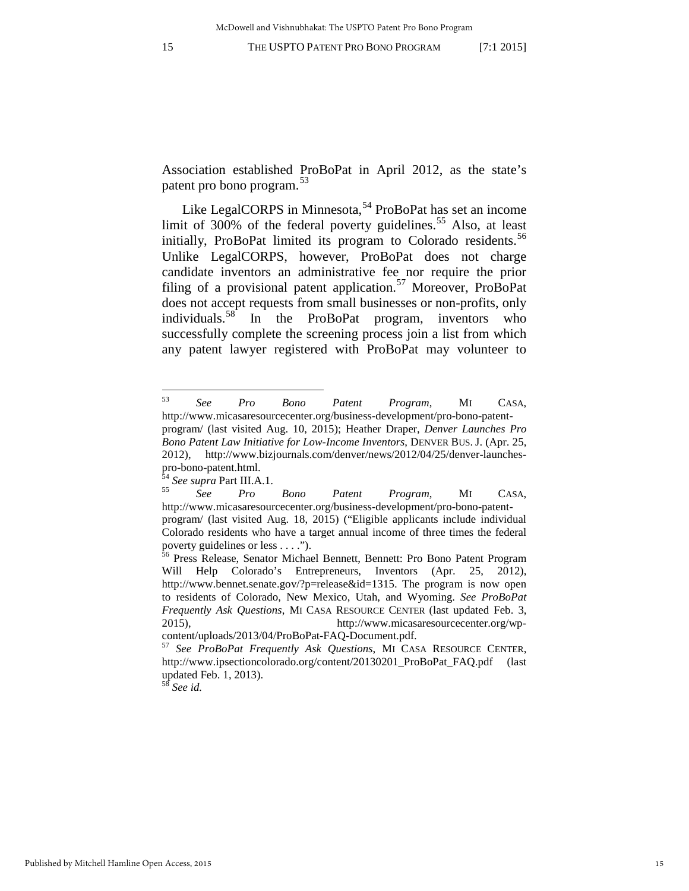Association established ProBoPat in April 2012, as the state's patent pro bono program.<sup>[53](#page-15-0)</sup>

Like LegalCORPS in Minnesota,  $54$  ProBoPat has set an income limit of 300% of the federal poverty guidelines.<sup>[55](#page-15-2)</sup> Also, at least initially, ProBoPat limited its program to Colorado residents.<sup>[56](#page-15-3)</sup> Unlike LegalCORPS, however, ProBoPat does not charge candidate inventors an administrative fee nor require the prior filing of a provisional patent application.<sup>[57](#page-15-4)</sup> Moreover, ProBoPat does not accept requests from small businesses or non-profits, only individuals.<sup>[58](#page-15-5)</sup> In the ProBoPat program, inventors who successfully complete the screening process join a list from which any patent lawyer registered with ProBoPat may volunteer to

<span id="page-15-5"></span><sup>58</sup> *See id.*

<span id="page-15-0"></span><sup>53</sup> <sup>53</sup> *See Pro Bono Patent Program*, MI CASA, http://www.micasaresourcecenter.org/business-development/pro-bono-patent-

program/ (last visited Aug. 10, 2015); Heather Draper, *Denver Launches Pro Bono Patent Law Initiative for Low-Income Inventors*, DENVER BUS. J. (Apr. 25, 2012), http://www.bizjournals.com/denver/news/2012/04/25/denver-launchespro-bono-patent.html. <sup>54</sup> *See supra* Part III.A.1. 55 *See Pro Bono Patent Program*, MI CASA,

<span id="page-15-2"></span><span id="page-15-1"></span>http://www.micasaresourcecenter.org/business-development/pro-bono-patent-

program/ (last visited Aug. 18, 2015) ("Eligible applicants include individual Colorado residents who have a target annual income of three times the federal

<span id="page-15-3"></span>poverty guidelines or less . . . .").<br><sup>56</sup> Press Release, Senator Michael Bennett, Bennett: Pro Bono Patent Program Will Help Colorado's Entrepreneurs, Inventors (Apr. 25, 2012), http://www.bennet.senate.gov/?p=release&id=1315. The program is now open to residents of Colorado, New Mexico, Utah, and Wyoming. *See ProBoPat Frequently Ask Questions*, MI CASA RESOURCE CENTER (last updated Feb. 3, 2015), http://www.micasaresourcecenter.org/wp-

<span id="page-15-4"></span>content/uploads/2013/04/ProBoPat-FAQ-Document.pdf. 57 *See ProBoPat Frequently Ask Questions*, MI CASA RESOURCE CENTER, http://www.ipsectioncolorado.org/content/20130201\_ProBoPat\_FAQ.pdf (last updated Feb. 1, 2013).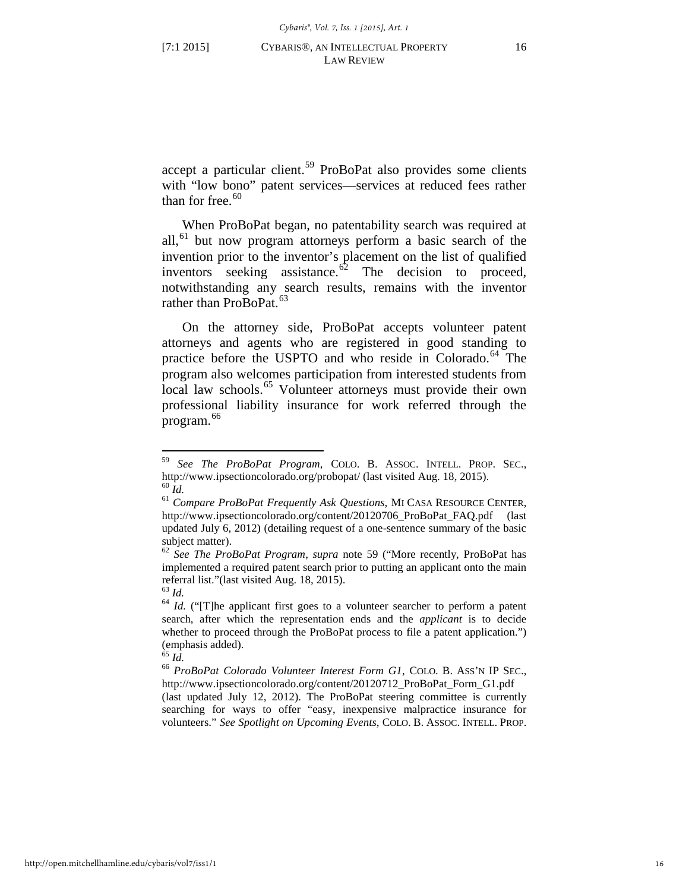<span id="page-16-0"></span>accept a particular client.<sup>[59](#page-16-1)</sup> ProBoPat also provides some clients with "low bono" patent services—services at reduced fees rather than for free.  $60$ 

When ProBoPat began, no patentability search was required at all,<sup>61</sup> but now program attorneys perform a basic search of the invention prior to the inventor's placement on the list of qualified inventors seeking assistance. $6^2$  The decision to proceed, notwithstanding any search results, remains with the inventor rather than ProBoPat.<sup>[63](#page-16-5)</sup>

On the attorney side, ProBoPat accepts volunteer patent attorneys and agents who are registered in good standing to practice before the USPTO and who reside in Colorado.<sup>[64](#page-16-6)</sup> The program also welcomes participation from interested students from local law schools.<sup>[65](#page-16-7)</sup> Volunteer attorneys must provide their own professional liability insurance for work referred through the program.[66](#page-16-8)

<sup>&</sup>lt;sup>59</sup> *See The ProBoPat Program*, COLO. B. ASSOC. INTELL. PROP. SEC., http://www.ipsectioncolorado.org/probopat/ (last visited Aug. 18, 2015).

<span id="page-16-4"></span><span id="page-16-3"></span><span id="page-16-2"></span><span id="page-16-1"></span>http://www.ipsectioncolorado.org/probopat/ (last visited Aug. 18, 2015). <sup>60</sup> *Id.* <sup>61</sup> *Compare ProBoPat Frequently Ask Questions*, MI CASA RESOURCE CENTER, http://www.ipsectioncolorado.org/content/20120706\_ProBoPat\_FAQ.pdf (last updated July 6, 2012) (detailing request of a one-sentence summary of the basic subject matter).

<sup>62</sup> *See The ProBoPat Program*, *supra* note [59](#page-16-0) ("More recently, ProBoPat has implemented a required patent search prior to putting an applicant onto the main referral list."(last visited Aug. 18, 2015).<br><sup>63</sup> *Id.* <sup>64</sup> *Id.* ("[T]he applicant first goes to a volunteer searcher to perform a patent  $\frac{64}{100}$ 

<span id="page-16-6"></span><span id="page-16-5"></span>search, after which the representation ends and the *applicant* is to decide whether to proceed through the ProBoPat process to file a patent application.") (emphasis added).

<span id="page-16-8"></span><span id="page-16-7"></span><sup>65</sup> *Id.* <sup>66</sup> *ProBoPat Colorado Volunteer Interest Form G1*, COLO. B. ASS'N IP SEC., http://www.ipsectioncolorado.org/content/20120712\_ProBoPat\_Form\_G1.pdf

<sup>(</sup>last updated July 12, 2012). The ProBoPat steering committee is currently searching for ways to offer "easy, inexpensive malpractice insurance for volunteers." *See Spotlight on Upcoming Events*, COLO. B. ASSOC. INTELL. PROP.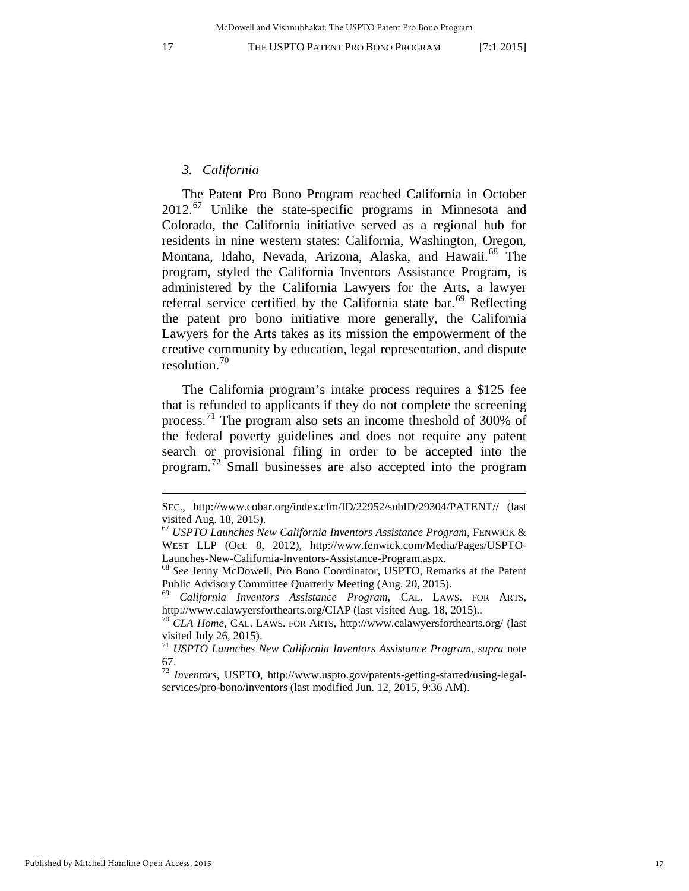<span id="page-17-7"></span>

<span id="page-17-8"></span> $\overline{a}$ 

#### *3. California*

<span id="page-17-0"></span>The Patent Pro Bono Program reached California in October 2012.[67](#page-17-1) Unlike the state-specific programs in Minnesota and Colorado, the California initiative served as a regional hub for residents in nine western states: California, Washington, Oregon, Montana, Idaho, Nevada, Arizona, Alaska, and Hawaii.<sup>[68](#page-17-2)</sup> The program, styled the California Inventors Assistance Program, is administered by the California Lawyers for the Arts, a lawyer referral service certified by the California state bar.<sup>[69](#page-17-3)</sup> Reflecting the patent pro bono initiative more generally, the California Lawyers for the Arts takes as its mission the empowerment of the creative community by education, legal representation, and dispute resolution.[70](#page-17-4)

The California program's intake process requires a \$125 fee that is refunded to applicants if they do not complete the screening process.<sup>[71](#page-17-5)</sup> The program also sets an income threshold of 300% of the federal poverty guidelines and does not require any patent search or provisional filing in order to be accepted into the program.[72](#page-17-6) Small businesses are also accepted into the program

SEC., http://www.cobar.org/index.cfm/ID/22952/subID/29304/PATENT// (last visited Aug. 18, 2015).

<span id="page-17-1"></span><sup>67</sup> *USPTO Launches New California Inventors Assistance Program,* FENWICK & WEST LLP (Oct. 8, 2012), http://www.fenwick.com/Media/Pages/USPTO-Launches-New-California-Inventors-Assistance-Program.aspx. <sup>68</sup> *See* Jenny McDowell, Pro Bono Coordinator, USPTO, Remarks at the Patent

<span id="page-17-2"></span>Public Advisory Committee Quarterly Meeting (Aug. 20, 2015).

<span id="page-17-3"></span><sup>69</sup> *California Inventors Assistance Program,* CAL. LAWS. FOR ARTS, http://www.calawyersforthearts.org/CIAP (last visited Aug. 18, 2015)..

<sup>70</sup> *CLA Home,* CAL. LAWS. FOR ARTS, http://www.calawyersforthearts.org/ (last visited July 26, 2015).

<span id="page-17-5"></span><span id="page-17-4"></span><sup>71</sup> *USPTO Launches New California Inventors Assistance Program*, *supra* note [67.](#page-17-0) [72](#page-17-0) *Inventors*, USPTO, http://www.uspto.gov/patents-getting-started/using-legal-

<span id="page-17-6"></span>services/pro-bono/inventors (last modified Jun. 12, 2015, 9:36 AM).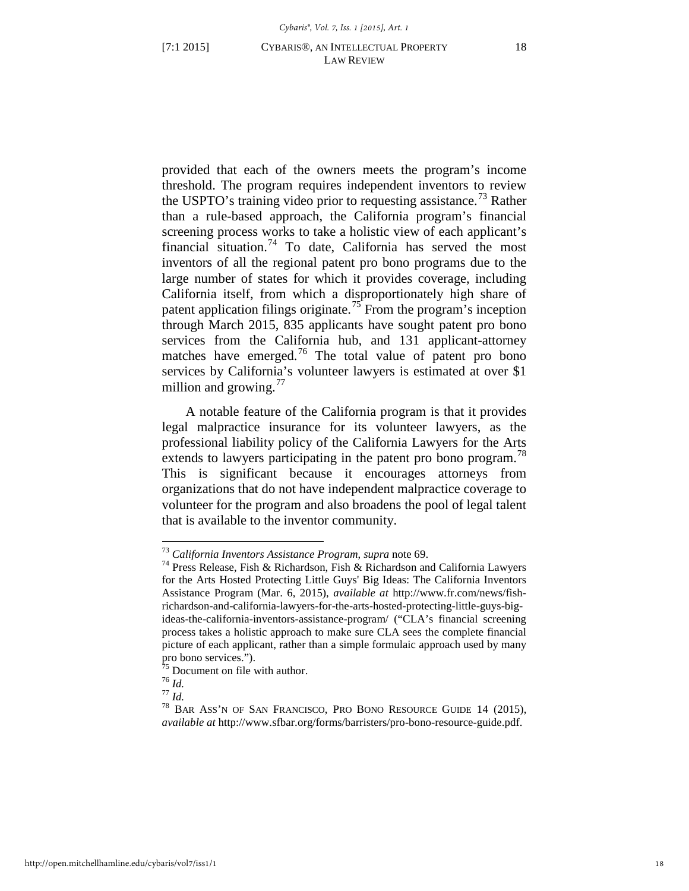provided that each of the owners meets the program's income threshold. The program requires independent inventors to review the USPTO's training video prior to requesting assistance.<sup>[73](#page-18-0)</sup> Rather than a rule-based approach, the California program's financial screening process works to take a holistic view of each applicant's financial situation.[74](#page-18-1) To date, California has served the most inventors of all the regional patent pro bono programs due to the large number of states for which it provides coverage, including California itself, from which a disproportionately high share of patent application filings originate.<sup>[75](#page-18-2)</sup> From the program's inception through March 2015, 835 applicants have sought patent pro bono services from the California hub, and 131 applicant-attorney matches have emerged.<sup>[76](#page-18-3)</sup> The total value of patent pro bono services by California's volunteer lawyers is estimated at over \$1 million and growing. $\frac{7}{7}$ 

A notable feature of the California program is that it provides legal malpractice insurance for its volunteer lawyers, as the professional liability policy of the California Lawyers for the Arts extends to lawyers participating in the patent pro bono program.<sup>[78](#page-18-5)</sup> This is significant because it encourages attorneys from organizations that do not have independent malpractice coverage to volunteer for the program and also broadens the pool of legal talent that is available to the inventor community.

 $^{73}$  California Inventors Assistance Program, supra note 69.

<span id="page-18-1"></span><span id="page-18-0"></span><sup>&</sup>lt;sup>74</sup> Press Release, Fish & Richardson, Fish & Richardson and California Lawyers for the Arts Hosted Protecting Little Guys' Big Ideas: The California Inventors Assistance Program (Mar. 6, 2015), *available at* http://www.fr.com/news/fishrichardson-and-california-lawyers-for-the-arts-hosted-protecting-little-guys-bigideas-the-california-inventors-assistance-program/ ("CLA's financial screening process takes a holistic approach to make sure CLA sees the complete financial picture of each applicant, rather than a simple formulaic approach used by many pro bono services.").<br> $\frac{75}{75}$  Document on file with author.

<span id="page-18-5"></span>

<span id="page-18-4"></span><span id="page-18-3"></span><span id="page-18-2"></span><sup>&</sup>lt;sup>76</sup> *Id.*<br><sup>77</sup> *Id.* 77 *Id.* 78 BAR ASS'N OF SAN FRANCISCO, PRO BONO RESOURCE GUIDE 14 (2015), *available at* http://www.sfbar.org/forms/barristers/pro-bono-resource-guide.pdf.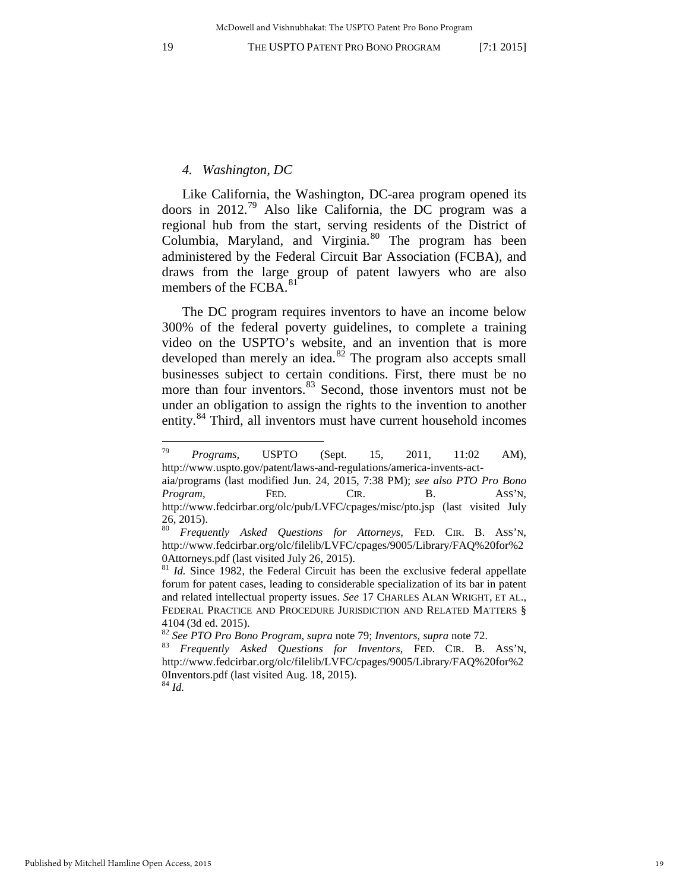#### <span id="page-19-0"></span>*4. Washington, DC*

Like California, the Washington, DC-area program opened its doors in 2012.<sup>[79](#page-19-1)</sup> Also like California, the DC program was a regional hub from the start, serving residents of the District of Columbia, Maryland, and Virginia.<sup>[80](#page-19-2)</sup> The program has been administered by the Federal Circuit Bar Association (FCBA), and draws from the large group of patent lawyers who are also members of the FCBA.<sup>[81](#page-19-3)</sup>

The DC program requires inventors to have an income below 300% of the federal poverty guidelines, to complete a training video on the USPTO's website, and an invention that is more developed than merely an idea. $82$  The program also accepts small businesses subject to certain conditions. First, there must be no more than four inventors.<sup>[83](#page-19-5)</sup> Second, those inventors must not be under an obligation to assign the rights to the invention to another entity.<sup>[84](#page-19-6)</sup> Third, all inventors must have current household incomes

<span id="page-19-1"></span><sup>79</sup> <sup>79</sup> *Programs*, USPTO (Sept. 15, 2011, 11:02 AM), http://www.uspto.gov/patent/laws-and-regulations/america-invents-act-

aia/programs (last modified Jun. 24, 2015, 7:38 PM); *see also PTO Pro Bono Program*, FED. CIR. B. ASS'N, http://www.fedcirbar.org/olc/pub/LVFC/cpages/misc/pto.jsp (last visited July 26, 2015).

<span id="page-19-2"></span><sup>80</sup> *Frequently Asked Questions for Attorneys*, FED. CIR. B. ASS'N, http://www.fedcirbar.org/olc/filelib/LVFC/cpages/9005/Library/FAQ%20for%2 0Attorneys.pdf (last visited July 26, 2015).<br><sup>81</sup> *Id.* Since 1982, the Federal Circuit has been the exclusive federal appellate

<span id="page-19-3"></span>forum for patent cases, leading to considerable specialization of its bar in patent and related intellectual property issues. *See* 17 CHARLES ALAN WRIGHT, ET AL., FEDERAL PRACTICE AND PROCEDURE JURISDICTION AND RELATED MATTERS § <sup>4104</sup> (3d ed. 2015). 82 *See PTO Pro Bono Program*, *supra* note 79; *Inventors*, *supra* note [72.](#page-17-8) 83 *Frequently Asked Questions for Inventors*, FED. CIR. B. ASS'N,

<span id="page-19-5"></span><span id="page-19-4"></span>

http://www.fedcirbar.org/olc/filelib/LVFC/cpages/9005/Library/FAQ%20for%2 0Inventors.pdf (last visited Aug. 18, 2015).

<span id="page-19-6"></span><sup>84</sup> *Id.*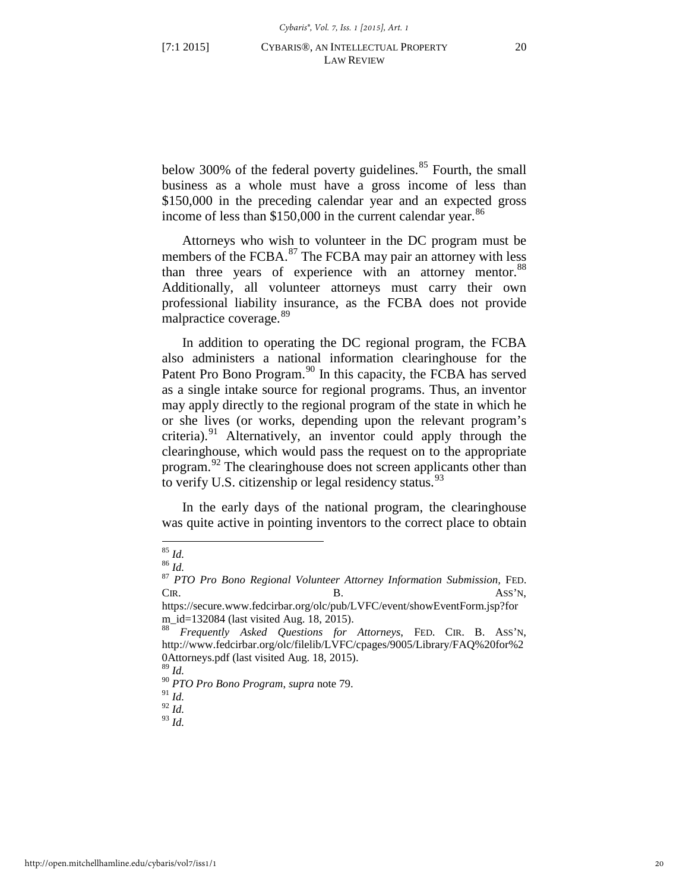below 300% of the federal poverty guidelines.<sup>[85](#page-20-0)</sup> Fourth, the small business as a whole must have a gross income of less than \$150,000 in the preceding calendar year and an expected gross income of less than  $$150,000$  in the current calendar year.<sup>[86](#page-20-1)</sup>

Attorneys who wish to volunteer in the DC program must be members of the FCBA.<sup>[87](#page-20-2)</sup> The FCBA may pair an attorney with less than three years of experience with an attorney mentor.<sup>[88](#page-20-3)</sup> Additionally, all volunteer attorneys must carry their own professional liability insurance, as the FCBA does not provide malpractice coverage.<sup>[89](#page-20-4)</sup>

In addition to operating the DC regional program, the FCBA also administers a national information clearinghouse for the Patent Pro Bono Program.<sup>[90](#page-20-5)</sup> In this capacity, the FCBA has served as a single intake source for regional programs. Thus, an inventor may apply directly to the regional program of the state in which he or she lives (or works, depending upon the relevant program's criteria).<sup>[91](#page-20-6)</sup> Alternatively, an inventor could apply through the clearinghouse, which would pass the request on to the appropriate program.[92](#page-20-7) The clearinghouse does not screen applicants other than to verify U.S. citizenship or legal residency status. $93$ 

In the early days of the national program, the clearinghouse was quite active in pointing inventors to the correct place to obtain

<span id="page-20-0"></span> $85$  Id.

<span id="page-20-2"></span><span id="page-20-1"></span><sup>85</sup> *Id.* <sup>86</sup> *Id.* <sup>87</sup> *PTO Pro Bono Regional Volunteer Attorney Information Submission,* FED. CIR. ASS'N,

https://secure.www.fedcirbar.org/olc/pub/LVFC/event/showEventForm.jsp?for m\_id=132084 (last visited Aug. 18, 2015). <sup>88</sup> *Frequently Asked Questions for Attorneys*, FED. CIR. B. ASS'N,

<span id="page-20-3"></span>http://www.fedcirbar.org/olc/filelib/LVFC/cpages/9005/Library/FAQ%20for%2 0Attorneys.pdf (last visited Aug. 18, 2015).

<sup>89</sup> *Id.*

<span id="page-20-5"></span><span id="page-20-4"></span><sup>90</sup> *PTO Pro Bono Program*, *supra* not[e 79.](#page-19-0) 91 *Id.* 

<span id="page-20-7"></span><span id="page-20-6"></span><sup>92</sup> *Id.* 

<span id="page-20-8"></span><sup>93</sup> *Id.*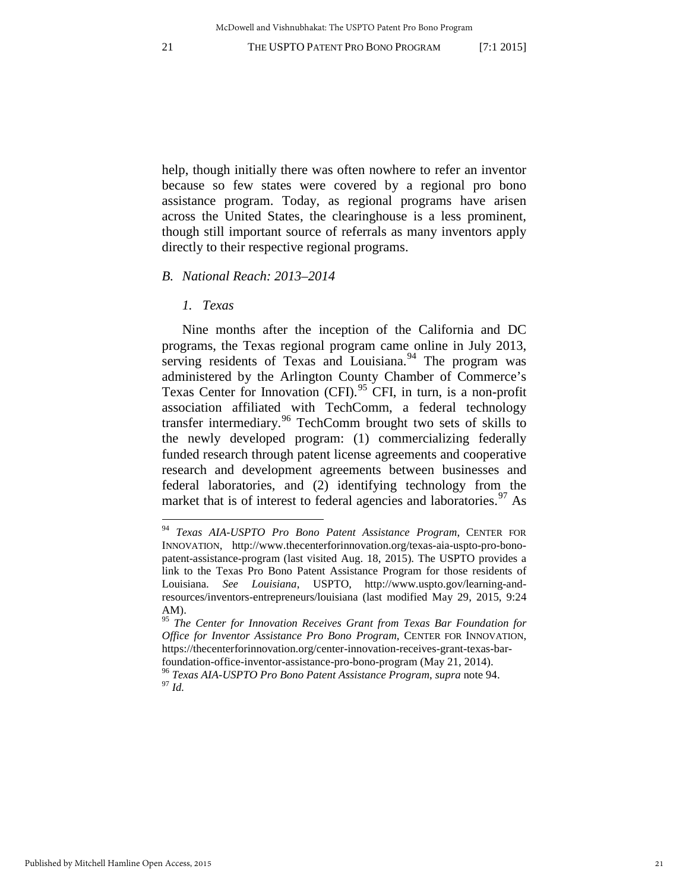help, though initially there was often nowhere to refer an inventor because so few states were covered by a regional pro bono assistance program. Today, as regional programs have arisen across the United States, the clearinghouse is a less prominent, though still important source of referrals as many inventors apply directly to their respective regional programs.

#### *B. National Reach: 2013–2014*

# <span id="page-21-5"></span><span id="page-21-0"></span>*1. Texas*

 $\overline{a}$ 

Nine months after the inception of the California and DC programs, the Texas regional program came online in July 2013, serving residents of Texas and Louisiana.<sup>[94](#page-21-1)</sup> The program was administered by the Arlington County Chamber of Commerce's Texas Center for Innovation (CFI).<sup>[95](#page-21-2)</sup> CFI, in turn, is a non-profit association affiliated with TechComm, a federal technology transfer intermediary.[96](#page-21-3) TechComm brought two sets of skills to the newly developed program: (1) commercializing federally funded research through patent license agreements and cooperative research and development agreements between businesses and federal laboratories, and (2) identifying technology from the market that is of interest to federal agencies and laboratories.<sup>[97](#page-21-4)</sup> As

<span id="page-21-1"></span><sup>94</sup> *Texas AIA-USPTO Pro Bono Patent Assistance Program*, CENTER FOR INNOVATION, http://www.thecenterforinnovation.org/texas-aia-uspto-pro-bonopatent-assistance-program (last visited Aug. 18, 2015). The USPTO provides a link to the Texas Pro Bono Patent Assistance Program for those residents of Louisiana. *See Louisiana*, USPTO, http://www.uspto.gov/learning-andresources/inventors-entrepreneurs/louisiana (last modified May 29, 2015, 9:24 AM).

<span id="page-21-2"></span><sup>95</sup> *The Center for Innovation Receives Grant from Texas Bar Foundation for Office for Inventor Assistance Pro Bono Program*, CENTER FOR INNOVATION, https://thecenterforinnovation.org/center-innovation-receives-grant-texas-bar-

<span id="page-21-4"></span><span id="page-21-3"></span>foundation-office-inventor-assistance-pro-bono-program (May 21, 2014). 96 *Texas AIA-USPTO Pro Bono Patent Assistance Program*, *supra* note [94.](#page-21-0) 97 *Id.*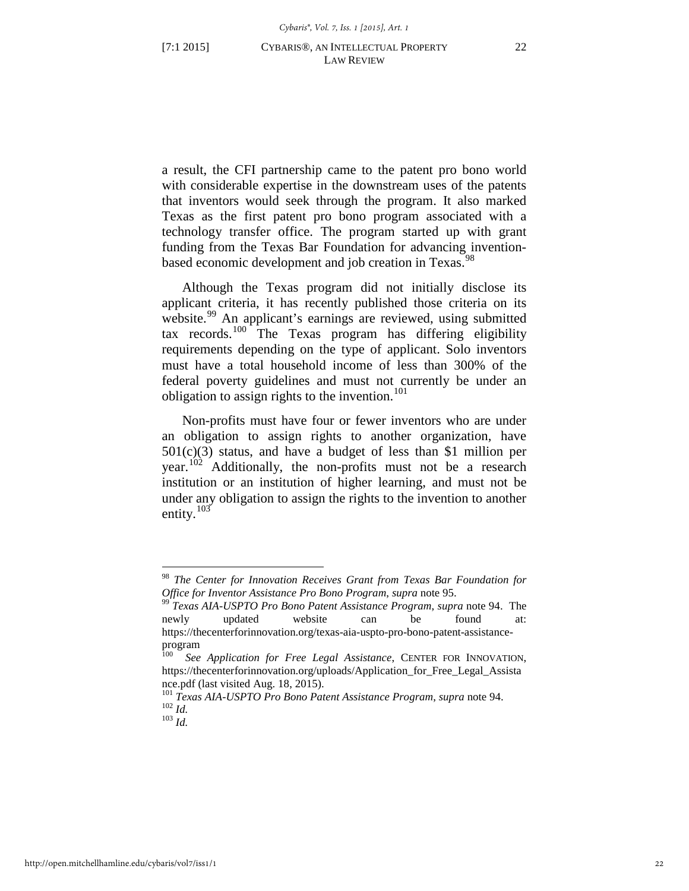a result, the CFI partnership came to the patent pro bono world with considerable expertise in the downstream uses of the patents that inventors would seek through the program. It also marked Texas as the first patent pro bono program associated with a technology transfer office. The program started up with grant funding from the Texas Bar Foundation for advancing inventionbased economic development and job creation in Texas.<sup>98</sup>

Although the Texas program did not initially disclose its applicant criteria, it has recently published those criteria on its website.<sup>[99](#page-22-1)</sup> An applicant's earnings are reviewed, using submitted tax records.[100](#page-22-2) The Texas program has differing eligibility requirements depending on the type of applicant. Solo inventors must have a total household income of less than 300% of the federal poverty guidelines and must not currently be under an obligation to assign rights to the invention.<sup>[101](#page-22-3)</sup>

Non-profits must have four or fewer inventors who are under an obligation to assign rights to another organization, have 501(c)(3) status, and have a budget of less than \$1 million per year.<sup>[102](#page-22-4)</sup> Additionally, the non-profits must not be a research institution or an institution of higher learning, and must not be under any obligation to assign the rights to the invention to another entity.<sup>[103](#page-22-5)</sup>

<span id="page-22-0"></span><sup>98</sup> *The Center for Innovation Receives Grant from Texas Bar Foundation for Office for Inventor Assistance Pro Bono Program, supra note 95.* 99 *Texas AIA-USPTO Pro Bono Patent Assistance Program, supra note [94.](#page-21-0)* The

<span id="page-22-1"></span>newly updated website can be found at: https://thecenterforinnovation.org/texas-aia-uspto-pro-bono-patent-assistanceprogram

<span id="page-22-2"></span><sup>100</sup> *See Application for Free Legal Assistance*, CENTER FOR INNOVATION, https://thecenterforinnovation.org/uploads/Application\_for\_Free\_Legal\_Assista

<span id="page-22-5"></span><span id="page-22-4"></span><span id="page-22-3"></span>nce.pdf (last visited Aug. 18, 2015).<br><sup>101</sup> *Texas AIA-USPTO Pro Bono Patent Assistance Program*, *supra* note [94.](#page-21-0)<br><sup>102</sup> *Id.* <sup>103</sup> *Id.*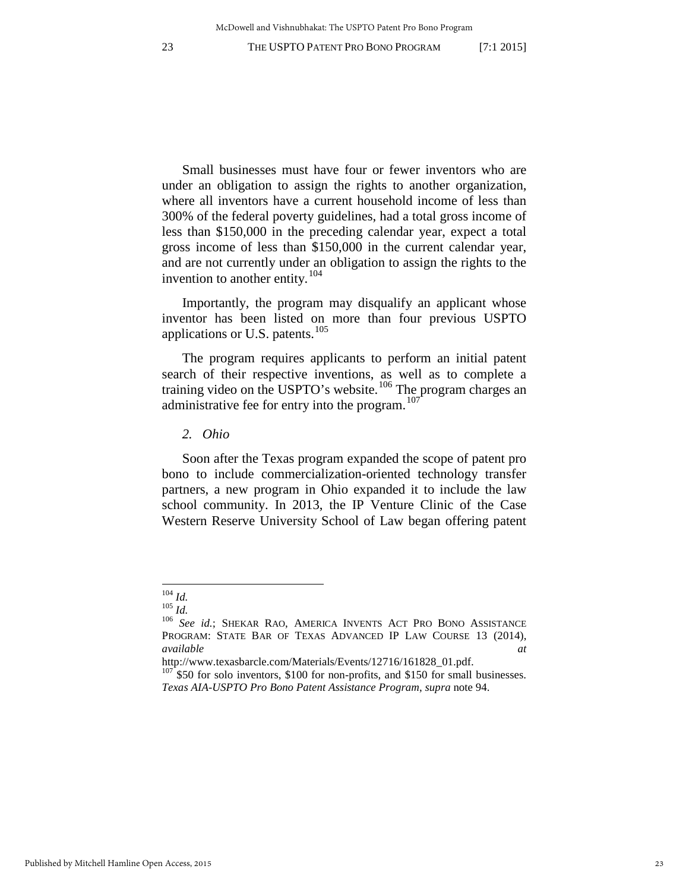Small businesses must have four or fewer inventors who are under an obligation to assign the rights to another organization, where all inventors have a current household income of less than 300% of the federal poverty guidelines, had a total gross income of less than \$150,000 in the preceding calendar year, expect a total gross income of less than \$150,000 in the current calendar year, and are not currently under an obligation to assign the rights to the invention to another entity.<sup>104</sup>

Importantly, the program may disqualify an applicant whose inventor has been listed on more than four previous USPTO applications or U.S. patents.<sup>[105](#page-23-1)</sup>

The program requires applicants to perform an initial patent search of their respective inventions, as well as to complete a training video on the USPTO's website.<sup>[106](#page-23-2)</sup> The program charges an administrative fee for entry into the program.<sup>[107](#page-23-3)</sup>

*2. Ohio*

Soon after the Texas program expanded the scope of patent pro bono to include commercialization-oriented technology transfer partners, a new program in Ohio expanded it to include the law school community. In 2013, the IP Venture Clinic of the Case Western Reserve University School of Law began offering patent

 $104$  *Id.* 

<span id="page-23-2"></span><span id="page-23-1"></span><span id="page-23-0"></span><sup>105</sup> *Id.*<br><sup>105</sup> *Id. See id.*; Shekar Rao, America Invents Act Pro Bono Assistance PROGRAM: STATE BAR OF TEXAS ADVANCED IP LAW COURSE 13 (2014), *available at*

<span id="page-23-3"></span>http://www.texasbarcle.com/Materials/Events/12716/161828\_01.pdf. 107 \$50 for solo inventors, \$100 for non-profits, and \$150 for small businesses. *Texas AIA-USPTO Pro Bono Patent Assistance Program*, *supra* note [94.](#page-21-0)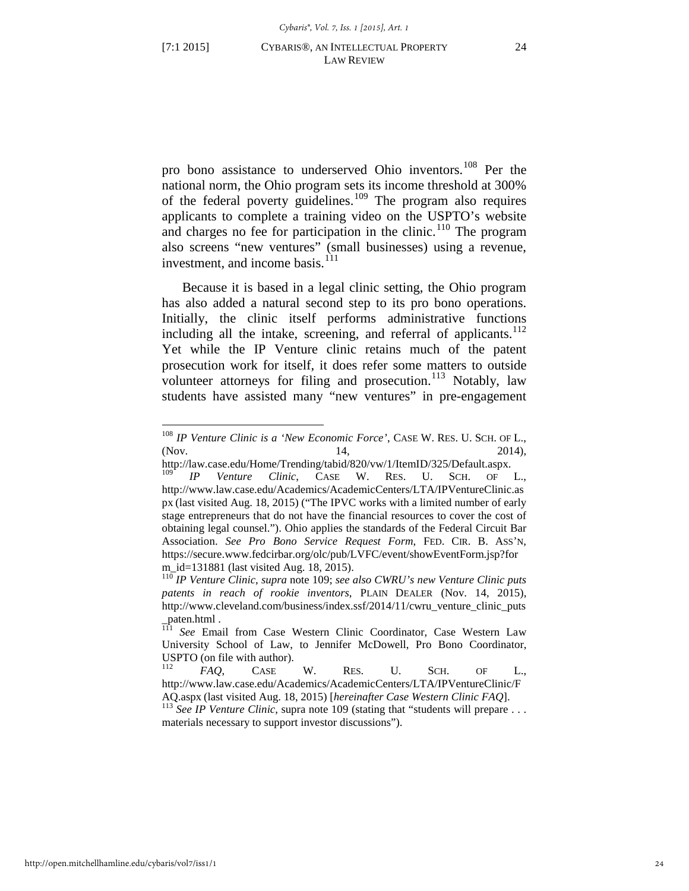$\overline{a}$ 

<span id="page-24-0"></span>pro bono assistance to underserved Ohio inventors.<sup>[108](#page-24-1)</sup> Per the national norm, the Ohio program sets its income threshold at 300% of the federal poverty guidelines.[109](#page-24-2) The program also requires applicants to complete a training video on the USPTO's website and charges no fee for participation in the clinic.<sup>[110](#page-24-3)</sup> The program also screens "new ventures" (small businesses) using a revenue, investment, and income basis.<sup>[111](#page-24-4)</sup>

<span id="page-24-7"></span>Because it is based in a legal clinic setting, the Ohio program has also added a natural second step to its pro bono operations. Initially, the clinic itself performs administrative functions including all the intake, screening, and referral of applicants.<sup>[112](#page-24-5)</sup> Yet while the IP Venture clinic retains much of the patent prosecution work for itself, it does refer some matters to outside volunteer attorneys for filing and prosecution.<sup>[113](#page-24-6)</sup> Notably, law students have assisted many "new ventures" in pre-engagement

<span id="page-24-1"></span><sup>108</sup> *IP Venture Clinic is a 'New Economic Force'*, CASE W. RES. U. SCH. OF L., (Nov. 14, 2014),

http://law.case.edu/Home/Trending/tabid/820/vw/1/ItemID/325/Default.aspx. 109 *IP Venture Clinic*, CASE W. RES. U. SCH. OF L.,

<span id="page-24-2"></span>http://www.law.case.edu/Academics/AcademicCenters/LTA/IPVentureClinic.as px (last visited Aug. 18, 2015) ("The IPVC works with a limited number of early stage entrepreneurs that do not have the financial resources to cover the cost of obtaining legal counsel."). Ohio applies the standards of the Federal Circuit Bar Association. *See Pro Bono Service Request Form*, FED. CIR. B. ASS'N, https://secure.www.fedcirbar.org/olc/pub/LVFC/event/showEventForm.jsp?for

<span id="page-24-3"></span>m\_id=131881 (last visited Aug. 18, 2015). 110 *IP Venture Clinic*, *supra* note [109;](#page-24-0) *see also CWRU's new Venture Clinic puts patents in reach of rookie inventors*, PLAIN DEALER (Nov. 14, 2015), http://www.cleveland.com/business/index.ssf/2014/11/cwru\_venture\_clinic\_puts

<span id="page-24-4"></span>paten.html .<br><sup>111</sup> *See* Email from Case Western Clinic Coordinator, Case Western Law University School of Law, to Jennifer McDowell, Pro Bono Coordinator, USPTO (on file with author).<br><sup>112</sup> *FAO*, CASE W. RES. U. SCH. OF L.,

<span id="page-24-5"></span>http://www.law.case.edu/Academics/AcademicCenters/LTA/IPVentureClinic/F AQ.aspx (last visited Aug. 18, 2015) [*hereinafter Case Western Clinic FAQ*].<br><sup>113</sup> *See IP Venture Clinic*, supra note [109](#page-24-0) (stating that "students will prepare . . .

<span id="page-24-6"></span>materials necessary to support investor discussions").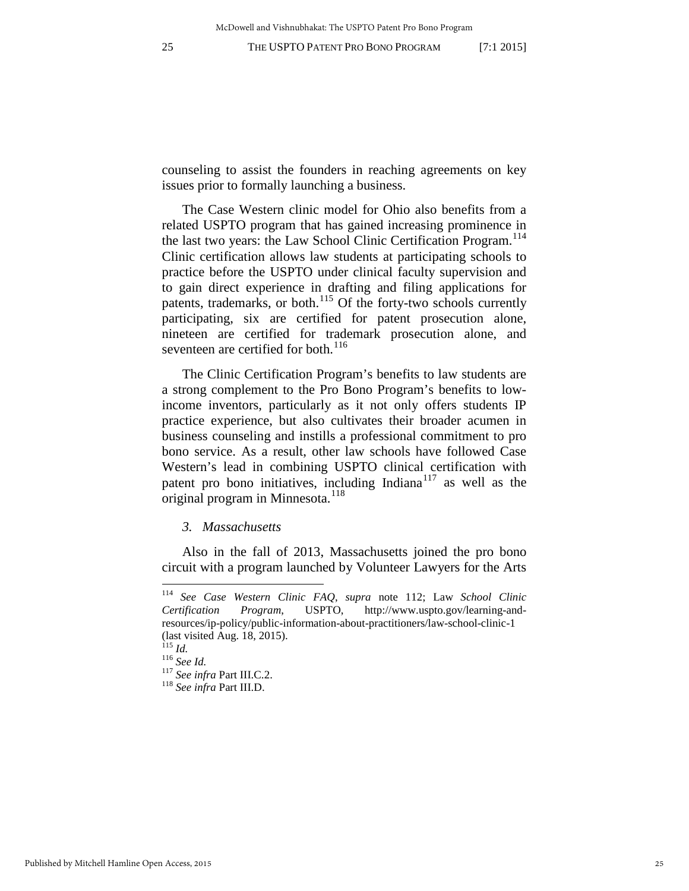counseling to assist the founders in reaching agreements on key issues prior to formally launching a business.

The Case Western clinic model for Ohio also benefits from a related USPTO program that has gained increasing prominence in the last two years: the Law School Clinic Certification Program.<sup>[114](#page-25-0)</sup> Clinic certification allows law students at participating schools to practice before the USPTO under clinical faculty supervision and to gain direct experience in drafting and filing applications for patents, trademarks, or both.[115](#page-25-1) Of the forty-two schools currently participating, six are certified for patent prosecution alone, nineteen are certified for trademark prosecution alone, and seventeen are certified for both.<sup>[116](#page-25-2)</sup>

The Clinic Certification Program's benefits to law students are a strong complement to the Pro Bono Program's benefits to lowincome inventors, particularly as it not only offers students IP practice experience, but also cultivates their broader acumen in business counseling and instills a professional commitment to pro bono service. As a result, other law schools have followed Case Western's lead in combining USPTO clinical certification with patent pro bono initiatives, including Indiana<sup>[117](#page-25-3)</sup> as well as the original program in Minnesota. $^{118}$  $^{118}$  $^{118}$ 

#### *3. Massachusetts*

Also in the fall of 2013, Massachusetts joined the pro bono circuit with a program launched by Volunteer Lawyers for the Arts

<span id="page-25-0"></span><sup>114</sup> *See Case Western Clinic FAQ*, *supra* note [112;](#page-24-7) Law *School Clinic Certification Program*, USPTO, http://www.uspto.gov/learning-andresources/ip-policy/public-information-about-practitioners/law-school-clinic-1 (last visited Aug. 18, 2015).<br> $^{115}$  *Id* 

<span id="page-25-4"></span><span id="page-25-3"></span><span id="page-25-2"></span><span id="page-25-1"></span><sup>115</sup> *Id.* <sup>116</sup> *See Id.* <sup>117</sup> *See infra* Part III.C.2. 118 *See infra* Part III.D.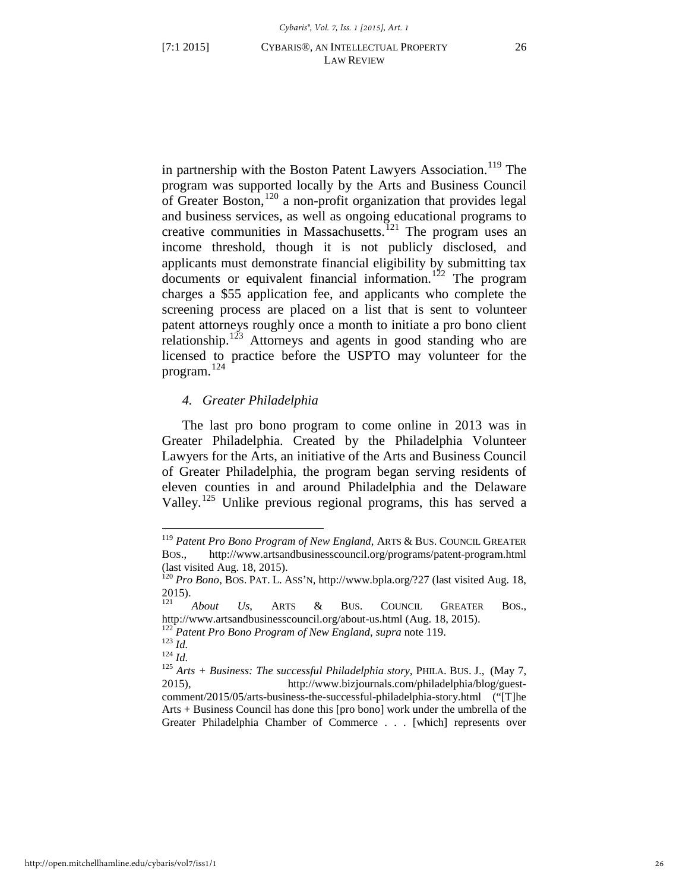<span id="page-26-0"></span>in partnership with the Boston Patent Lawyers Association.<sup>[119](#page-26-1)</sup> The program was supported locally by the Arts and Business Council of Greater Boston,[120](#page-26-2) a non-profit organization that provides legal and business services, as well as ongoing educational programs to creative communities in Massachusetts.<sup>[121](#page-26-3)</sup> The program uses an income threshold, though it is not publicly disclosed, and applicants must demonstrate financial eligibility by submitting tax  $d$ ocuments or equivalent financial information.<sup>[122](#page-26-4)</sup> The program charges a \$55 application fee, and applicants who complete the screening process are placed on a list that is sent to volunteer patent attorneys roughly once a month to initiate a pro bono client relationship.<sup>[123](#page-26-5)</sup> Attorneys and agents in good standing who are licensed to practice before the USPTO may volunteer for the program. [124](#page-26-6)

# *4. Greater Philadelphia*

The last pro bono program to come online in 2013 was in Greater Philadelphia. Created by the Philadelphia Volunteer Lawyers for the Arts, an initiative of the Arts and Business Council of Greater Philadelphia, the program began serving residents of eleven counties in and around Philadelphia and the Delaware Valley.<sup>[125](#page-26-7)</sup> Unlike previous regional programs, this has served a

<span id="page-26-1"></span><sup>119</sup> *Patent Pro Bono Program of New England*, ARTS & BUS. COUNCIL GREATER BOS., http://www.artsandbusinesscouncil.org/programs/patent-program.html (last visited Aug. 18, 2015).

<span id="page-26-2"></span><sup>120</sup> *Pro Bono*, BOS. PAT. L. ASS'N, http://www.bpla.org/?27 (last visited Aug. 18,  $2015$ ).

<span id="page-26-3"></span><sup>121</sup> *About Us*, ARTS & BUS. COUNCIL GREATER BOS., http://www.artsandbusinesscouncil.org/about-us.html (Aug. 18, 2015).<br>
<sup>122</sup> Patent Pro Bono Program of New England, supra note [119.](#page-26-0)<br>
<sup>123</sup> Id.<br>
<sup>124</sup> Id.<br>
<sup>125</sup> Arts + Business: The successful Philadelphia story, PHILA. B

<span id="page-26-4"></span>

<span id="page-26-5"></span>

<span id="page-26-7"></span><span id="page-26-6"></span><sup>2015),</sup> http://www.bizjournals.com/philadelphia/blog/guestcomment/2015/05/arts-business-the-successful-philadelphia-story.html ("[T]he Arts + Business Council has done this [pro bono] work under the umbrella of the Greater Philadelphia Chamber of Commerce . . . [which] represents over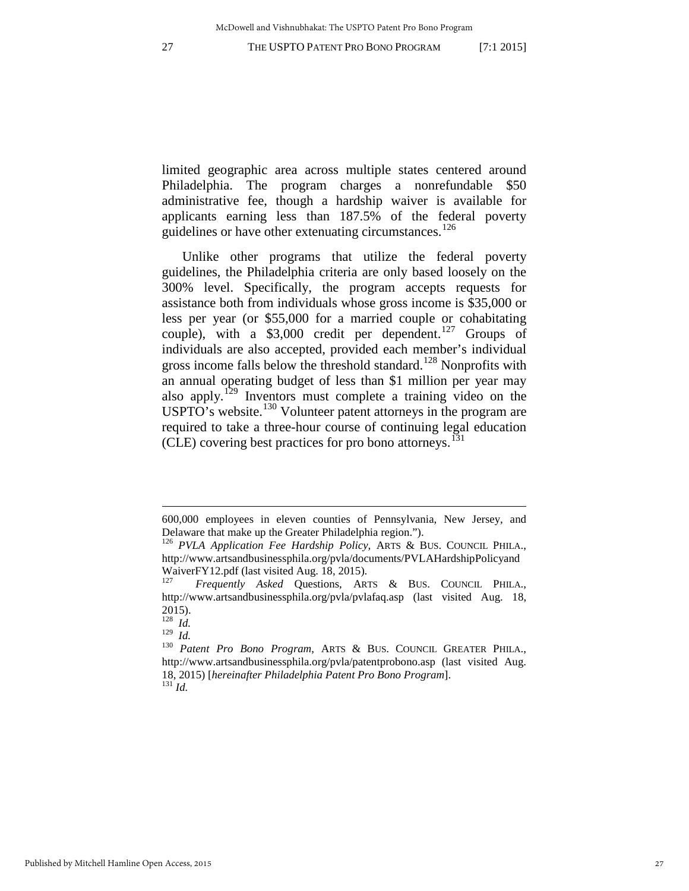limited geographic area across multiple states centered around Philadelphia. The program charges a nonrefundable \$50 administrative fee, though a hardship waiver is available for applicants earning less than 187.5% of the federal poverty guidelines or have other extenuating circumstances.<sup>[126](#page-27-0)</sup>

Unlike other programs that utilize the federal poverty guidelines, the Philadelphia criteria are only based loosely on the 300% level. Specifically, the program accepts requests for assistance both from individuals whose gross income is \$35,000 or less per year (or \$55,000 for a married couple or cohabitating couple), with a \$3,000 credit per dependent.<sup>[127](#page-27-1)</sup> Groups of individuals are also accepted, provided each member's individual gross income falls below the threshold standard.<sup>[128](#page-27-2)</sup> Nonprofits with an annual operating budget of less than \$1 million per year may also apply.[129](#page-27-3) Inventors must complete a training video on the USPTO's website.<sup>[130](#page-27-4)</sup> Volunteer patent attorneys in the program are required to take a three-hour course of continuing legal education (CLE) covering best practices for pro bono attorneys.<sup>[131](#page-27-5)</sup>

<span id="page-27-6"></span><sup>600,000</sup> employees in eleven counties of Pennsylvania, New Jersey, and Delaware that make up the Greater Philadelphia region.").

<span id="page-27-0"></span><sup>126</sup> *PVLA Application Fee Hardship Policy,* ARTS & BUS. COUNCIL PHILA., http://www.artsandbusinessphila.org/pvla/documents/PVLAHardshipPolicyand WaiverFY12.pdf (last visited Aug. 18, 2015).

<span id="page-27-1"></span><sup>127</sup> *Frequently Asked* Questions, ARTS & BUS. COUNCIL PHILA., http://www.artsandbusinessphila.org/pvla/pvlafaq.asp (last visited Aug. 18, 2015).

<span id="page-27-3"></span><span id="page-27-2"></span><sup>128</sup> *Id.* 

<span id="page-27-5"></span><span id="page-27-4"></span><sup>&</sup>lt;sup>130</sup> Patent Pro Bono Program, ARTS & BUS. COUNCIL GREATER PHILA., http://www.artsandbusinessphila.org/pvla/patentprobono.asp (last visited Aug. 18, 2015) [*hereinafter Philadelphia Patent Pro Bono Program*]. 131 *Id.*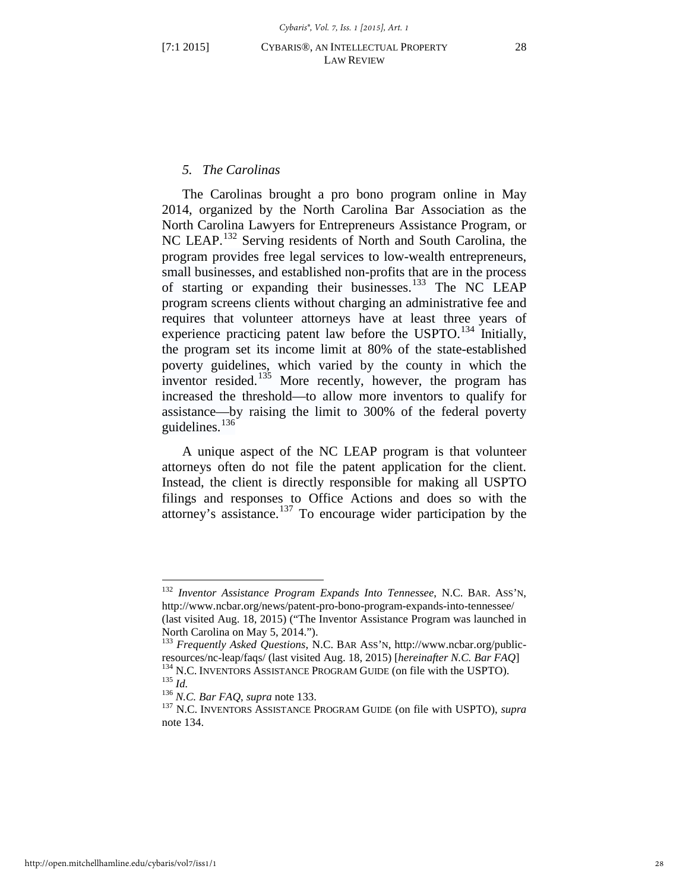# <span id="page-28-1"></span><span id="page-28-0"></span>*5. The Carolinas*

The Carolinas brought a pro bono program online in May 2014, organized by the North Carolina Bar Association as the North Carolina Lawyers for Entrepreneurs Assistance Program, or NC LEAP.<sup>[132](#page-28-2)</sup> Serving residents of North and South Carolina, the program provides free legal services to low-wealth entrepreneurs, small businesses, and established non-profits that are in the process of starting or expanding their businesses. $^{133}$  $^{133}$  $^{133}$  The NC LEAP program screens clients without charging an administrative fee and requires that volunteer attorneys have at least three years of experience practicing patent law before the USPTO.<sup>[134](#page-28-4)</sup> Initially, the program set its income limit at 80% of the state-established poverty guidelines, which varied by the county in which the inventor resided.<sup>[135](#page-28-5)</sup> More recently, however, the program has increased the threshold—to allow more inventors to qualify for assistance—by raising the limit to 300% of the federal poverty guidelines. $136$ 

A unique aspect of the NC LEAP program is that volunteer attorneys often do not file the patent application for the client. Instead, the client is directly responsible for making all USPTO filings and responses to Office Actions and does so with the attorney's assistance.[137](#page-28-7) To encourage wider participation by the

<span id="page-28-2"></span><sup>132</sup> *Inventor Assistance Program Expands Into Tennessee*, N.C. BAR. ASS'N, http://www.ncbar.org/news/patent-pro-bono-program-expands-into-tennessee/ (last visited Aug. 18, 2015) ("The Inventor Assistance Program was launched in North Carolina on May 5, 2014.").

<span id="page-28-4"></span><span id="page-28-3"></span><sup>133</sup> *Frequently Asked Questions*, N.C. BAR ASS'N, http://www.ncbar.org/publicresources/nc-leap/faqs/ (last visited Aug. 18, 2015) [*hereinafter N.C. Bar FAQ*] <sup>134</sup> N.C. INVENTORS ASSISTANCE PROGRAM GUIDE (on file with the USPTO).<br><sup>135</sup> *Id.*<br><sup>136</sup> *N.C. Bar FAQ, supra* note [133.](#page-28-0)<br><sup>137</sup> N.C. INVENT

<span id="page-28-7"></span><span id="page-28-6"></span><span id="page-28-5"></span>not[e 134.](#page-28-1)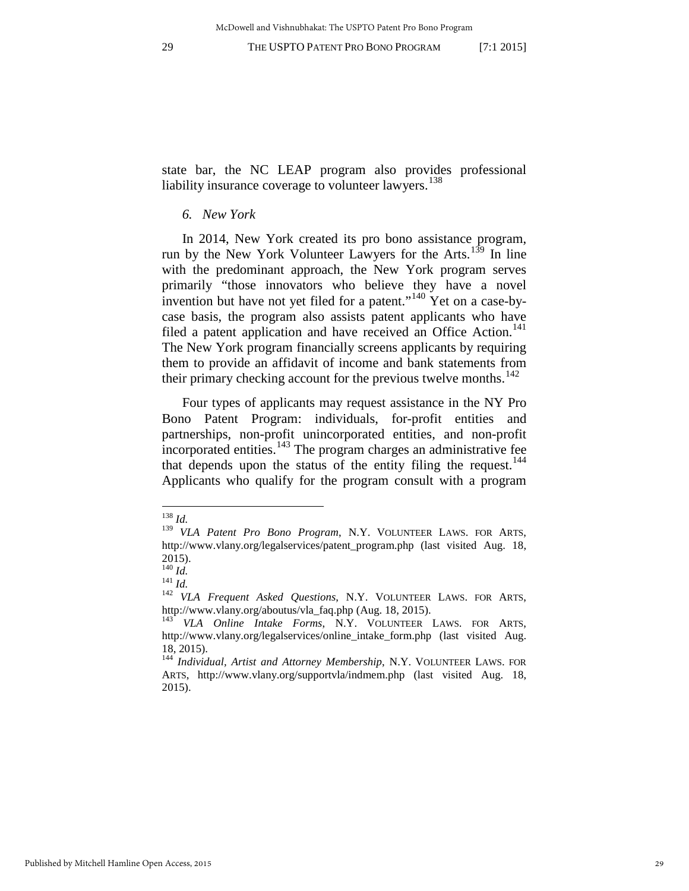state bar, the NC LEAP program also provides professional liability insurance coverage to volunteer lawyers.<sup>[138](#page-29-0)</sup>

# <span id="page-29-7"></span>*6. New York*

In 2014, New York created its pro bono assistance program, run by the New York Volunteer Lawyers for the Arts.<sup>[139](#page-29-1)</sup> In line with the predominant approach, the New York program serves primarily "those innovators who believe they have a novel invention but have not yet filed for a patent."<sup>[140](#page-29-2)</sup> Yet on a case-bycase basis, the program also assists patent applicants who have filed a patent application and have received an Office Action.<sup>[141](#page-29-3)</sup> The New York program financially screens applicants by requiring them to provide an affidavit of income and bank statements from their primary checking account for the previous twelve months.<sup>[142](#page-29-4)</sup>

Four types of applicants may request assistance in the NY Pro Bono Patent Program: individuals, for-profit entities and partnerships, non-profit unincorporated entities, and non-profit  $\frac{1}{4}$  incorporated entities.<sup>[143](#page-29-5)</sup> The program charges an administrative fee that depends upon the status of the entity filing the request.<sup>[144](#page-29-6)</sup> Applicants who qualify for the program consult with a program

<sup>138</sup> *Id.*

<span id="page-29-1"></span><span id="page-29-0"></span><sup>139</sup> *VLA Patent Pro Bono Program*, N.Y. VOLUNTEER LAWS. FOR ARTS, http://www.vlany.org/legalservices/patent\_program.php (last visited Aug. 18,  $^{2015)}$ .<br><sup>140</sup> *Id.* 

<span id="page-29-4"></span><span id="page-29-3"></span><span id="page-29-2"></span><sup>141</sup> *Id.*<br><sup>141</sup> *Id. VLA Frequent Asked Questions*, N.Y. VOLUNTEER LAWS. FOR ARTS, http://www.vlany.org/aboutus/vla\_faq.php (Aug. 18, 2015). 143 *VLA Online Intake Forms*, N.Y. VOLUNTEER LAWS. FOR ARTS,

<span id="page-29-5"></span>http://www.vlany.org/legalservices/online\_intake\_form.php (last visited Aug. 18, 2015).

<span id="page-29-6"></span><sup>144</sup> *Individual, Artist and Attorney Membership*, N.Y. VOLUNTEER LAWS. FOR ARTS, http://www.vlany.org/supportvla/indmem.php (last visited Aug. 18, 2015).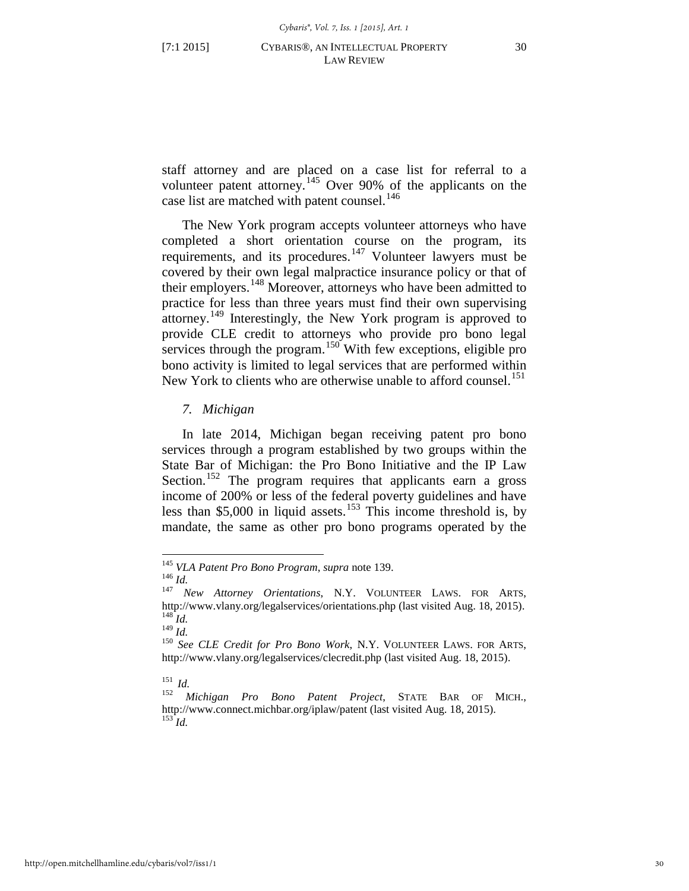staff attorney and are placed on a case list for referral to a volunteer patent attorney.[145](#page-30-0) Over 90% of the applicants on the case list are matched with patent counsel.<sup>[146](#page-30-1)</sup>

The New York program accepts volunteer attorneys who have completed a short orientation course on the program, its requirements, and its procedures.<sup>[147](#page-30-2)</sup> Volunteer lawyers must be covered by their own legal malpractice insurance policy or that of their employers.<sup>[148](#page-30-3)</sup> Moreover, attorneys who have been admitted to practice for less than three years must find their own supervising attorney.[149](#page-30-4) Interestingly, the New York program is approved to provide CLE credit to attorneys who provide pro bono legal services through the program.<sup>[150](#page-30-5)</sup> With few exceptions, eligible pro bono activity is limited to legal services that are performed within New York to clients who are otherwise unable to afford counsel.<sup>[151](#page-30-6)</sup>

# *7. Michigan*

<span id="page-30-9"></span>In late 2014, Michigan began receiving patent pro bono services through a program established by two groups within the State Bar of Michigan: the Pro Bono Initiative and the IP Law Section.<sup>[152](#page-30-7)</sup> The program requires that applicants earn a gross income of 200% or less of the federal poverty guidelines and have less than \$5,000 in liquid assets.<sup>[153](#page-30-8)</sup> This income threshold is, by mandate, the same as other pro bono programs operated by the

<span id="page-30-0"></span><sup>&</sup>lt;sup>145</sup> *VLA Patent Pro Bono Program, supra* note 139.<br><sup>146</sup> *Id.* New Attorney Orientations, N.Y. VOLUNTEER LAWS. FOR ARTS,

<span id="page-30-2"></span><span id="page-30-1"></span>http://www.vlany.org/legalservices/orientations.php (last visited Aug. 18, 2015).  $\int_{149}^{148}$ *Id.* 

<span id="page-30-5"></span><span id="page-30-4"></span><span id="page-30-3"></span><sup>&</sup>lt;sup>150</sup> See CLE Credit for Pro Bono Work, N.Y. VOLUNTEER LAWS. FOR ARTS, http:/[/www.vlany.org/legalservices/clecredit.php](http://www.vlany.org/legalservices/clecredit.php) (last visited Aug. 18, 2015).

<span id="page-30-8"></span><span id="page-30-7"></span><span id="page-30-6"></span><sup>151</sup>*Id.* <sup>152</sup> *Michigan Pro Bono Patent Project*, STATE BAR OF MICH., http://www.connect.michbar.org/iplaw/patent (last visited Aug. 18, 2015). <sup>153</sup> *Id.*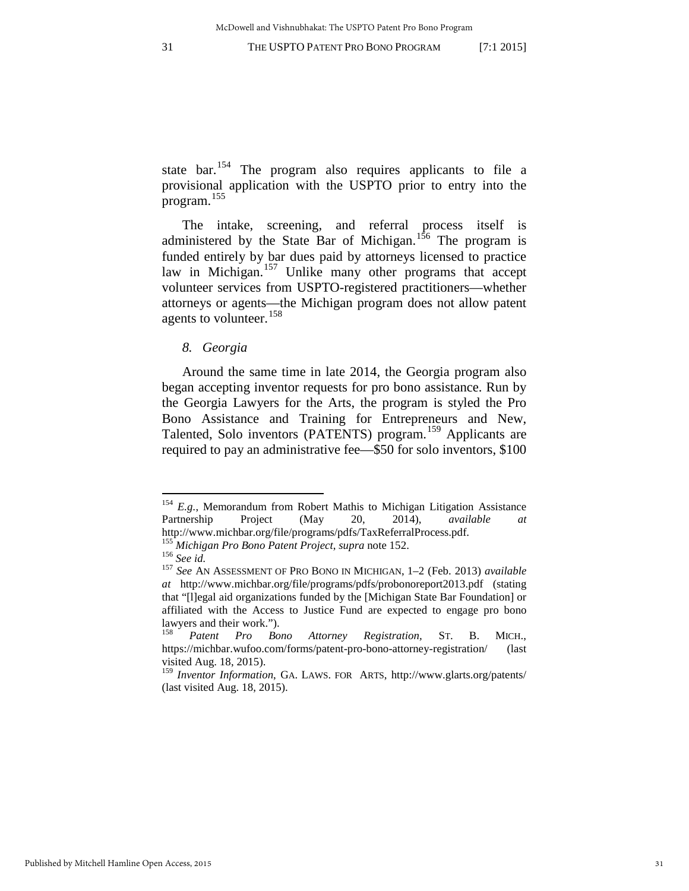state bar.<sup>[154](#page-31-0)</sup> The program also requires applicants to file a provisional application with the USPTO prior to entry into the program.[155](#page-31-1)

The intake, screening, and referral process itself is administered by the State Bar of Michigan.<sup>[156](#page-31-2)</sup> The program is funded entirely by bar dues paid by attorneys licensed to practice law in Michigan.<sup>[157](#page-31-3)</sup> Unlike many other programs that accept volunteer services from USPTO-registered practitioners—whether attorneys or agents—the Michigan program does not allow patent agents to volunteer.<sup>[158](#page-31-4)</sup>

*8. Georgia* 

Around the same time in late 2014, the Georgia program also began accepting inventor requests for pro bono assistance. Run by the Georgia Lawyers for the Arts, the program is styled the Pro Bono Assistance and Training for Entrepreneurs and New, Talented, Solo inventors (PATENTS) program.[159](#page-31-5) Applicants are required to pay an administrative fee—\$50 for solo inventors, \$100

<span id="page-31-0"></span><sup>&</sup>lt;sup>154</sup> *E.g.*, Memorandum from Robert Mathis to Michigan Litigation Assistance Partnership Project (May 20, 2014), *available at*  http://www.michbar.org/file/programs/pdfs/TaxReferralProcess.pdf.

<span id="page-31-3"></span><span id="page-31-2"></span><span id="page-31-1"></span><sup>155</sup> *Michigan Pro Bono Patent Project*, *supra* note [152.](#page-30-9) 156 *See id.* <sup>157</sup> *See* AN ASSESSMENT OF PRO BONO IN MICHIGAN, 1–2 (Feb. 2013) *available at* http://www.michbar.org/file/programs/pdfs/probonoreport2013.pdf (stating that "[l]egal aid organizations funded by the [Michigan State Bar Foundation] or affiliated with the Access to Justice Fund are expected to engage pro bono lawyers and their work.").

<span id="page-31-4"></span><sup>158</sup> *Patent Pro Bono Attorney Registration,* ST. B. MICH., https://michbar.wufoo.com/forms/patent-pro-bono-attorney-registration/ (last visited Aug. 18, 2015).

<span id="page-31-5"></span><sup>159</sup> *Inventor Information*, GA. LAWS. FOR ARTS, http://www.glarts.org/patents/ (last visited Aug. 18, 2015).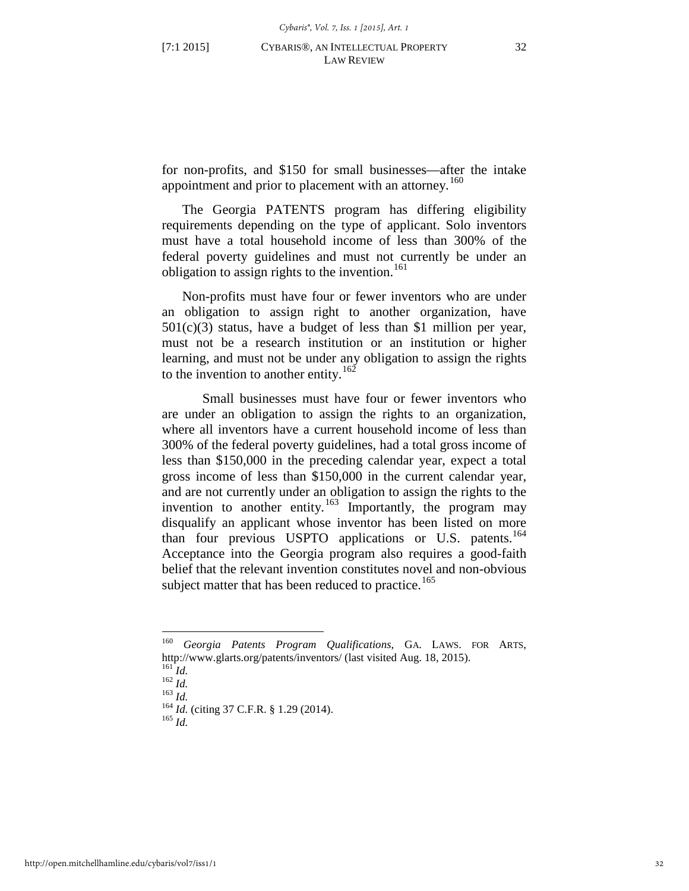<span id="page-32-6"></span>for non-profits, and \$150 for small businesses—after the intake appointment and prior to placement with an attorney.<sup>[160](#page-32-0)</sup>

The Georgia PATENTS program has differing eligibility requirements depending on the type of applicant. Solo inventors must have a total household income of less than 300% of the federal poverty guidelines and must not currently be under an obligation to assign rights to the invention.<sup>[161](#page-32-1)</sup>

Non-profits must have four or fewer inventors who are under an obligation to assign right to another organization, have  $501(c)(3)$  status, have a budget of less than \$1 million per year, must not be a research institution or an institution or higher learning, and must not be under any obligation to assign the rights to the invention to another entity.<sup>[162](#page-32-2)</sup>

Small businesses must have four or fewer inventors who are under an obligation to assign the rights to an organization, where all inventors have a current household income of less than 300% of the federal poverty guidelines, had a total gross income of less than \$150,000 in the preceding calendar year, expect a total gross income of less than \$150,000 in the current calendar year, and are not currently under an obligation to assign the rights to the invention to another entity.<sup>[163](#page-32-3)</sup> Importantly, the program may disqualify an applicant whose inventor has been listed on more than four previous USPTO applications or U.S. patents.<sup>[164](#page-32-4)</sup> Acceptance into the Georgia program also requires a good-faith belief that the relevant invention constitutes novel and non-obvious subject matter that has been reduced to practice.<sup>[165](#page-32-5)</sup>

<span id="page-32-5"></span>

<span id="page-32-1"></span><span id="page-32-0"></span><sup>160</sup> *Georgia Patents Program Qualifications*, GA. LAWS. FOR ARTS, http://www.glarts.org/patents/inventors/ (last visited Aug. 18, 2015).<br>
<sup>161</sup> *Id.*<br>
<sup>162</sup> *Id.*<br>
<sup>163</sup> *Id.* (citing 37 C.F.R. § 1.29 (2014).<br>
<sup>165</sup> *Id.* 

<span id="page-32-3"></span><span id="page-32-2"></span>

<span id="page-32-4"></span>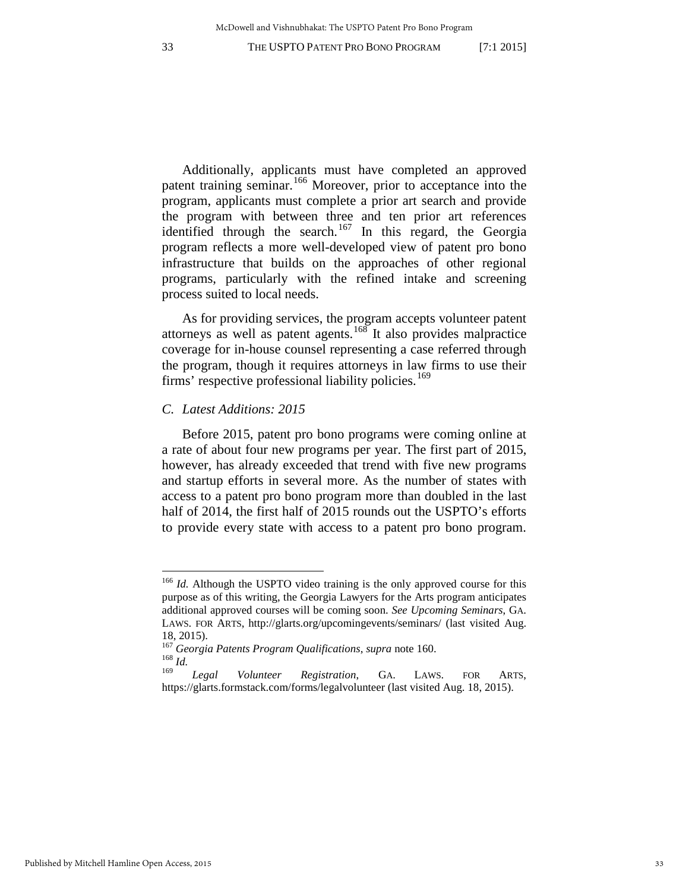Additionally, applicants must have completed an approved patent training seminar.[166](#page-33-0) Moreover, prior to acceptance into the program, applicants must complete a prior art search and provide the program with between three and ten prior art references identified through the search.<sup>[167](#page-33-1)</sup> In this regard, the Georgia program reflects a more well-developed view of patent pro bono infrastructure that builds on the approaches of other regional programs, particularly with the refined intake and screening process suited to local needs.

As for providing services, the program accepts volunteer patent attorneys as well as patent agents.<sup>[168](#page-33-2)</sup> It also provides malpractice coverage for in-house counsel representing a case referred through the program, though it requires attorneys in law firms to use their firms' respective professional liability policies.<sup>[169](#page-33-3)</sup>

# *C. Latest Additions: 2015*

 $\overline{a}$ 

Before 2015, patent pro bono programs were coming online at a rate of about four new programs per year. The first part of 2015, however, has already exceeded that trend with five new programs and startup efforts in several more. As the number of states with access to a patent pro bono program more than doubled in the last half of 2014, the first half of 2015 rounds out the USPTO's efforts to provide every state with access to a patent pro bono program.

<span id="page-33-0"></span><sup>&</sup>lt;sup>166</sup> *Id.* Although the USPTO video training is the only approved course for this purpose as of this writing, the Georgia Lawyers for the Arts program anticipates additional approved courses will be coming soon. *See Upcoming Seminars*, GA. LAWS. FOR ARTS, http://glarts.org/upcomingevents/seminars/ (last visited Aug. 18, 2015).

<span id="page-33-2"></span><span id="page-33-1"></span><sup>&</sup>lt;sup>167</sup> *Georgia Patents Program Qualifications*, *supra* note 160.<br><sup>168</sup> *Id. Legal Melurteen Posistration GA LAW* 

<span id="page-33-3"></span><sup>169</sup> *Legal Volunteer Registration*, GA. LAWS. FOR ARTS, https://glarts.formstack.com/forms/legalvolunteer (last visited Aug. 18, 2015).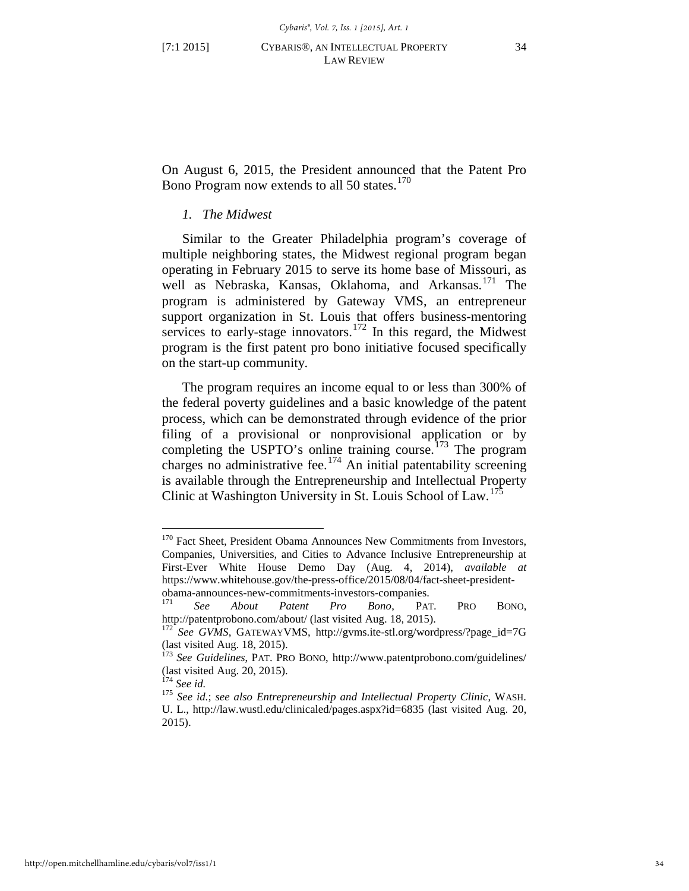On August 6, 2015, the President announced that the Patent Pro Bono Program now extends to all 50 states.<sup>[170](#page-34-0)</sup>

# *1. The Midwest*

Similar to the Greater Philadelphia program's coverage of multiple neighboring states, the Midwest regional program began operating in February 2015 to serve its home base of Missouri, as well as Nebraska, Kansas, Oklahoma, and Arkansas.<sup>[171](#page-34-1)</sup> The program is administered by Gateway VMS, an entrepreneur support organization in St. Louis that offers business-mentoring services to early-stage innovators.<sup>[172](#page-34-2)</sup> In this regard, the Midwest program is the first patent pro bono initiative focused specifically on the start-up community.

The program requires an income equal to or less than 300% of the federal poverty guidelines and a basic knowledge of the patent process, which can be demonstrated through evidence of the prior filing of a provisional or nonprovisional application or by completing the USPTO's online training course.<sup>[173](#page-34-3)</sup> The program charges no administrative fee.<sup>[174](#page-34-4)</sup> An initial patentability screening is available through the Entrepreneurship and Intellectual Property Clinic at Washington University in St. Louis School of Law.<sup>[175](#page-34-5)</sup>

<span id="page-34-0"></span><sup>&</sup>lt;sup>170</sup> Fact Sheet, President Obama Announces New Commitments from Investors, Companies, Universities, and Cities to Advance Inclusive Entrepreneurship at First-Ever White House Demo Day (Aug. 4, 2014), *available at*  https://www.whitehouse.gov/the-press-office/2015/08/04/fact-sheet-presidentobama-announces-new-commitments-investors-companies. <sup>171</sup> *See About Patent Pro Bono*, PAT. PRO BONO,

<span id="page-34-1"></span>http://patentprobono.com/about/ (last visited Aug. 18, 2015). <sup>172</sup> *See GVMS*, GATEWAYVMS, http://gvms.ite-stl.org/wordpress/?page\_id=7G

<span id="page-34-2"></span><sup>(</sup>last visited Aug. 18, 2015).

<span id="page-34-3"></span><sup>173</sup> *See Guidelines*, PAT. PRO BONO, http://www.patentprobono.com/guidelines/ (last visited Aug. 20, 2015).<br> $174$  See id.

<span id="page-34-4"></span>

<span id="page-34-5"></span><sup>&</sup>lt;sup>175</sup> See id.; see also Entrepreneurship and Intellectual Property Clinic, WASH. U. L., http://law.wustl.edu/clinicaled/pages.aspx?id=6835 (last visited Aug. 20, 2015).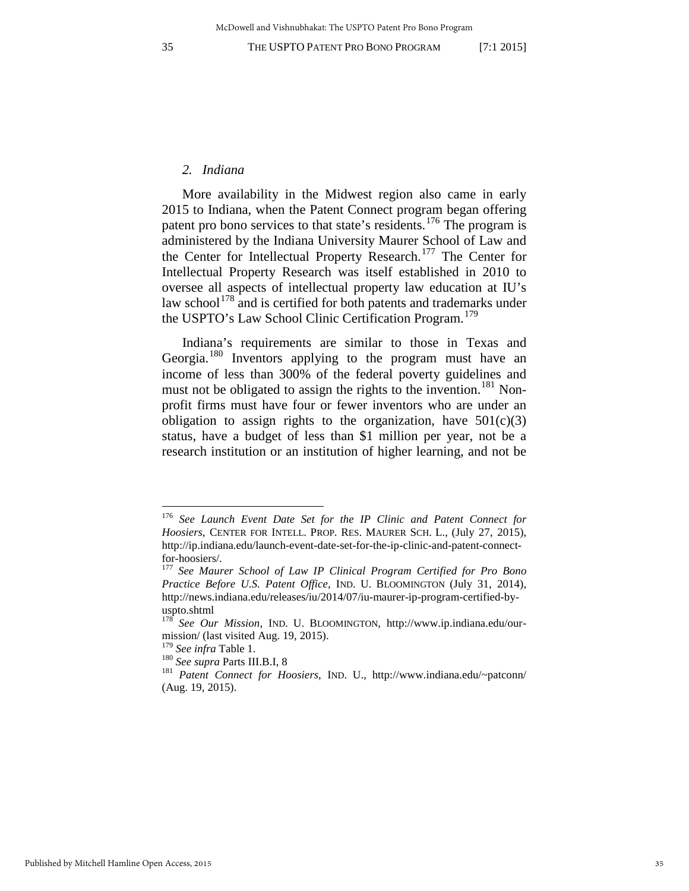# *2. Indiana*

More availability in the Midwest region also came in early 2015 to Indiana, when the Patent Connect program began offering patent pro bono services to that state's residents.<sup>[176](#page-35-0)</sup> The program is administered by the Indiana University Maurer School of Law and the Center for Intellectual Property Research.[177](#page-35-1) The Center for Intellectual Property Research was itself established in 2010 to oversee all aspects of intellectual property law education at IU's law school<sup>[178](#page-35-2)</sup> and is certified for both patents and trademarks under the USPTO's Law School Clinic Certification Program.<sup>[179](#page-35-3)</sup>

Indiana's requirements are similar to those in Texas and Georgia.<sup>[180](#page-35-4)</sup> Inventors applying to the program must have an income of less than 300% of the federal poverty guidelines and must not be obligated to assign the rights to the invention.<sup>[181](#page-35-5)</sup> Nonprofit firms must have four or fewer inventors who are under an obligation to assign rights to the organization, have  $501(c)(3)$ status, have a budget of less than \$1 million per year, not be a research institution or an institution of higher learning, and not be

<span id="page-35-0"></span><sup>176</sup> *See Launch Event Date Set for the IP Clinic and Patent Connect for Hoosiers*, CENTER FOR INTELL. PROP. RES. MAURER SCH. L., (July 27, 2015), http://ip.indiana.edu/launch-event-date-set-for-the-ip-clinic-and-patent-connectfor-hoosiers/. 177 *See Maurer School of Law IP Clinical Program Certified for Pro Bono* 

<span id="page-35-1"></span>*Practice Before U.S. Patent Office*, IND. U. BLOOMINGTON (July 31, 2014), http://news.indiana.edu/releases/iu/2014/07/iu-maurer-ip-program-certified-byuspto.shtml

<span id="page-35-2"></span><sup>178</sup> *See Our Mission*, IND. U. BLOOMINGTON, http://www.ip.indiana.edu/ourmission/ (last visited Aug. 19, 2015).<br> $^{179}$  See infra Table 1.

<span id="page-35-3"></span>

<span id="page-35-5"></span><span id="page-35-4"></span>

<sup>&</sup>lt;sup>180</sup> *See supra Parts III.B.I, 8* <sup>181</sup> *Patent Connect for Hoosiers, IND. U., http://www.indiana.edu/~patconn/* (Aug. 19, 2015).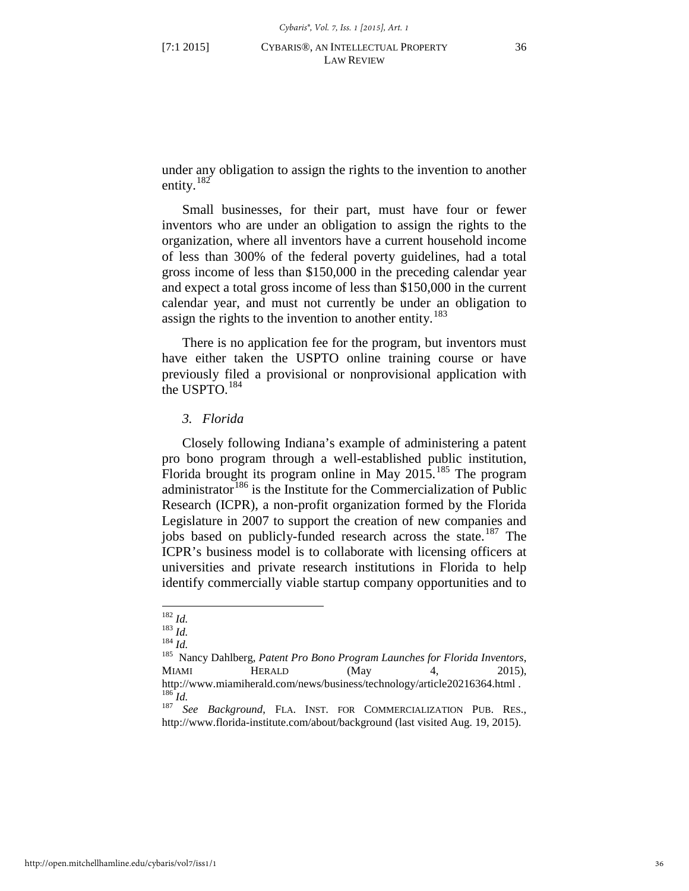under any obligation to assign the rights to the invention to another entity.<sup>[182](#page-36-0)</sup>

Small businesses, for their part, must have four or fewer inventors who are under an obligation to assign the rights to the organization, where all inventors have a current household income of less than 300% of the federal poverty guidelines, had a total gross income of less than \$150,000 in the preceding calendar year and expect a total gross income of less than \$150,000 in the current calendar year, and must not currently be under an obligation to assign the rights to the invention to another entity.<sup>183</sup>

There is no application fee for the program, but inventors must have either taken the USPTO online training course or have previously filed a provisional or nonprovisional application with the USPTO. $184$ 

#### *3. Florida*

Closely following Indiana's example of administering a patent pro bono program through a well-established public institution, Florida brought its program online in May  $2015$ .<sup>[185](#page-36-3)</sup> The program administrator  $186$  is the Institute for the Commercialization of Public Research (ICPR), a non-profit organization formed by the Florida Legislature in 2007 to support the creation of new companies and jobs based on publicly-funded research across the state.<sup>[187](#page-36-5)</sup> The ICPR's business model is to collaborate with licensing officers at universities and private research institutions in Florida to help identify commercially viable startup company opportunities and to

<span id="page-36-0"></span> $182$  *Id.* 

<span id="page-36-3"></span>

<span id="page-36-2"></span><span id="page-36-1"></span><sup>182</sup> *Id.* <sup>183</sup> *Id.* <sup>184</sup> *Id.* 185 Nancy Dahlberg, *Patent Pro Bono Program Launches for Florida Inventors*, MIAMI HERALD (May 4, 2015), http://www.miamiherald.com/news/business/technology/article20216364.html .<br><sup>186</sup> *Id.* 187 *See Background*, FLA. INST. FOR COMMERCIALIZATION PUB. RES.,

<span id="page-36-5"></span><span id="page-36-4"></span>http://www.florida-institute.com/about/background (last visited Aug. 19, 2015).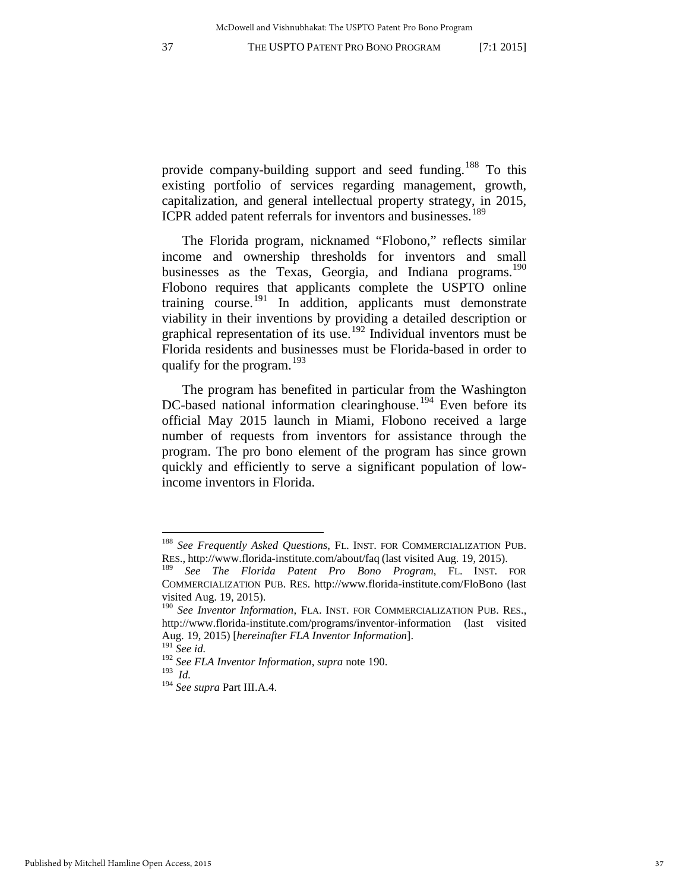provide company-building support and seed funding.<sup>[188](#page-37-1)</sup> To this existing portfolio of services regarding management, growth, capitalization, and general intellectual property strategy, in 2015, ICPR added patent referrals for inventors and businesses.<sup>[189](#page-37-2)</sup>

<span id="page-37-0"></span>The Florida program, nicknamed "Flobono," reflects similar income and ownership thresholds for inventors and small businesses as the Texas, Georgia, and Indiana programs.<sup>[190](#page-37-3)</sup> Flobono requires that applicants complete the USPTO online training course.<sup>[191](#page-37-4)</sup> In addition, applicants must demonstrate viability in their inventions by providing a detailed description or graphical representation of its use.[192](#page-37-5) Individual inventors must be Florida residents and businesses must be Florida-based in order to qualify for the program.<sup>[193](#page-37-6)</sup>

The program has benefited in particular from the Washington DC-based national information clearinghouse.<sup>[194](#page-37-7)</sup> Even before its official May 2015 launch in Miami, Flobono received a large number of requests from inventors for assistance through the program. The pro bono element of the program has since grown quickly and efficiently to serve a significant population of lowincome inventors in Florida.

<span id="page-37-1"></span><sup>188</sup> *See Frequently Asked Questions*, FL. INST. FOR COMMERCIALIZATION PUB. RES., http://www.florida-institute.com/about/faq (last visited Aug. 19, 2015).

<span id="page-37-2"></span><sup>189</sup> *See The Florida Patent Pro Bono Program*, FL. INST. FOR COMMERCIALIZATION PUB. RES. http://www.florida-institute.com/FloBono (last visited Aug. 19, 2015).

<span id="page-37-3"></span><sup>190</sup> *See Inventor Information*, FLA. INST. FOR COMMERCIALIZATION PUB. RES., http://www.florida-institute.com/programs/inventor-information (last visited Aug. 19, 2015) [*hereinafter FLA Inventor Information*].

<sup>191</sup> *See id.*

<span id="page-37-6"></span><span id="page-37-5"></span><span id="page-37-4"></span><sup>192</sup> *See FLA Inventor Information*, *supra* note [190.](#page-37-0) 193 *Id.* 

<span id="page-37-7"></span><sup>194</sup> *See supra* Part III.A.4.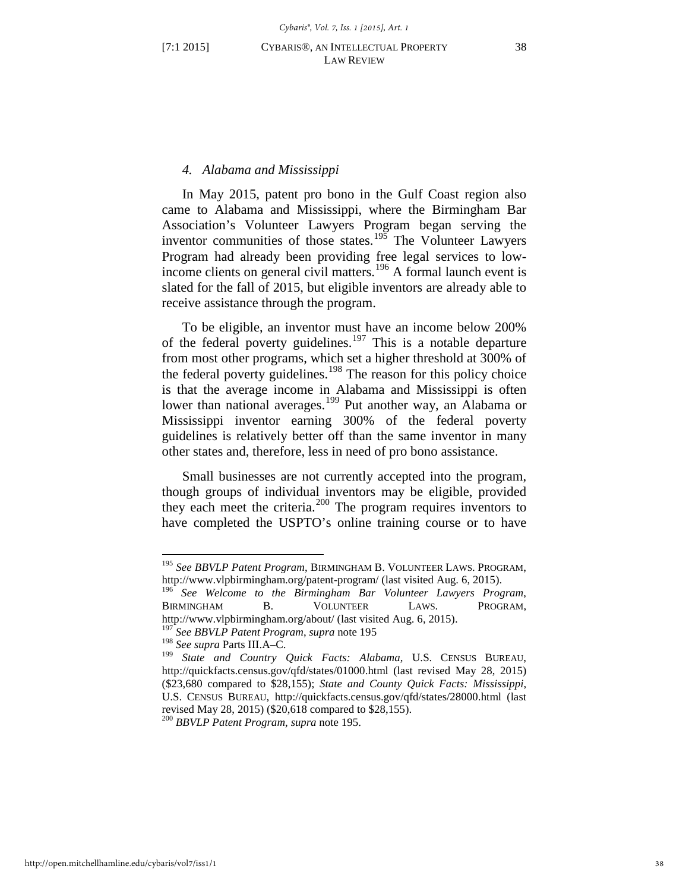# <span id="page-38-7"></span><span id="page-38-0"></span>*4. Alabama and Mississippi*

In May 2015, patent pro bono in the Gulf Coast region also came to Alabama and Mississippi, where the Birmingham Bar Association's Volunteer Lawyers Program began serving the inventor communities of those states.<sup>[195](#page-38-1)</sup> The Volunteer Lawyers Program had already been providing free legal services to low-income clients on general civil matters.<sup>[196](#page-38-2)</sup> A formal launch event is slated for the fall of 2015, but eligible inventors are already able to receive assistance through the program.

To be eligible, an inventor must have an income below 200% of the federal poverty guidelines.<sup>[197](#page-38-3)</sup> This is a notable departure from most other programs, which set a higher threshold at 300% of the federal poverty guidelines.<sup>[198](#page-38-4)</sup> The reason for this policy choice is that the average income in Alabama and Mississippi is often lower than national averages.<sup>[199](#page-38-5)</sup> Put another way, an Alabama or Mississippi inventor earning 300% of the federal poverty guidelines is relatively better off than the same inventor in many other states and, therefore, less in need of pro bono assistance.

Small businesses are not currently accepted into the program, though groups of individual inventors may be eligible, provided they each meet the criteria.[200](#page-38-6) The program requires inventors to have completed the USPTO's online training course or to have

<span id="page-38-1"></span><sup>195</sup> *See BBVLP Patent Program*, BIRMINGHAM B. VOLUNTEER LAWS. PROGRAM, http://www.vlpbirmingham.org/patent-program/ (last visited Aug. 6, 2015).

<span id="page-38-2"></span><sup>196</sup> *See Welcome to the Birmingham Bar Volunteer Lawyers Program*, BIRMINGHAM B. VOLUNTEER LAWS. PROGRAM, http://www.vlpbirmingham.org/about/ (last visited Aug. 6, 2015).

<sup>197</sup> *See BBVLP Patent Program*, *supra* note [195](#page-38-0)

<span id="page-38-4"></span><span id="page-38-3"></span><sup>198</sup> *See supra* Parts III.A–C.

<span id="page-38-5"></span><sup>199</sup> *State and Country Quick Facts: Alabama*, U.S. CENSUS BUREAU, http://quickfacts.census.gov/qfd/states/01000.html (last revised May 28, 2015) (\$23,680 compared to \$28,155); *State and County Quick Facts: Mississippi*, U.S. CENSUS BUREAU, http://quickfacts.census.gov/qfd/states/28000.html (last revised May 28, 2015) (\$20,618 compared to \$28,155).

<span id="page-38-6"></span><sup>200</sup> *BBVLP Patent Program*, *supra* note [195.](#page-38-0)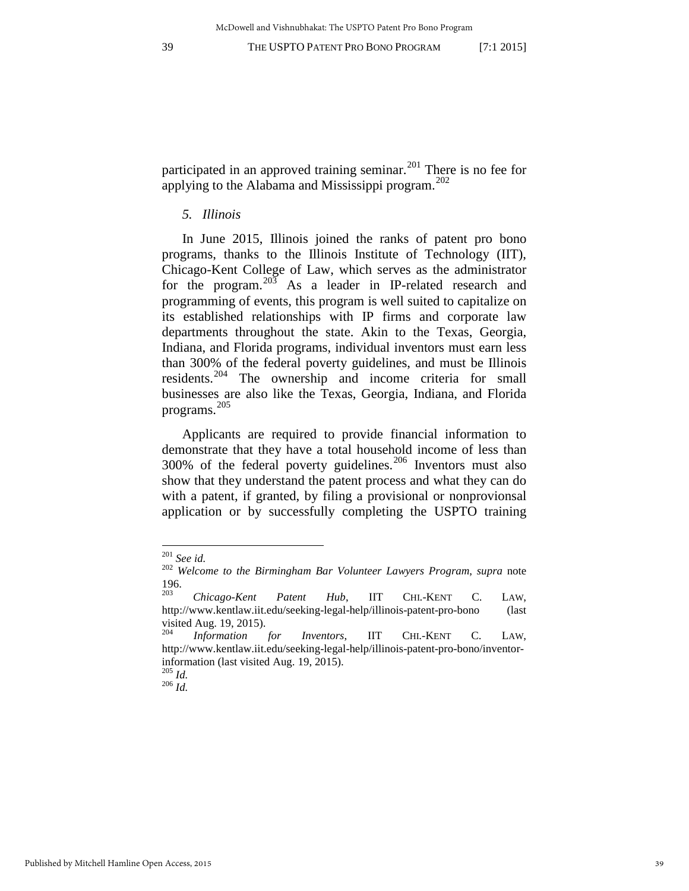participated in an approved training seminar.<sup>[201](#page-39-0)</sup> There is no fee for applying to the Alabama and Mississippi program. $^{202}$  $^{202}$  $^{202}$ 

#### *5. Illinois*

In June 2015, Illinois joined the ranks of patent pro bono programs, thanks to the Illinois Institute of Technology (IIT), Chicago-Kent College of Law, which serves as the administrator for the program.<sup>[203](#page-39-2)</sup> As a leader in IP-related research and programming of events, this program is well suited to capitalize on its established relationships with IP firms and corporate law departments throughout the state. Akin to the Texas, Georgia, Indiana, and Florida programs, individual inventors must earn less than 300% of the federal poverty guidelines, and must be Illinois residents.[204](#page-39-3) The ownership and income criteria for small businesses are also like the Texas, Georgia, Indiana, and Florida programs.[205](#page-39-4)

Applicants are required to provide financial information to demonstrate that they have a total household income of less than  $300\%$  of the federal poverty guidelines.<sup>[206](#page-39-5)</sup> Inventors must also show that they understand the patent process and what they can do with a patent, if granted, by filing a provisional or nonprovionsal application or by successfully completing the USPTO training

<span id="page-39-0"></span> $201$  See id.

<span id="page-39-1"></span><sup>201</sup> *See id.* <sup>202</sup> *Welcome to the Birmingham Bar Volunteer Lawyers Program*, *supra* note [196.](#page-38-7) [203](#page-38-7) *Chicago-Kent Patent Hub*, IIT CHI.-KENT C. LAW,

<span id="page-39-2"></span>http://www.kentlaw.iit.edu/seeking-legal-help/illinois-patent-pro-bono (last visited Aug. 19, 2015).

<span id="page-39-3"></span><sup>204</sup> *Information for Inventors*, IIT CHI.-KENT C. LAW, http://www.kentlaw.iit.edu/seeking-legal-help/illinois-patent-pro-bono/inventorinformation (last visited Aug. 19, 2015).

<span id="page-39-5"></span><span id="page-39-4"></span><sup>205</sup> *Id.* <sup>206</sup> *Id.*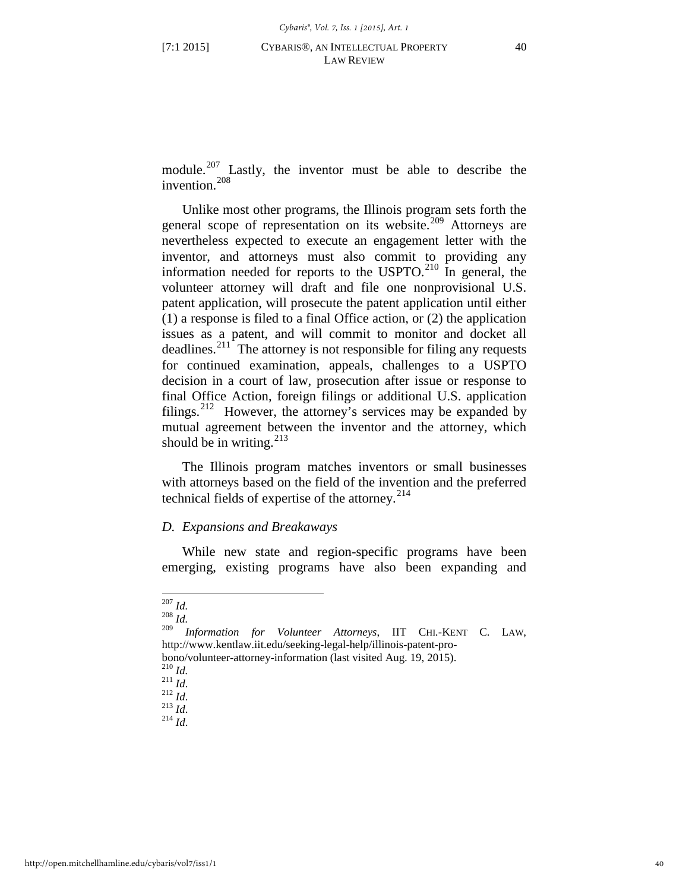module.<sup>[207](#page-40-0)</sup> Lastly, the inventor must be able to describe the invention.<sup>[208](#page-40-1)</sup>

Unlike most other programs, the Illinois program sets forth the general scope of representation on its website.<sup>[209](#page-40-2)</sup> Attorneys are nevertheless expected to execute an engagement letter with the inventor, and attorneys must also commit to providing any information needed for reports to the USPTO. $^{210}$  $^{210}$  $^{210}$  In general, the volunteer attorney will draft and file one nonprovisional U.S. patent application, will prosecute the patent application until either (1) a response is filed to a final Office action, or (2) the application issues as a patent, and will commit to monitor and docket all deadlines.<sup>[211](#page-40-4)</sup> The attorney is not responsible for filing any requests for continued examination, appeals, challenges to a USPTO decision in a court of law, prosecution after issue or response to final Office Action, foreign filings or additional U.S. application filings.<sup>[212](#page-40-5)</sup> However, the attorney's services may be expanded by mutual agreement between the inventor and the attorney, which should be in writing. $^{213}$  $^{213}$  $^{213}$ 

The Illinois program matches inventors or small businesses with attorneys based on the field of the invention and the preferred technical fields of expertise of the attorney. $^{214}$  $^{214}$  $^{214}$ 

#### *D. Expansions and Breakaways*

While new state and region-specific programs have been emerging, existing programs have also been expanding and

<span id="page-40-0"></span><sup>207</sup> *Id.* 208 *Id.*

<span id="page-40-2"></span><span id="page-40-1"></span><sup>209</sup> *Information for Volunteer Attorneys*, IIT CHI.-KENT C. LAW, http://www.kentlaw.iit.edu/seeking-legal-help/illinois-patent-pro-

<span id="page-40-4"></span><span id="page-40-3"></span>bono/volunteer-attorney-information (last visited Aug. 19, 2015). <sup>210</sup> *Id.* <sup>211</sup> *Id*. 212 *Id*. 213 *Id*. 214 *Id*.

<span id="page-40-5"></span>

<span id="page-40-7"></span><span id="page-40-6"></span>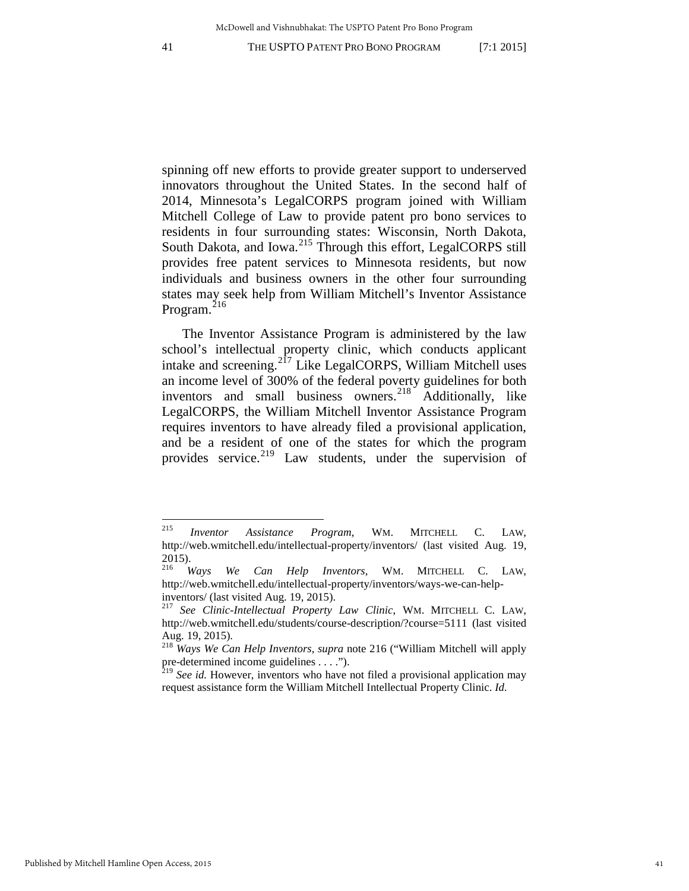spinning off new efforts to provide greater support to underserved innovators throughout the United States. In the second half of 2014, Minnesota's LegalCORPS program joined with William Mitchell College of Law to provide patent pro bono services to residents in four surrounding states: Wisconsin, North Dakota, South Dakota, and Iowa.<sup>[215](#page-41-1)</sup> Through this effort, LegalCORPS still provides free patent services to Minnesota residents, but now individuals and business owners in the other four surrounding states may seek help from William Mitchell's Inventor Assistance Program.<sup>[216](#page-41-2)</sup>

<span id="page-41-0"></span>The Inventor Assistance Program is administered by the law school's intellectual property clinic, which conducts applicant intake and screening.<sup>[217](#page-41-3)</sup> Like LegalCORPS, William Mitchell uses an income level of 300% of the federal poverty guidelines for both inventors and small business owners.<sup>[218](#page-41-4)</sup> Additionally, like LegalCORPS, the William Mitchell Inventor Assistance Program requires inventors to have already filed a provisional application, and be a resident of one of the states for which the program provides service.<sup>[219](#page-41-5)</sup> Law students, under the supervision of

<span id="page-41-1"></span><sup>215</sup> <sup>215</sup> *Inventor Assistance Program*, WM. MITCHELL C. LAW, http://web.wmitchell.edu/intellectual-property/inventors/ (last visited Aug. 19, 2015).

<span id="page-41-2"></span><sup>216</sup> *Ways We Can Help Inventors*, WM. MITCHELL C. LAW, http://web.wmitchell.edu/intellectual-property/inventors/ways-we-can-helpinventors/ (last visited Aug. 19, 2015).

<span id="page-41-3"></span><sup>217</sup> *See Clinic-Intellectual Property Law Clinic*, WM. MITCHELL C. LAW, http://web.wmitchell.edu/students/course-description/?course=5111 (last visited Aug. 19, 2015).

<span id="page-41-4"></span><sup>218</sup> *Ways We Can Help Inventors*, *supra* note [216](#page-41-0) ("William Mitchell will apply pre-determined income guidelines . . . .").

<span id="page-41-5"></span><sup>&</sup>lt;sup>219</sup> See id. However, inventors who have not filed a provisional application may request assistance form the William Mitchell Intellectual Property Clinic. *Id.*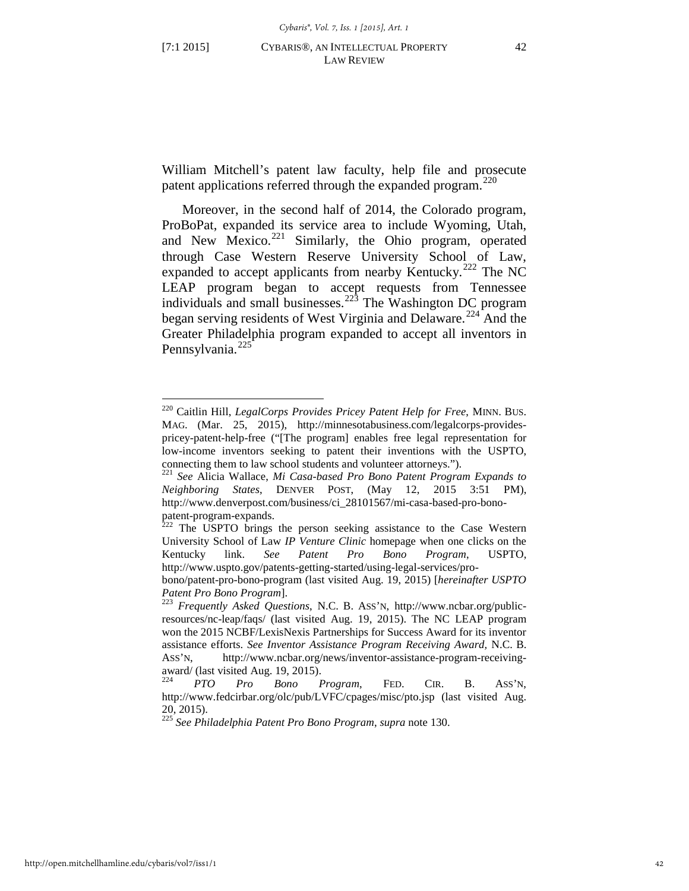$\overline{a}$ 

<span id="page-42-6"></span>William Mitchell's patent law faculty, help file and prosecute patent applications referred through the expanded program. $^{220}$  $^{220}$  $^{220}$ 

Moreover, in the second half of 2014, the Colorado program, ProBoPat, expanded its service area to include Wyoming, Utah, and New Mexico.<sup>[221](#page-42-1)</sup> Similarly, the Ohio program, operated through Case Western Reserve University School of Law, expanded to accept applicants from nearby Kentucky.<sup>[222](#page-42-2)</sup> The NC LEAP program began to accept requests from Tennessee individuals and small businesses.<sup>[223](#page-42-3)</sup> The Washington DC program began serving residents of West Virginia and Delaware.<sup>[224](#page-42-4)</sup> And the Greater Philadelphia program expanded to accept all inventors in Pennsylvania.<sup>[225](#page-42-5)</sup>

<span id="page-42-0"></span><sup>220</sup> Caitlin Hill, *LegalCorps Provides Pricey Patent Help for Free*, MINN. BUS. MAG. (Mar. 25, 2015), http://minnesotabusiness.com/legalcorps-providespricey-patent-help-free ("[The program] enables free legal representation for low-income inventors seeking to patent their inventions with the USPTO, connecting them to law school students and volunteer attorneys.").

<span id="page-42-1"></span><sup>221</sup> *See* Alicia Wallace, *Mi Casa-based Pro Bono Patent Program Expands to Neighboring States*, DENVER POST, (May 12, 2015 3:51 PM), http://www.denverpost.com/business/ci\_28101567/mi-casa-based-pro-bono-

<span id="page-42-2"></span>patent-program-expands.<br><sup>222</sup> The USPTO brings the person seeking assistance to the Case Western University School of Law *IP Venture Clinic* homepage when one clicks on the Kentucky link. *See Patent Pro Bono Program*, USPTO, http://www.uspto.gov/patents-getting-started/using-legal-services/pro-

bono/patent-pro-bono-program (last visited Aug. 19, 2015) [*hereinafter USPTO* 

<span id="page-42-3"></span><sup>&</sup>lt;sup>223</sup> *Frequently Asked Questions*, N.C. B. ASS'N, http://www.ncbar.org/publicresources/nc-leap/faqs/ (last visited Aug. 19, 2015). The NC LEAP program won the 2015 NCBF/LexisNexis Partnerships for Success Award for its inventor assistance efforts. *See Inventor Assistance Program Receiving Award,* N.C. B. ASS'N, http://www.ncbar.org/news/inventor-assistance-program-receivingaward/ (last visited Aug. 19, 2015).<br> $\frac{224}{PTO}$  Pro Bone

<span id="page-42-4"></span><sup>224</sup> *PTO Pro Bono Program*, FED. CIR. B. ASS'N, http://www.fedcirbar.org/olc/pub/LVFC/cpages/misc/pto.jsp (last visited Aug. 20, 2015).

<span id="page-42-5"></span><sup>225</sup> *See Philadelphia Patent Pro Bono Program*, *supra* not[e 130.](#page-27-6)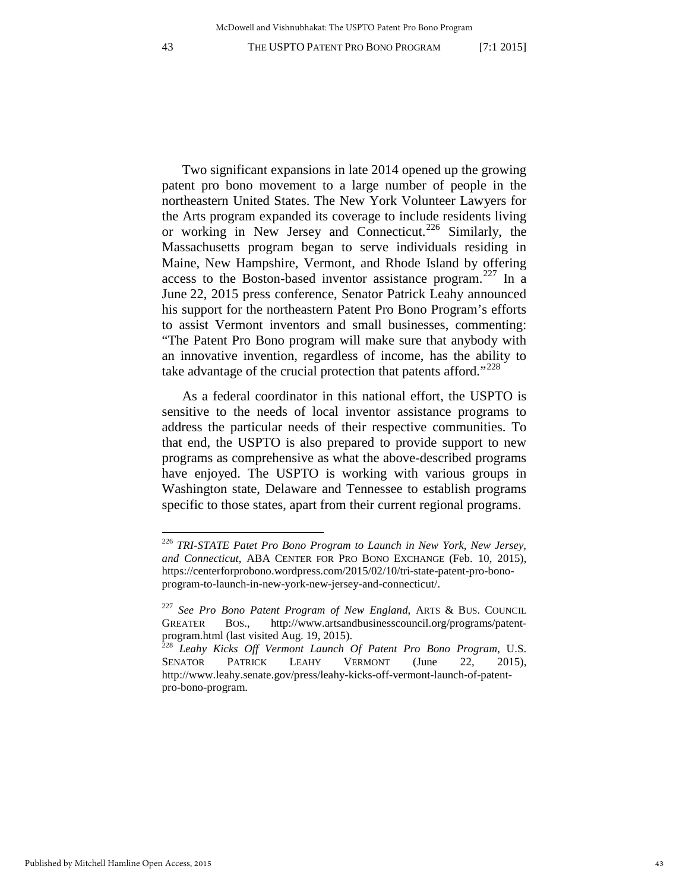$\overline{a}$ 

Two significant expansions in late 2014 opened up the growing patent pro bono movement to a large number of people in the northeastern United States. The New York Volunteer Lawyers for the Arts program expanded its coverage to include residents living or working in New Jersey and Connecticut.<sup>[226](#page-43-0)</sup> Similarly, the Massachusetts program began to serve individuals residing in Maine, New Hampshire, Vermont, and Rhode Island by offering access to the Boston-based inventor assistance program.<sup>[227](#page-43-1)</sup> In a June 22, 2015 press conference, Senator Patrick Leahy announced his support for the northeastern Patent Pro Bono Program's efforts to assist Vermont inventors and small businesses, commenting: "The Patent Pro Bono program will make sure that anybody with an innovative invention, regardless of income, has the ability to take advantage of the crucial protection that patents afford."<sup>[228](#page-43-2)</sup>

As a federal coordinator in this national effort, the USPTO is sensitive to the needs of local inventor assistance programs to address the particular needs of their respective communities. To that end, the USPTO is also prepared to provide support to new programs as comprehensive as what the above-described programs have enjoyed. The USPTO is working with various groups in Washington state, Delaware and Tennessee to establish programs specific to those states, apart from their current regional programs.

<span id="page-43-0"></span><sup>226</sup> *TRI-STATE Patet Pro Bono Program to Launch in New York, New Jersey, and Connecticut*, ABA CENTER FOR PRO BONO EXCHANGE (Feb. 10, 2015), https://centerforprobono.wordpress.com/2015/02/10/tri-state-patent-pro-bonoprogram-to-launch-in-new-york-new-jersey-and-connecticut/.

<span id="page-43-1"></span><sup>227</sup> *See Pro Bono Patent Program of New England*, ARTS & BUS. COUNCIL GREATER BOS., http://www.artsandbusinesscouncil.org/programs/patentprogram.html (last visited Aug. 19, 2015). <sup>228</sup> *Leahy Kicks Off Vermont Launch Of Patent Pro Bono Program*, U.S.

<span id="page-43-2"></span>SENATOR PATRICK LEAHY VERMONT (June 22, 2015), http://www.leahy.senate.gov/press/leahy-kicks-off-vermont-launch-of-patentpro-bono-program.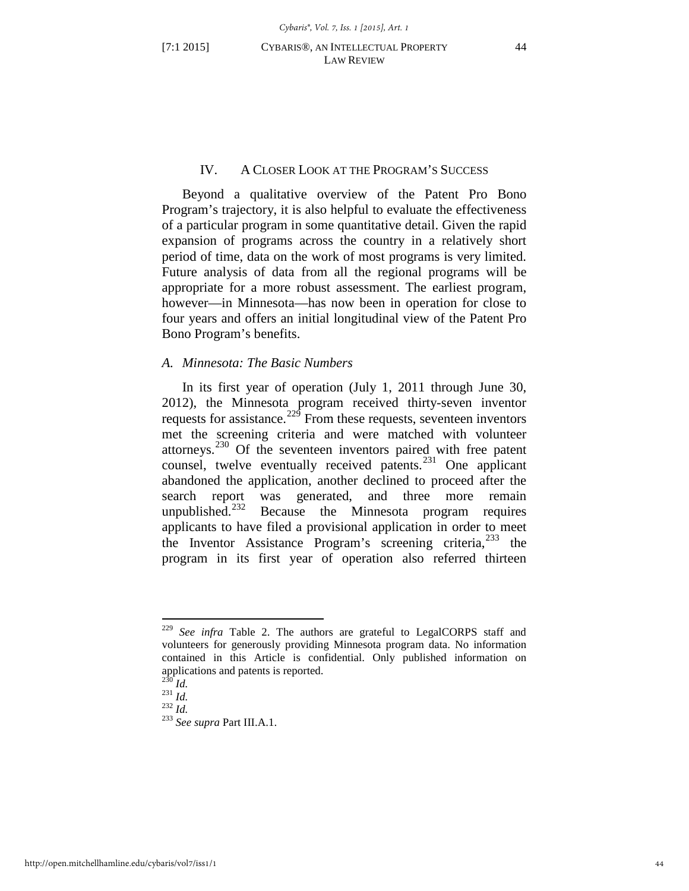# IV. A CLOSER LOOK AT THE PROGRAM'S SUCCESS

Beyond a qualitative overview of the Patent Pro Bono Program's trajectory, it is also helpful to evaluate the effectiveness of a particular program in some quantitative detail. Given the rapid expansion of programs across the country in a relatively short period of time, data on the work of most programs is very limited. Future analysis of data from all the regional programs will be appropriate for a more robust assessment. The earliest program, however—in Minnesota—has now been in operation for close to four years and offers an initial longitudinal view of the Patent Pro Bono Program's benefits.

#### *A. Minnesota: The Basic Numbers*

In its first year of operation (July 1, 2011 through June 30, 2012), the Minnesota program received thirty-seven inventor requests for assistance.<sup>[229](#page-44-0)</sup> From these requests, seventeen inventors met the screening criteria and were matched with volunteer attorneys. $230$  Of the seventeen inventors paired with free patent counsel, twelve eventually received patents. $^{231}$  $^{231}$  $^{231}$  One applicant abandoned the application, another declined to proceed after the search report was generated, and three more remain<br>unpublished.<sup>232</sup> Because the Minnesota program requires Because the Minnesota program requires applicants to have filed a provisional application in order to meet the Inventor Assistance Program's screening criteria,  $233$  the program in its first year of operation also referred thirteen

<span id="page-44-0"></span><sup>229</sup> *See infra* Table 2. The authors are grateful to LegalCORPS staff and volunteers for generously providing Minnesota program data. No information contained in this Article is confidential. Only published information on applications and patents is reported.<br> $^{230}$  *Id.* 

<span id="page-44-4"></span><span id="page-44-3"></span><span id="page-44-2"></span><span id="page-44-1"></span><sup>230</sup> *Id.* <sup>231</sup> *Id.* <sup>232</sup> *Id.* <sup>233</sup> *See supra* Part III.A.1.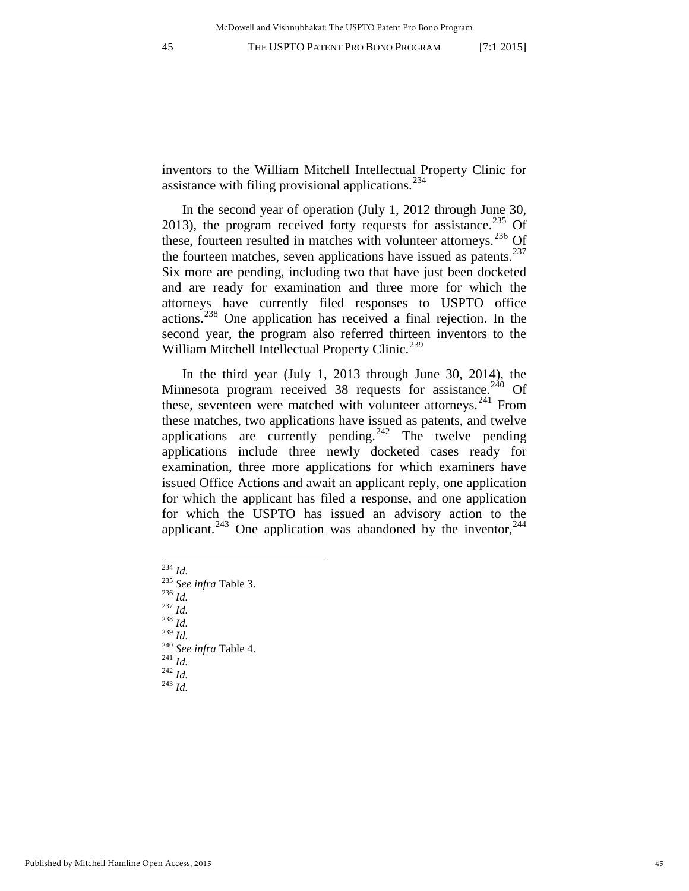inventors to the William Mitchell Intellectual Property Clinic for assistance with filing provisional applications. $^{234}$  $^{234}$  $^{234}$ 

In the second year of operation (July 1, 2012 through June 30, 2013), the program received forty requests for assistance.<sup>[235](#page-45-1)</sup> Of these, fourteen resulted in matches with volunteer attorneys.<sup>[236](#page-45-2)</sup> Of the fourteen matches, seven applications have issued as patents. $237$ Six more are pending, including two that have just been docketed and are ready for examination and three more for which the attorneys have currently filed responses to USPTO office actions.[238](#page-45-4) One application has received a final rejection. In the second year, the program also referred thirteen inventors to the William Mitchell Intellectual Property Clinic.<sup>[239](#page-45-5)</sup>

In the third year (July 1, 2013 through June 30, 2014), the Minnesota program received 38 requests for assistance.<sup>[240](#page-45-6)</sup> Of these, seventeen were matched with volunteer attorneys.<sup>[241](#page-45-7)</sup> From these matches, two applications have issued as patents, and twelve applications are currently pending.<sup>[242](#page-45-8)</sup> The twelve pending applications include three newly docketed cases ready for examination, three more applications for which examiners have issued Office Actions and await an applicant reply, one application for which the applicant has filed a response, and one application for which the USPTO has issued an advisory action to the applicant.<sup>[243](#page-45-9)</sup> One application was abandoned by the inventor,<sup>[244](#page-45-10)</sup>

<span id="page-45-0"></span> $^{234}$  *Id.* 

<span id="page-45-10"></span><span id="page-45-2"></span><span id="page-45-1"></span><sup>234</sup> *Id.* <sup>235</sup> *See infra* Table 3. <sup>236</sup> *Id.* <sup>237</sup> *Id.* <sup>238</sup> *Id.*

<span id="page-45-4"></span><span id="page-45-3"></span>

<span id="page-45-7"></span><span id="page-45-6"></span><span id="page-45-5"></span><sup>239</sup> *Id.* <sup>240</sup> *See infra* Table 4. 241 *Id.* <sup>242</sup> *Id.* <sup>243</sup> *Id.* 

<span id="page-45-9"></span><span id="page-45-8"></span>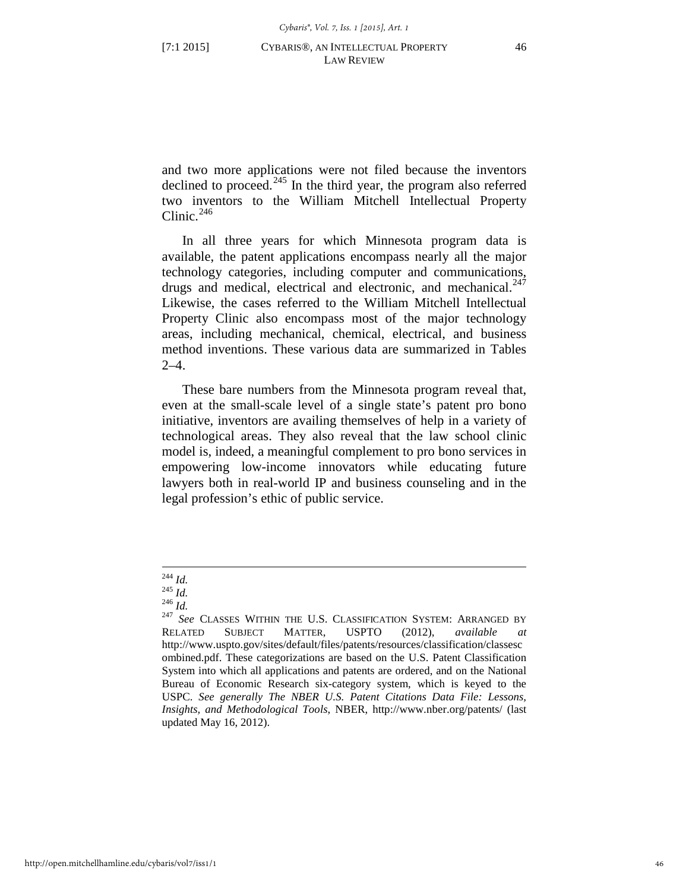and two more applications were not filed because the inventors declined to proceed. $^{245}$  $^{245}$  $^{245}$  In the third year, the program also referred two inventors to the William Mitchell Intellectual Property Clinic. [246](#page-46-1)

In all three years for which Minnesota program data is available, the patent applications encompass nearly all the major technology categories, including computer and communications, drugs and medical, electrical and electronic, and mechanical. $^{247}$  $^{247}$  $^{247}$ Likewise, the cases referred to the William Mitchell Intellectual Property Clinic also encompass most of the major technology areas, including mechanical, chemical, electrical, and business method inventions. These various data are summarized in Tables  $2-4.$ 

These bare numbers from the Minnesota program reveal that, even at the small-scale level of a single state's patent pro bono initiative, inventors are availing themselves of help in a variety of technological areas. They also reveal that the law school clinic model is, indeed, a meaningful complement to pro bono services in empowering low-income innovators while educating future lawyers both in real-world IP and business counseling and in the legal profession's ethic of public service.

 $^{244}$  *Id.* 

<span id="page-46-2"></span><span id="page-46-1"></span><span id="page-46-0"></span><sup>244</sup> *Id.* <sup>245</sup> *Id.* <sup>246</sup> *Id.* <sup>247</sup> *See* CLASSES WITHIN THE U.S. CLASSIFICATION SYSTEM: ARRANGED BY RELATED SUBJECT MATTER, USPTO (2012), *available at*  http://www.uspto.gov/sites/default/files/patents/resources/classification/classesc ombined.pdf. These categorizations are based on the U.S. Patent Classification System into which all applications and patents are ordered, and on the National Bureau of Economic Research six-category system, which is keyed to the USPC. *See generally The NBER U.S. Patent Citations Data File: Lessons, Insights, and Methodological Tools*, NBER, http://www.nber.org/patents/ (last updated May 16, 2012).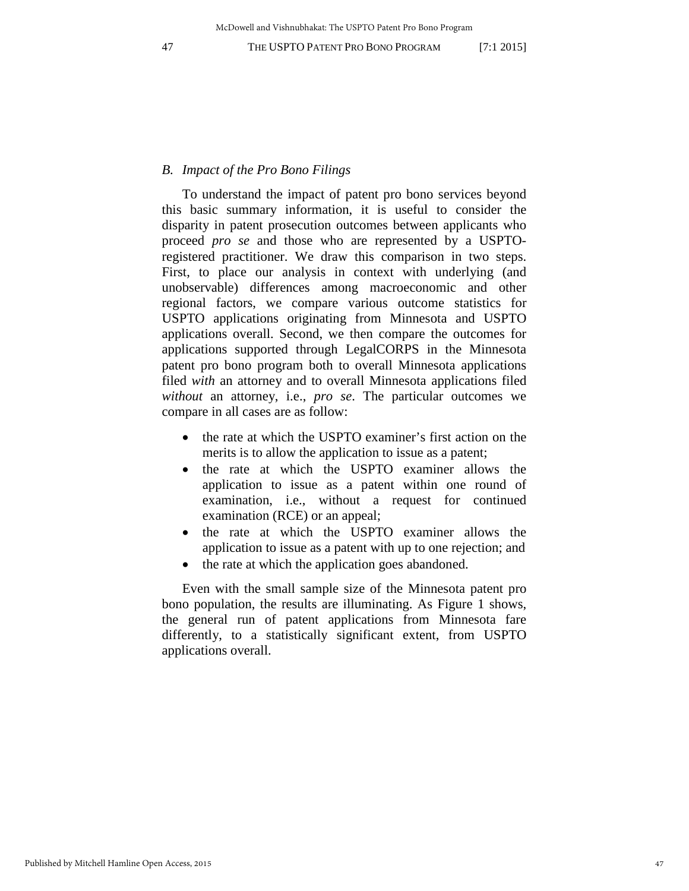#### *B. Impact of the Pro Bono Filings*

To understand the impact of patent pro bono services beyond this basic summary information, it is useful to consider the disparity in patent prosecution outcomes between applicants who proceed *pro se* and those who are represented by a USPTOregistered practitioner. We draw this comparison in two steps. First, to place our analysis in context with underlying (and unobservable) differences among macroeconomic and other regional factors, we compare various outcome statistics for USPTO applications originating from Minnesota and USPTO applications overall. Second, we then compare the outcomes for applications supported through LegalCORPS in the Minnesota patent pro bono program both to overall Minnesota applications filed *with* an attorney and to overall Minnesota applications filed *without* an attorney, i.e., *pro se*. The particular outcomes we compare in all cases are as follow:

- the rate at which the USPTO examiner's first action on the merits is to allow the application to issue as a patent;
- the rate at which the USPTO examiner allows the application to issue as a patent within one round of examination, i.e., without a request for continued examination (RCE) or an appeal;
- the rate at which the USPTO examiner allows the application to issue as a patent with up to one rejection; and
- the rate at which the application goes abandoned.

Even with the small sample size of the Minnesota patent pro bono population, the results are illuminating. As Figure 1 shows, the general run of patent applications from Minnesota fare differently, to a statistically significant extent, from USPTO applications overall.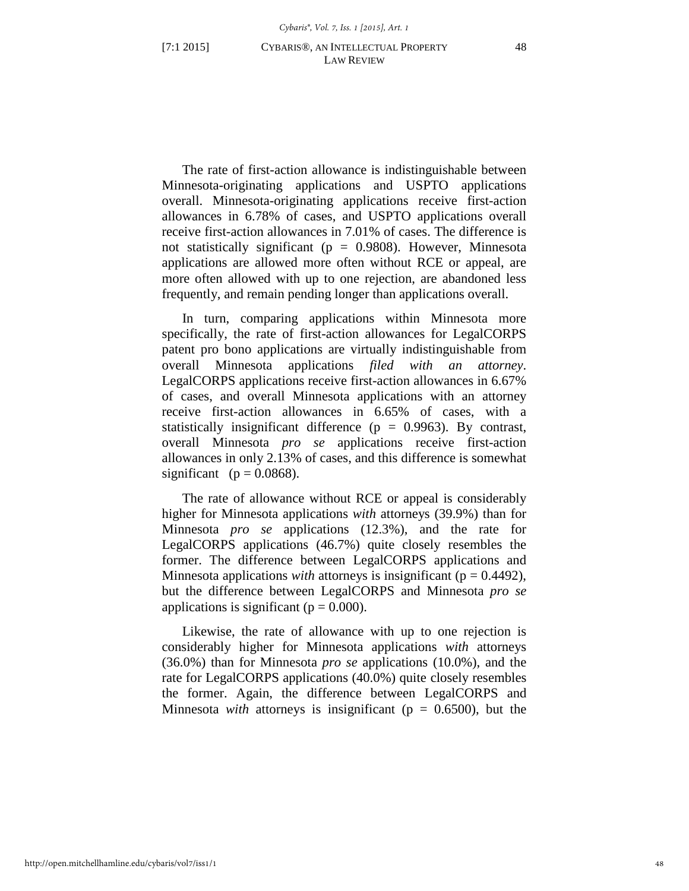The rate of first-action allowance is indistinguishable between Minnesota-originating applications and USPTO applications overall. Minnesota-originating applications receive first-action allowances in 6.78% of cases, and USPTO applications overall receive first-action allowances in 7.01% of cases. The difference is not statistically significant ( $p = 0.9808$ ). However, Minnesota applications are allowed more often without RCE or appeal, are more often allowed with up to one rejection, are abandoned less frequently, and remain pending longer than applications overall.

In turn, comparing applications within Minnesota more specifically, the rate of first-action allowances for LegalCORPS patent pro bono applications are virtually indistinguishable from overall Minnesota applications *filed with an attorney*. LegalCORPS applications receive first-action allowances in 6.67% of cases, and overall Minnesota applications with an attorney receive first-action allowances in 6.65% of cases, with a statistically insignificant difference ( $p = 0.9963$ ). By contrast, overall Minnesota *pro se* applications receive first-action allowances in only 2.13% of cases, and this difference is somewhat significant ( $p = 0.0868$ ).

The rate of allowance without RCE or appeal is considerably higher for Minnesota applications *with* attorneys (39.9%) than for Minnesota *pro se* applications (12.3%), and the rate for LegalCORPS applications (46.7%) quite closely resembles the former. The difference between LegalCORPS applications and Minnesota applications *with* attorneys is insignificant ( $p = 0.4492$ ), but the difference between LegalCORPS and Minnesota *pro se* applications is significant ( $p = 0.000$ ).

Likewise, the rate of allowance with up to one rejection is considerably higher for Minnesota applications *with* attorneys (36.0%) than for Minnesota *pro se* applications (10.0%), and the rate for LegalCORPS applications (40.0%) quite closely resembles the former. Again, the difference between LegalCORPS and Minnesota *with* attorneys is insignificant ( $p = 0.6500$ ), but the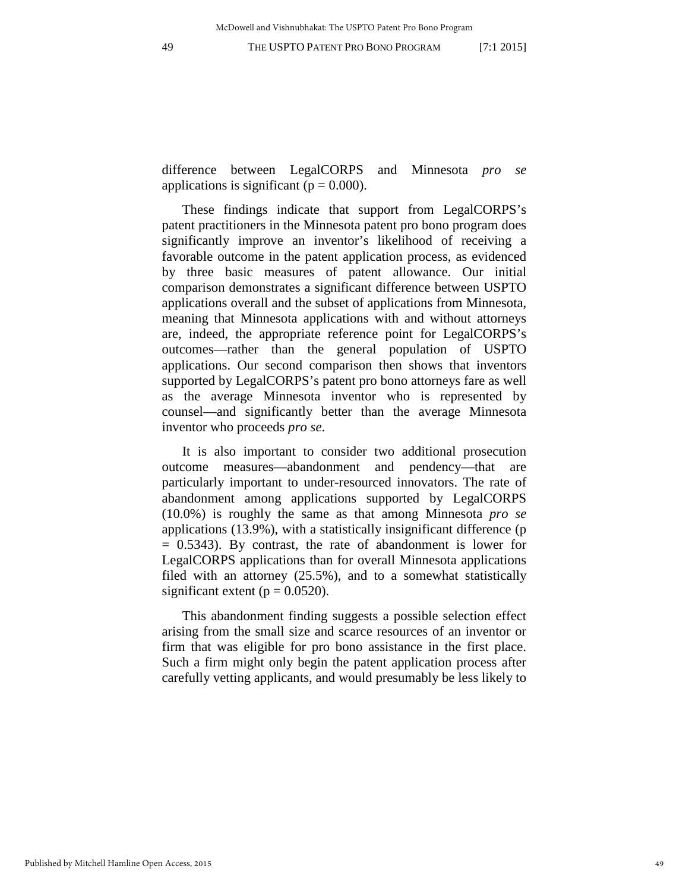McDowell and Vishnubhakat: The USPTO Patent Pro Bono Program

49 THE USPTO PATENT PRO BONO PROGRAM [7:1 2015]

difference between LegalCORPS and Minnesota *pro se* applications is significant ( $p = 0.000$ ).

These findings indicate that support from LegalCORPS's patent practitioners in the Minnesota patent pro bono program does significantly improve an inventor's likelihood of receiving a favorable outcome in the patent application process, as evidenced by three basic measures of patent allowance. Our initial comparison demonstrates a significant difference between USPTO applications overall and the subset of applications from Minnesota, meaning that Minnesota applications with and without attorneys are, indeed, the appropriate reference point for LegalCORPS's outcomes—rather than the general population of USPTO applications. Our second comparison then shows that inventors supported by LegalCORPS's patent pro bono attorneys fare as well as the average Minnesota inventor who is represented by counsel—and significantly better than the average Minnesota inventor who proceeds *pro se*.

It is also important to consider two additional prosecution outcome measures—abandonment and pendency—that are particularly important to under-resourced innovators. The rate of abandonment among applications supported by LegalCORPS (10.0%) is roughly the same as that among Minnesota *pro se* applications (13.9%), with a statistically insignificant difference (p  $= 0.5343$ ). By contrast, the rate of abandonment is lower for LegalCORPS applications than for overall Minnesota applications filed with an attorney (25.5%), and to a somewhat statistically significant extent ( $p = 0.0520$ ).

This abandonment finding suggests a possible selection effect arising from the small size and scarce resources of an inventor or firm that was eligible for pro bono assistance in the first place. Such a firm might only begin the patent application process after carefully vetting applicants, and would presumably be less likely to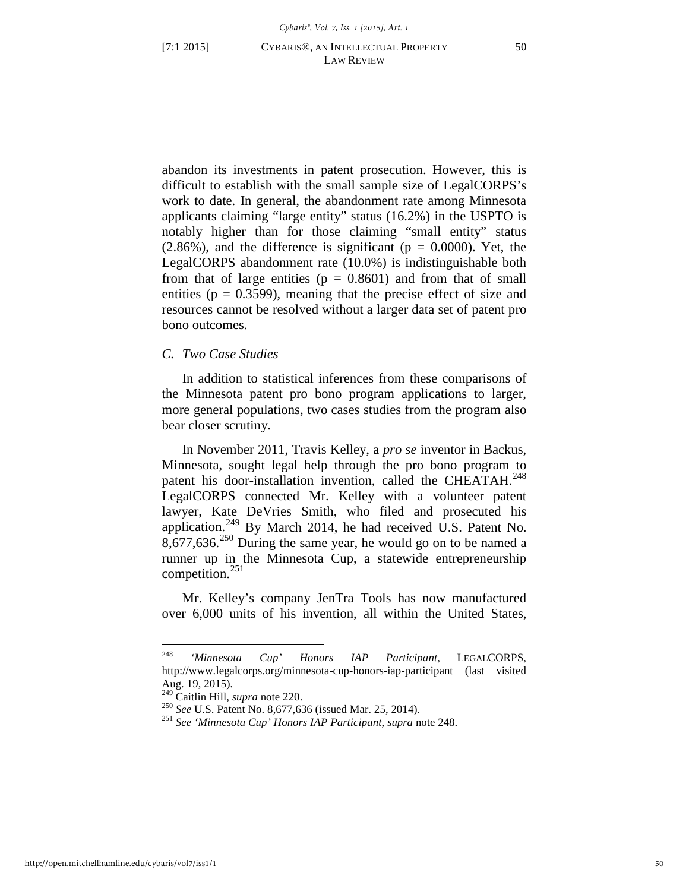abandon its investments in patent prosecution. However, this is difficult to establish with the small sample size of LegalCORPS's work to date. In general, the abandonment rate among Minnesota applicants claiming "large entity" status (16.2%) in the USPTO is notably higher than for those claiming "small entity" status  $(2.86\%)$ , and the difference is significant ( $p = 0.0000$ ). Yet, the LegalCORPS abandonment rate (10.0%) is indistinguishable both from that of large entities ( $p = 0.8601$ ) and from that of small entities ( $p = 0.3599$ ), meaning that the precise effect of size and resources cannot be resolved without a larger data set of patent pro bono outcomes.

# *C. Two Case Studies*

In addition to statistical inferences from these comparisons of the Minnesota patent pro bono program applications to larger, more general populations, two cases studies from the program also bear closer scrutiny.

<span id="page-50-0"></span>In November 2011, Travis Kelley, a *pro se* inventor in Backus, Minnesota, sought legal help through the pro bono program to patent his door-installation invention, called the CHEATAH.<sup>[248](#page-50-1)</sup> LegalCORPS connected Mr. Kelley with a volunteer patent lawyer, Kate DeVries Smith, who filed and prosecuted his application.[249](#page-50-2) By March 2014, he had received U.S. Patent No.  $8,677,636$ <sup>[250](#page-50-3)</sup> During the same year, he would go on to be named a runner up in the Minnesota Cup, a statewide entrepreneurship competition. $251$ 

Mr. Kelley's company JenTra Tools has now manufactured over 6,000 units of his invention, all within the United States,

<span id="page-50-1"></span><sup>248</sup> <sup>248</sup> *'Minnesota Cup' Honors IAP Participant*, LEGALCORPS, http://www.legalcorps.org/minnesota-cup-honors-iap-participant (last visited Aug. 19, 2015).<br><sup>249</sup> Caitlin Hill, *supra* note 220.

<span id="page-50-4"></span><span id="page-50-3"></span><span id="page-50-2"></span><sup>&</sup>lt;sup>250</sup> See U.S. Patent No. 8,677,636 (issued Mar. 25, 2014). <sup>251</sup> See *'Minnesota Cup' Honors IAP Participant*, *supra* note 248.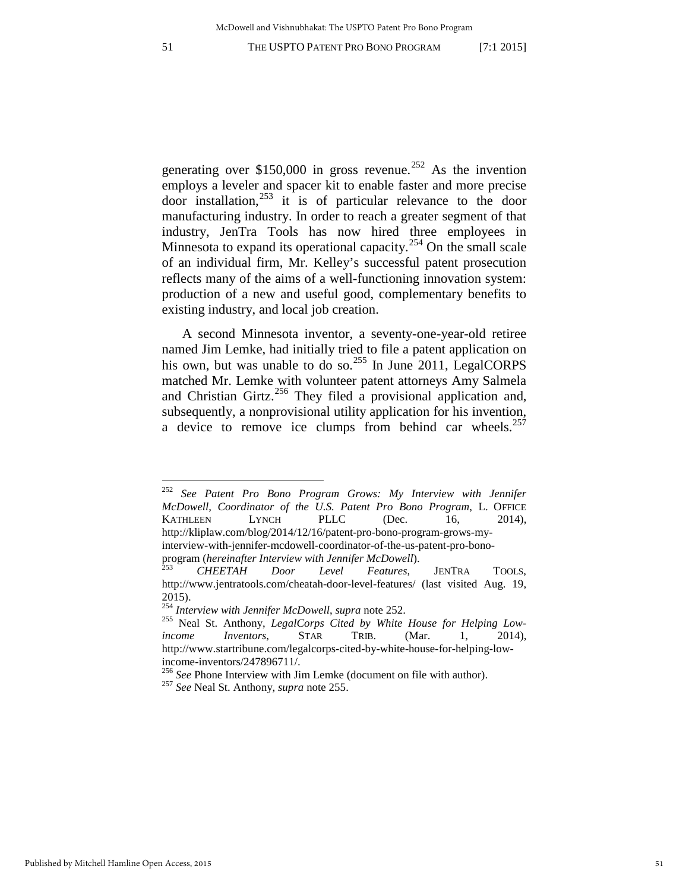<span id="page-51-0"></span>generating over \$150,000 in gross revenue.<sup>[252](#page-51-2)</sup> As the invention employs a leveler and spacer kit to enable faster and more precise door installation,[253](#page-51-3) it is of particular relevance to the door manufacturing industry. In order to reach a greater segment of that industry, JenTra Tools has now hired three employees in Minnesota to expand its operational capacity.<sup>[254](#page-51-4)</sup> On the small scale of an individual firm, Mr. Kelley's successful patent prosecution reflects many of the aims of a well-functioning innovation system: production of a new and useful good, complementary benefits to existing industry, and local job creation.

<span id="page-51-8"></span><span id="page-51-1"></span>A second Minnesota inventor, a seventy-one-year-old retiree named Jim Lemke, had initially tried to file a patent application on his own, but was unable to do so.<sup>[255](#page-51-5)</sup> In June 2011, LegalCORPS matched Mr. Lemke with volunteer patent attorneys Amy Salmela and Christian Girtz. $^{256}$  $^{256}$  $^{256}$  They filed a provisional application and, subsequently, a nonprovisional utility application for his invention, a device to remove ice clumps from behind car wheels. $257$ 

<span id="page-51-2"></span><sup>252</sup> <sup>252</sup> *See Patent Pro Bono Program Grows: My Interview with Jennifer McDowell, Coordinator of the U.S. Patent Pro Bono Program*, L. OFFICE KATHLEEN LYNCH PLLC (Dec. 16, 2014), http://kliplaw.com/blog/2014/12/16/patent-pro-bono-program-grows-myinterview-with-jennifer-mcdowell-coordinator-of-the-us-patent-pro-bonoprogram (*hereinafter Interview with Jennifer McDowell*). <sup>253</sup> *CHEETAH Door Level Features*, JENTRA TOOLS,

<span id="page-51-3"></span>http://www.jentratools.com/cheatah-door-level-features/ (last visited Aug. 19, 2015).<br><sup>254</sup> Interview with Jennifer McDowell, supra note 252.

<span id="page-51-5"></span><span id="page-51-4"></span><sup>&</sup>lt;sup>255</sup> Neal St. Anthony, *LegalCorps Cited by White House for Helping Lowincome Inventors*, STAR TRIB. (Mar. 1, 2014), http://www.startribune.com/legalcorps-cited-by-white-house-for-helping-low-

<span id="page-51-7"></span><span id="page-51-6"></span>income-inventors/247896711/. 256 *See* Phone Interview with Jim Lemke (document on file with author). <sup>257</sup> *See* Neal St. Anthony, *supra* note [255.](#page-51-1)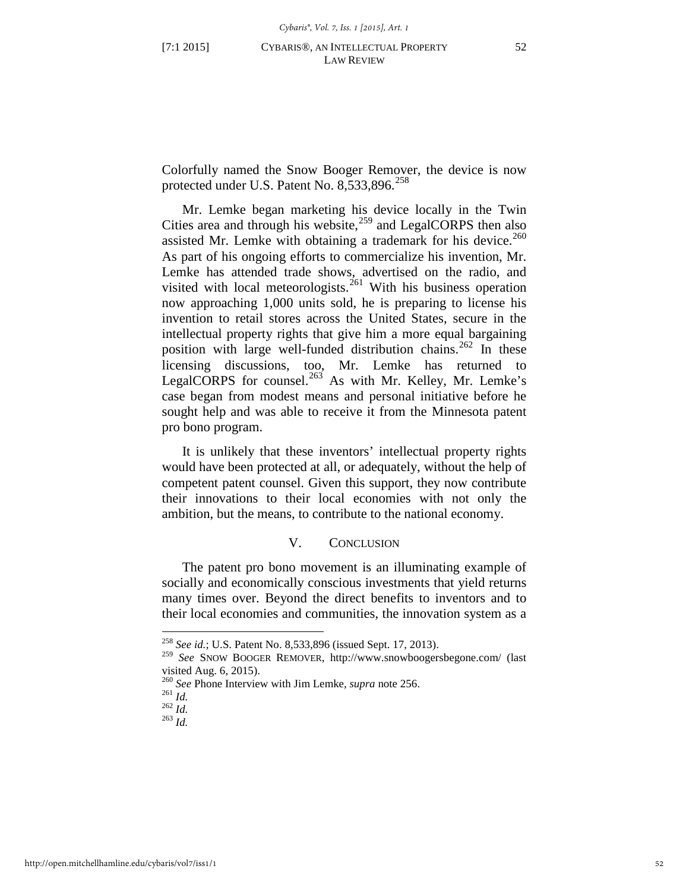Colorfully named the Snow Booger Remover, the device is now protected under U.S. Patent No.  $8,533,896$ <sup>[258](#page-52-0)</sup>

Mr. Lemke began marketing his device locally in the Twin Cities area and through his website, $259$  and LegalCORPS then also assisted Mr. Lemke with obtaining a trademark for his device. $260$ As part of his ongoing efforts to commercialize his invention, Mr. Lemke has attended trade shows, advertised on the radio, and visited with local meteorologists.<sup>[261](#page-52-3)</sup> With his business operation now approaching 1,000 units sold, he is preparing to license his invention to retail stores across the United States, secure in the intellectual property rights that give him a more equal bargaining position with large well-funded distribution chains.<sup>[262](#page-52-4)</sup> In these licensing discussions, too, Mr. Lemke has returned to LegalCORPS for counsel.<sup>[263](#page-52-5)</sup> As with Mr. Kelley, Mr. Lemke's case began from modest means and personal initiative before he sought help and was able to receive it from the Minnesota patent pro bono program.

It is unlikely that these inventors' intellectual property rights would have been protected at all, or adequately, without the help of competent patent counsel. Given this support, they now contribute their innovations to their local economies with not only the ambition, but the means, to contribute to the national economy.

#### V. CONCLUSION

The patent pro bono movement is an illuminating example of socially and economically conscious investments that yield returns many times over. Beyond the direct benefits to inventors and to their local economies and communities, the innovation system as a

<span id="page-52-0"></span><sup>258</sup> *See id.*; U.S. Patent No. 8,533,896 (issued Sept. 17, 2013).

<span id="page-52-1"></span><sup>259</sup> *See* SNOW BOOGER REMOVER, http://www.snowboogersbegone.com/ (last visited Aug. 6, 2015).

<span id="page-52-4"></span><span id="page-52-3"></span><span id="page-52-2"></span><sup>260</sup> *See* Phone Interview with Jim Lemke, *supra* note [256.](#page-51-8) 261 *Id.* <sup>262</sup> *Id.* <sup>263</sup> *Id.* 

<span id="page-52-5"></span>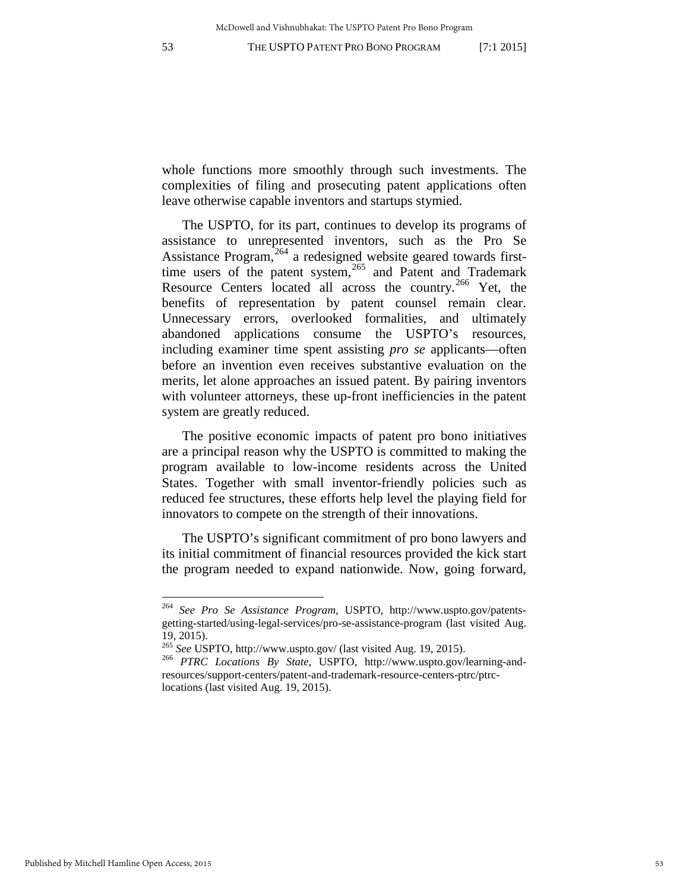whole functions more smoothly through such investments. The complexities of filing and prosecuting patent applications often leave otherwise capable inventors and startups stymied.

The USPTO, for its part, continues to develop its programs of assistance to unrepresented inventors, such as the Pro Se Assistance Program, $264$  a redesigned website geared towards first-time users of the patent system,<sup>[265](#page-53-1)</sup> and Patent and Trademark Resource Centers located all across the country.<sup>[266](#page-53-2)</sup> Yet, the benefits of representation by patent counsel remain clear. Unnecessary errors, overlooked formalities, and ultimately abandoned applications consume the USPTO's resources, including examiner time spent assisting *pro se* applicants—often before an invention even receives substantive evaluation on the merits, let alone approaches an issued patent. By pairing inventors with volunteer attorneys, these up-front inefficiencies in the patent system are greatly reduced.

The positive economic impacts of patent pro bono initiatives are a principal reason why the USPTO is committed to making the program available to low-income residents across the United States. Together with small inventor-friendly policies such as reduced fee structures, these efforts help level the playing field for innovators to compete on the strength of their innovations.

The USPTO's significant commitment of pro bono lawyers and its initial commitment of financial resources provided the kick start the program needed to expand nationwide. Now, going forward,

<span id="page-53-0"></span><sup>264</sup> *See Pro Se Assistance Program*, USPTO, http://www.uspto.gov/patentsgetting-started/using-legal-services/pro-se-assistance-program (last visited Aug. 19, 2015).<br><sup>265</sup> See USPTO, http://www.uspto.gov/ (last visited Aug. 19, 2015).

<span id="page-53-2"></span><span id="page-53-1"></span><sup>&</sup>lt;sup>266</sup> PTRC Locations By State, USPTO, http://www.uspto.gov/learning-andresources/support-centers/patent-and-trademark-resource-centers-ptrc/ptrclocations (last visited Aug. 19, 2015).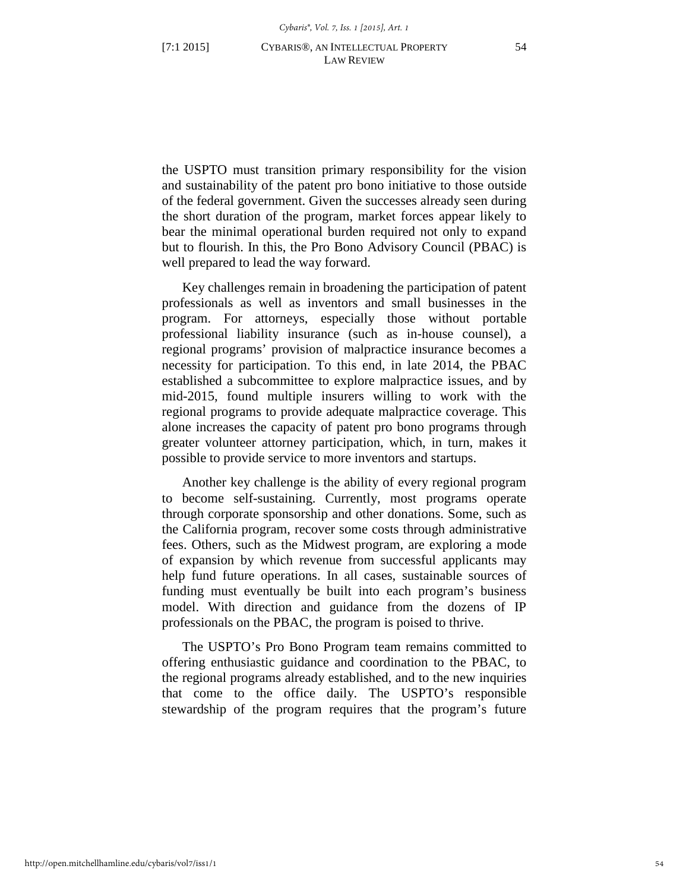the USPTO must transition primary responsibility for the vision and sustainability of the patent pro bono initiative to those outside of the federal government. Given the successes already seen during the short duration of the program, market forces appear likely to bear the minimal operational burden required not only to expand but to flourish. In this, the Pro Bono Advisory Council (PBAC) is well prepared to lead the way forward.

Key challenges remain in broadening the participation of patent professionals as well as inventors and small businesses in the program. For attorneys, especially those without portable professional liability insurance (such as in-house counsel), a regional programs' provision of malpractice insurance becomes a necessity for participation. To this end, in late 2014, the PBAC established a subcommittee to explore malpractice issues, and by mid-2015, found multiple insurers willing to work with the regional programs to provide adequate malpractice coverage. This alone increases the capacity of patent pro bono programs through greater volunteer attorney participation, which, in turn, makes it possible to provide service to more inventors and startups.

Another key challenge is the ability of every regional program to become self-sustaining. Currently, most programs operate through corporate sponsorship and other donations. Some, such as the California program, recover some costs through administrative fees. Others, such as the Midwest program, are exploring a mode of expansion by which revenue from successful applicants may help fund future operations. In all cases, sustainable sources of funding must eventually be built into each program's business model. With direction and guidance from the dozens of IP professionals on the PBAC, the program is poised to thrive.

The USPTO's Pro Bono Program team remains committed to offering enthusiastic guidance and coordination to the PBAC, to the regional programs already established, and to the new inquiries that come to the office daily. The USPTO's responsible stewardship of the program requires that the program's future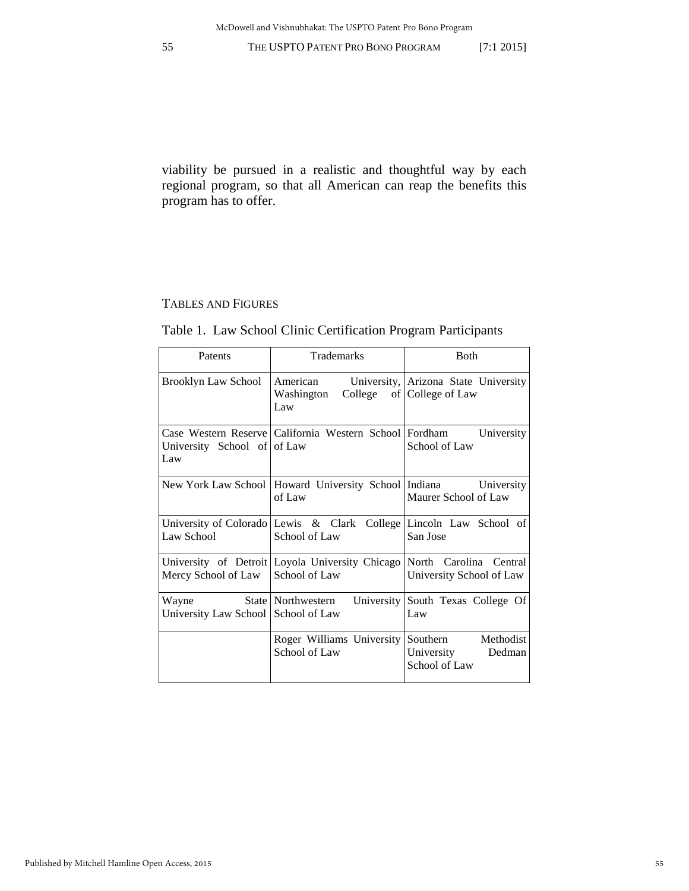viability be pursued in a realistic and thoughtful way by each regional program, so that all American can reap the benefits this program has to offer.

# TABLES AND FIGURES

# Table 1. Law School Clinic Certification Program Participants

| Patents                                      | <b>Trademarks</b>                                                                       | <b>B</b> oth                                                      |
|----------------------------------------------|-----------------------------------------------------------------------------------------|-------------------------------------------------------------------|
| <b>Brooklyn Law School</b>                   | American<br>Washington<br>Law                                                           | University, Arizona State University<br>College of College of Law |
| University School of of Law<br>Law           | Case Western Reserve   California Western School   Fordham University                   | School of Law                                                     |
|                                              | New York Law School   Howard University School   Indiana University<br>of Law           | Maurer School of Law                                              |
| Law School                                   | University of Colorado Lewis & Clark College Lincoln Law School of<br>School of Law     | San Jose                                                          |
| Mercy School of Law                          | University of Detroit Loyola University Chicago North Carolina Central<br>School of Law | University School of Law                                          |
| Wayne<br>University Law School School of Law | State   Northwestern                                                                    | University South Texas College Of<br>Law                          |
|                                              | Roger Williams University Southern Methodist<br>School of Law                           | University<br>Dedman<br>School of Law                             |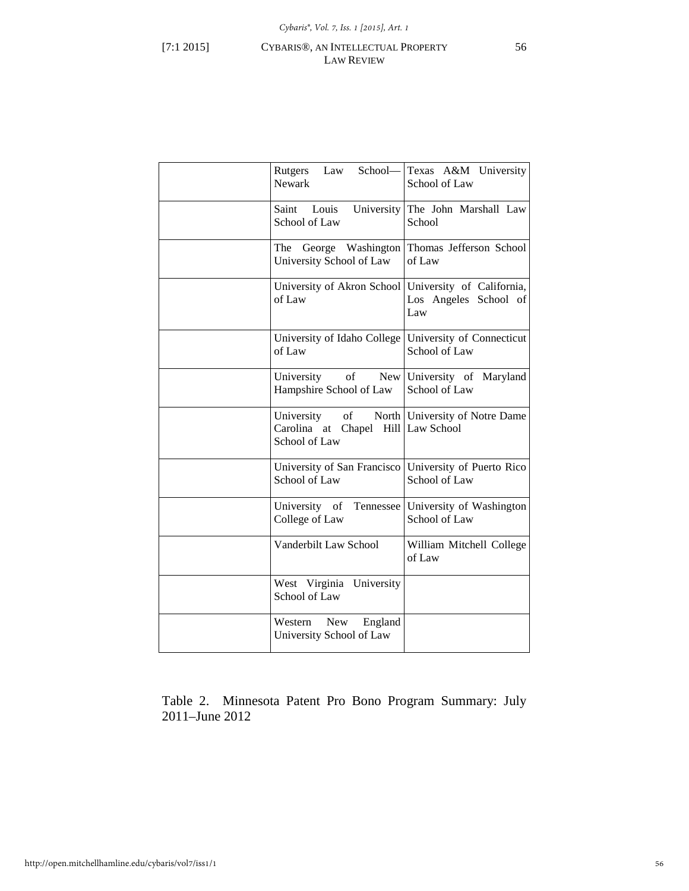# [7:1 2015] CYBARIS®, AN INTELLECTUAL PROPERTY 56 LAW REVIEW

| Rutgers Law School-<br><b>Newark</b>                                       | Texas A&M University<br>School of Law                     |
|----------------------------------------------------------------------------|-----------------------------------------------------------|
| Saint Louis<br>University<br>School of Law                                 | The John Marshall Law<br>School                           |
| George Washington<br>The<br>University School of Law                       | Thomas Jefferson School<br>of Law                         |
| University of Akron School<br>of Law                                       | University of California,<br>Los Angeles School of<br>Law |
| University of Idaho College<br>of Law                                      | University of Connecticut<br>School of Law                |
| of<br><b>New</b><br>University<br>Hampshire School of Law                  | University of Maryland<br>School of Law                   |
| of<br>University<br>Carolina at<br>Chapel Hill Law School<br>School of Law | North University of Notre Dame                            |
| University of San Francisco   University of Puerto Rico<br>School of Law   | School of Law                                             |
| Tennessee<br>University of<br>College of Law                               | University of Washington<br>School of Law                 |
| Vanderbilt Law School                                                      | William Mitchell College<br>of Law                        |
| West Virginia<br>University<br>School of Law                               |                                                           |
| Western<br>New<br>England<br>University School of Law                      |                                                           |

Table 2. Minnesota Patent Pro Bono Program Summary: July 2011–June 2012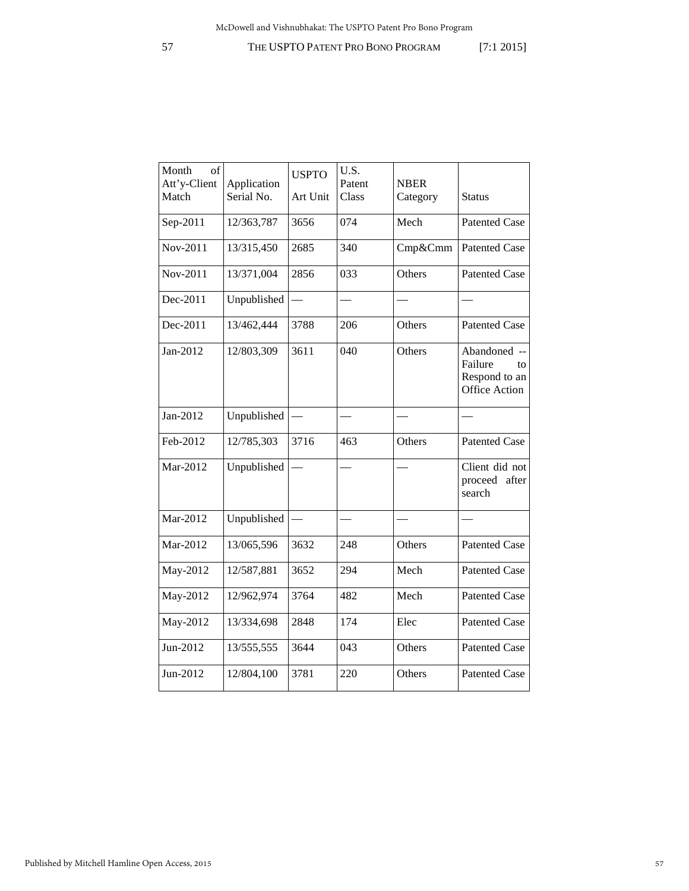| Month<br>of<br>Att'y-Client<br>Match | Application<br>Serial No. | <b>USPTO</b><br>Art Unit | U.S.<br>Patent<br>Class | <b>NBER</b><br>Category | <b>Status</b>                                                          |
|--------------------------------------|---------------------------|--------------------------|-------------------------|-------------------------|------------------------------------------------------------------------|
| Sep-2011                             | 12/363,787                | 3656                     | 074                     | Mech                    | <b>Patented Case</b>                                                   |
| Nov-2011                             | 13/315,450                | 2685                     | 340                     | Cmp&Cmm                 | <b>Patented Case</b>                                                   |
| Nov-2011                             | 13/371,004                | 2856                     | 033                     | Others                  | <b>Patented Case</b>                                                   |
| Dec-2011                             | Unpublished               |                          |                         |                         |                                                                        |
| Dec-2011                             | 13/462,444                | 3788                     | 206                     | Others                  | <b>Patented Case</b>                                                   |
| Jan-2012                             | 12/803,309                | 3611                     | 040                     | Others                  | Abandoned --<br>Failure<br>to<br>Respond to an<br><b>Office Action</b> |
| Jan-2012                             | Unpublished               |                          |                         |                         |                                                                        |
| Feb-2012                             | 12/785,303                | 3716                     | 463                     | Others                  | <b>Patented Case</b>                                                   |
| Mar-2012                             | Unpublished               |                          |                         |                         | Client did not<br>proceed after<br>search                              |
| Mar-2012                             | Unpublished               |                          |                         |                         |                                                                        |
| Mar-2012                             | 13/065,596                | 3632                     | 248                     | Others                  | <b>Patented Case</b>                                                   |
| May-2012                             | 12/587,881                | 3652                     | 294                     | Mech                    | <b>Patented Case</b>                                                   |
| May-2012                             | 12/962,974                | 3764                     | 482                     | Mech                    | <b>Patented Case</b>                                                   |
| May-2012                             | 13/334,698                | 2848                     | 174                     | Elec                    | <b>Patented Case</b>                                                   |
| Jun-2012                             | 13/555,555                | 3644                     | 043                     | Others                  | <b>Patented Case</b>                                                   |
| Jun-2012                             | 12/804,100                | 3781                     | 220                     | Others                  | <b>Patented Case</b>                                                   |
|                                      |                           |                          |                         |                         |                                                                        |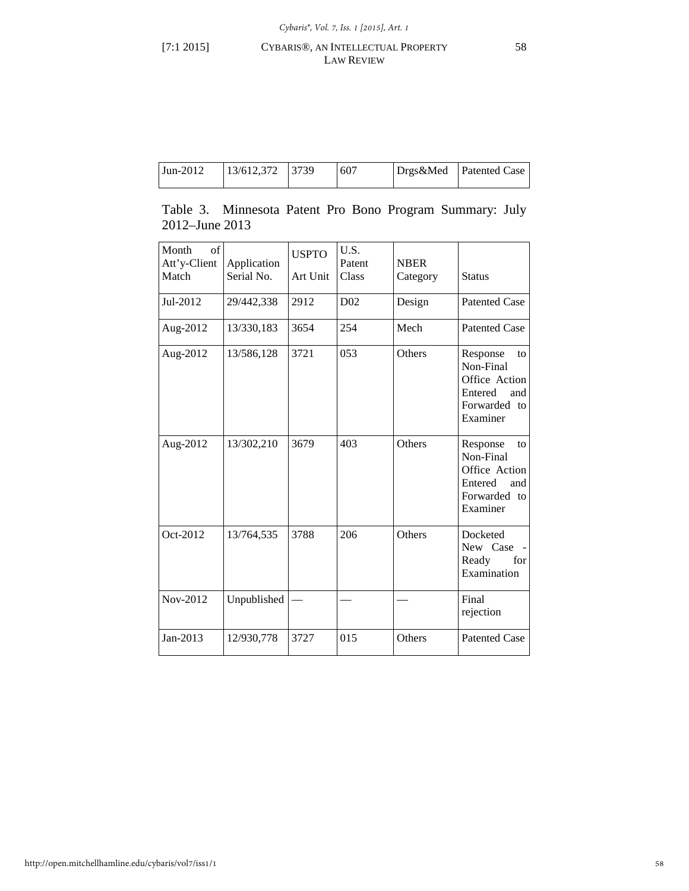# [7:1 2015] CYBARIS®, AN INTELLECTUAL PROPERTY 58 LAW REVIEW

| $\text{Jun-2012}$ | $ 13/612,372 $ $ 3739 $ |  | 607 |  | Drgs&Med Patented Case |
|-------------------|-------------------------|--|-----|--|------------------------|
|-------------------|-------------------------|--|-----|--|------------------------|

|                      | Table 3. Minnesota Patent Pro Bono Program Summary: July |  |  |  |
|----------------------|----------------------------------------------------------|--|--|--|
| $2012 -$ June $2013$ |                                                          |  |  |  |

| Month<br>of<br>Att'y-Client<br>Match | Application<br>Serial No. | <b>USPTO</b><br>Art Unit | U.S.<br>Patent<br>Class | <b>NBER</b><br>Category | <b>Status</b>                                                                              |
|--------------------------------------|---------------------------|--------------------------|-------------------------|-------------------------|--------------------------------------------------------------------------------------------|
| Jul-2012                             | 29/442,338                | 2912                     | D <sub>02</sub>         | Design                  | <b>Patented Case</b>                                                                       |
| Aug-2012                             | 13/330,183                | 3654                     | 254                     | Mech                    | <b>Patented Case</b>                                                                       |
| Aug-2012                             | 13/586,128                | 3721                     | 053                     | <b>Others</b>           | Response<br>to<br>Non-Final<br>Office Action<br>Entered<br>and<br>Forwarded to<br>Examiner |
| Aug-2012                             | 13/302,210                | 3679                     | 403                     | Others                  | Response<br>to<br>Non-Final<br>Office Action<br>Entered<br>and<br>Forwarded to<br>Examiner |
| Oct-2012                             | 13/764,535                | 3788                     | 206                     | Others                  | Docketed<br>New Case<br>Ready<br>for<br>Examination                                        |
| Nov-2012                             | Unpublished               |                          |                         |                         | Final<br>rejection                                                                         |
| Jan-2013                             | 12/930,778                | 3727                     | 015                     | Others                  | <b>Patented Case</b>                                                                       |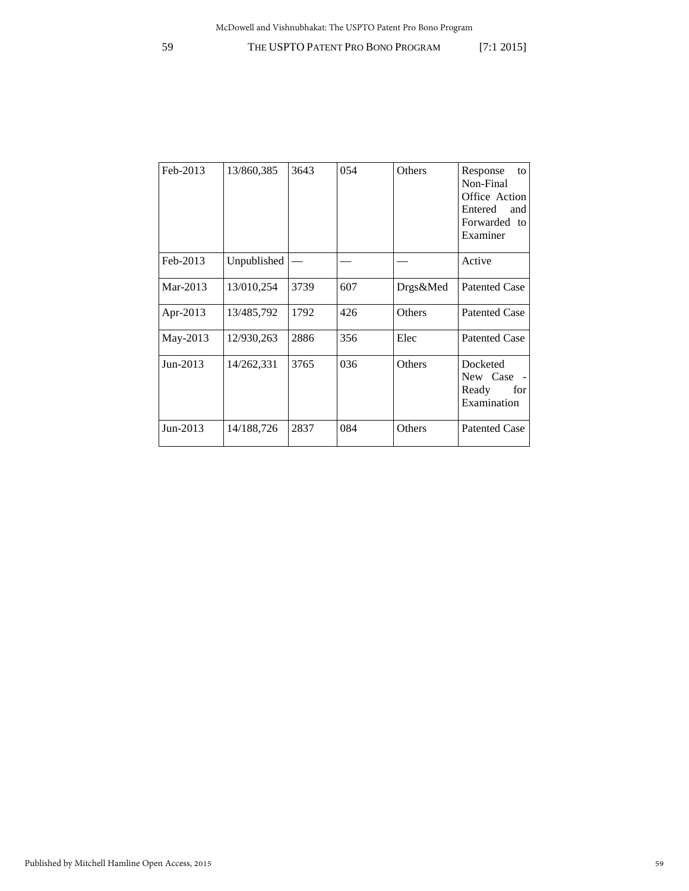| Feb-2013   | 13/860,385  | 3643 | 054 | Others   | Response<br>to<br>Non-Final<br>Office Action<br>Entered<br>and<br>Forwarded to<br>Examiner |
|------------|-------------|------|-----|----------|--------------------------------------------------------------------------------------------|
| Feb-2013   | Unpublished |      |     |          | Active                                                                                     |
| Mar-2013   | 13/010,254  | 3739 | 607 | Drgs&Med | <b>Patented Case</b>                                                                       |
| Apr-2013   | 13/485,792  | 1792 | 426 | Others   | <b>Patented Case</b>                                                                       |
| May-2013   | 12/930,263  | 2886 | 356 | Elec     | <b>Patented Case</b>                                                                       |
| $Jun-2013$ | 14/262,331  | 3765 | 036 | Others   | Docketed<br>New Case<br>$\sim$<br>Ready<br>for<br>Examination                              |
| Jun-2013   | 14/188,726  | 2837 | 084 | Others   | <b>Patented Case</b>                                                                       |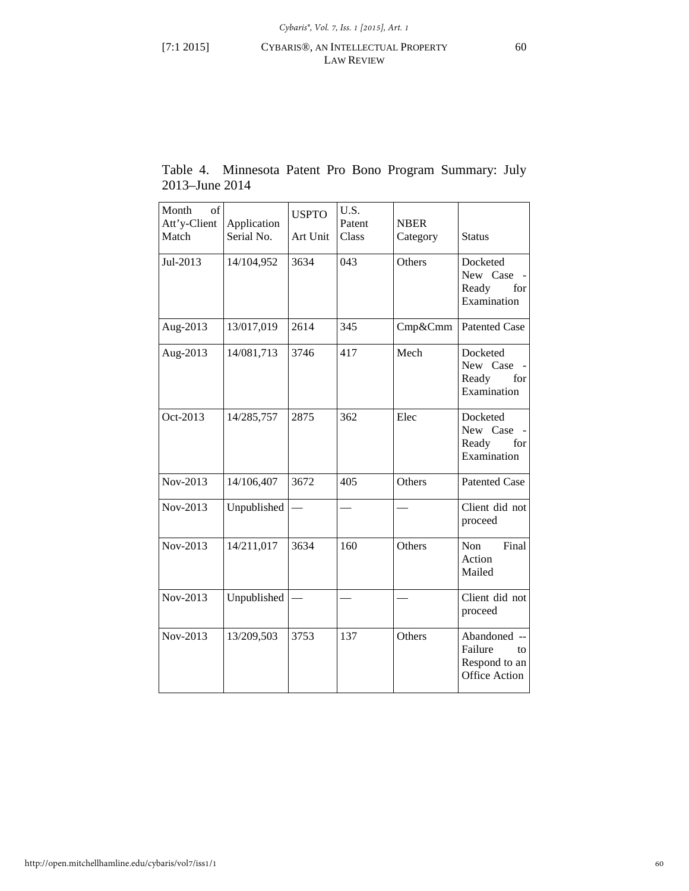# [7:1 2015] CYBARIS®, AN INTELLECTUAL PROPERTY 60 LAW REVIEW

|                | Table 4. Minnesota Patent Pro Bono Program Summary: July |  |  |  |
|----------------|----------------------------------------------------------|--|--|--|
| 2013–June 2014 |                                                          |  |  |  |

| Month<br>of<br>Att'y-Client | Application | <b>USPTO</b> | U.S.<br>Patent | <b>NBER</b> |                                                                               |
|-----------------------------|-------------|--------------|----------------|-------------|-------------------------------------------------------------------------------|
| Match                       | Serial No.  | Art Unit     | Class          | Category    | <b>Status</b>                                                                 |
| Jul-2013                    | 14/104,952  | 3634         | 043            | Others      | Docketed<br>New Case<br>Ready<br>for<br>Examination                           |
| Aug-2013                    | 13/017,019  | 2614         | 345            | Cmp&Cmm     | <b>Patented Case</b>                                                          |
| Aug-2013                    | 14/081,713  | 3746         | 417            | Mech        | Docketed<br>New Case<br>Ready<br>for<br>Examination                           |
| Oct-2013                    | 14/285,757  | 2875         | 362            | Elec        | Docketed<br>New Case<br>Ready<br>for<br>Examination                           |
| Nov-2013                    | 14/106,407  | 3672         | 405            | Others      | <b>Patented Case</b>                                                          |
| Nov-2013                    | Unpublished |              |                |             | Client did not<br>proceed                                                     |
| Nov-2013                    | 14/211,017  | 3634         | 160            | Others      | Final<br>Non<br>Action<br>Mailed                                              |
| Nov-2013                    | Unpublished |              |                |             | Client did not<br>proceed                                                     |
| Nov-2013                    | 13/209,503  | 3753         | 137            | Others      | Abandoned<br>$\sim$<br>Failure<br>to<br>Respond to an<br><b>Office Action</b> |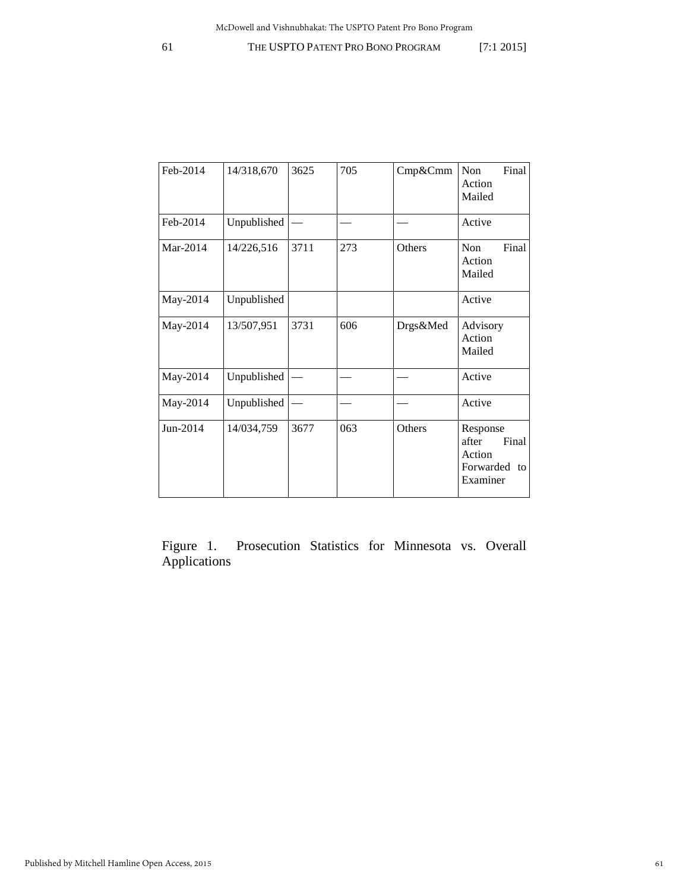| Feb-2014 | 14/318,670  | 3625 | 705 | Cmp&Cmm  | Non<br>Final<br>Action<br>Mailed                                 |
|----------|-------------|------|-----|----------|------------------------------------------------------------------|
| Feb-2014 | Unpublished |      |     |          | Active                                                           |
| Mar-2014 | 14/226,516  | 3711 | 273 | Others   | Final<br><b>Non</b><br>Action<br>Mailed                          |
| May-2014 | Unpublished |      |     |          | Active                                                           |
| May-2014 | 13/507,951  | 3731 | 606 | Drgs&Med | Advisory<br>Action<br>Mailed                                     |
| May-2014 | Unpublished |      |     |          | Active                                                           |
| May-2014 | Unpublished |      |     |          | Active                                                           |
| Jun-2014 | 14/034,759  | 3677 | 063 | Others   | Response<br>after<br>Final<br>Action<br>Forwarded to<br>Examiner |

Figure 1. Prosecution Statistics for Minnesota vs. Overall Applications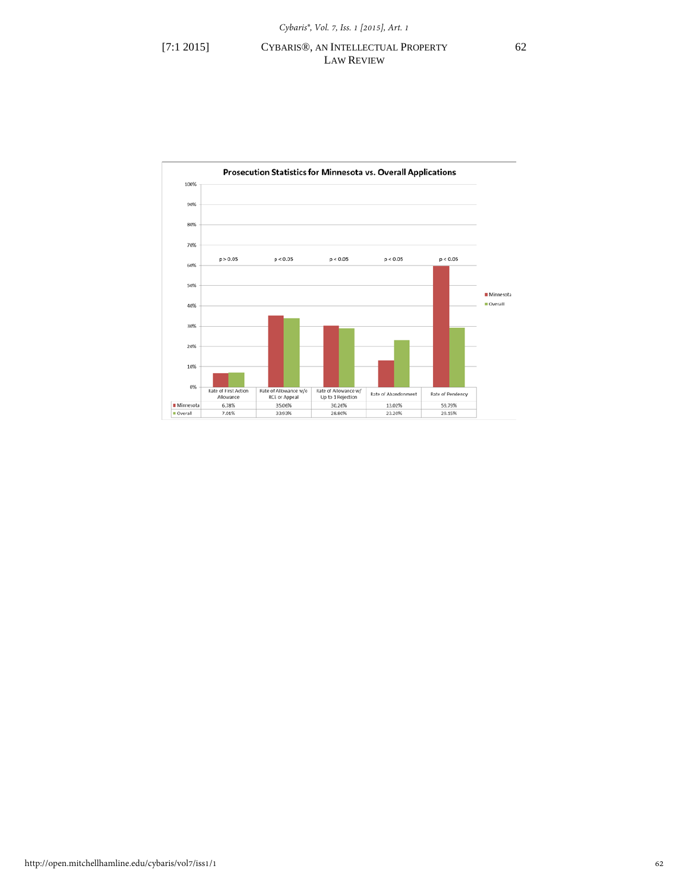# [7:1 2015] CYBARIS®, AN INTELLECTUAL PROPERTY 62 LAW REVIEW